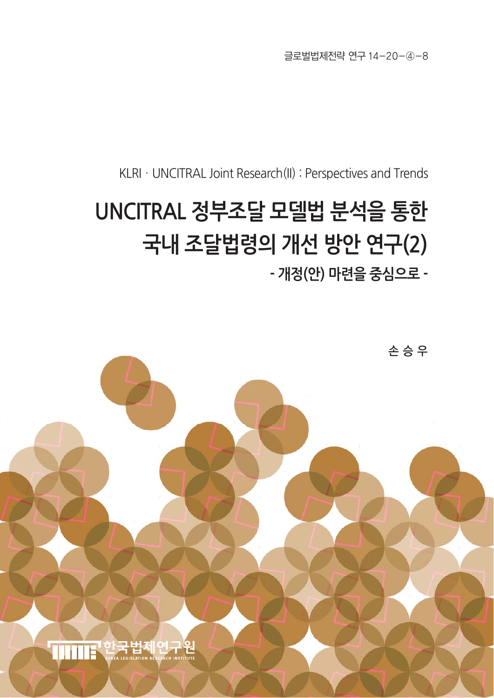글로벌법제전략 연구 14-20-④-8

KLRI · UNCITRAL Joint Research(II) : Perspectives and Trends

# **UNCITRAL 정부조달 모델법 분석을 통한 국내 조달법령의 개선 방안 연구(2)**

**- 개정(안) 마련을 중심으로 -**

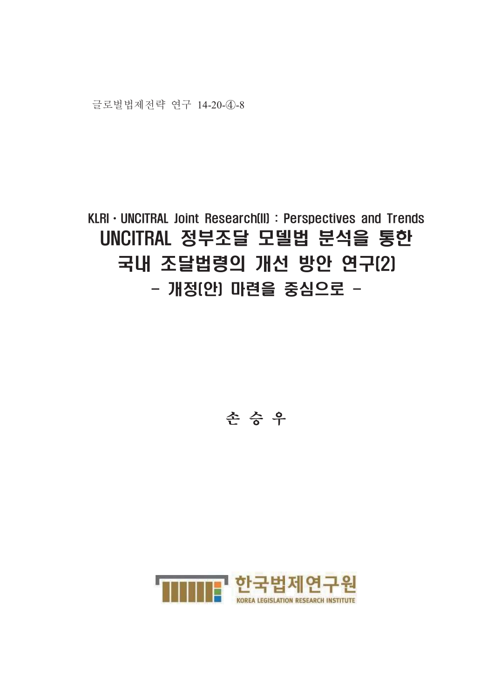글로벌법제전략 연구 14-20-4)-8

# KLRI · UNCITRAL Joint Research(II) : Perspectives and Trends UNCITRAL 정부조달 모델법 분석을 통한 국내 조달법령의 개선 방안 연구(2) - 개정(안) 마련을 중심으로 -

# 손승우

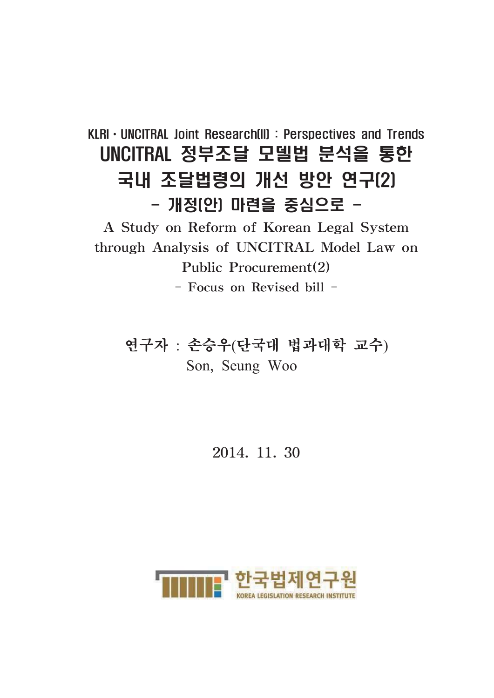# KLRI · UNCITRAL Joint Research(II): Perspectives and Trends UNCITRAL 정부조달 모델법 분석을 통한 국내 조달법령의 개선 방안 연구(2) - 개정(안) 마련을 중심으로 -

A Study on Reform of Korean Legal System through Analysis of UNCITRAL Model Law on Public Procurement(2)

- Focus on Revised bill -

연구자 : 손승우(단국대 법과대학 교수) Son, Seung Woo

2014, 11, 30

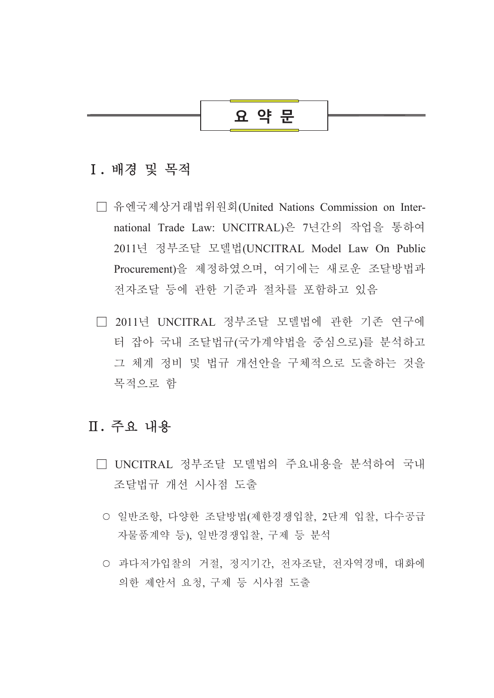# 요 약 문

#### I. 배경 및 목적

- □ 유엔국제상거래법위원회(United Nations Commission on International Trade Law: UNCITRAL)은 7년간의 작업을 통하여 2011년 정부조달 모델법(UNCITRAL Model Law On Public Procurement)을 제정하였으며, 여기에는 새로운 조달방법과 전자조달 등에 관한 기주과 절차를 포함하고 있음
- □ 2011년 UNCITRAL 정부조달 모델법에 관한 기존 연구에 터 잡아 국내 조달법규(국가계약법을 중심으로)를 분석하고 그 체계 정비 및 법규 개선안을 구체적으로 도출하는 것을 목적으로 함

### Ⅱ. 주요 내용

- □ UNCITRAL 정부조달 모델법의 주요내용을 분석하여 국내 조달법규 개선 시사점 도출
	- 일반조항, 다양한 조달방법(제한경쟁입찰, 2단계 입찰, 다수공급 자물품계약 등). 일반경쟁입찰. 구제 등 분석
	- 과다저가입찰의 거절, 정지기간, 전자조달, 전자역경매, 대화에 의한 제안서 요청, 구제 등 시사점 도출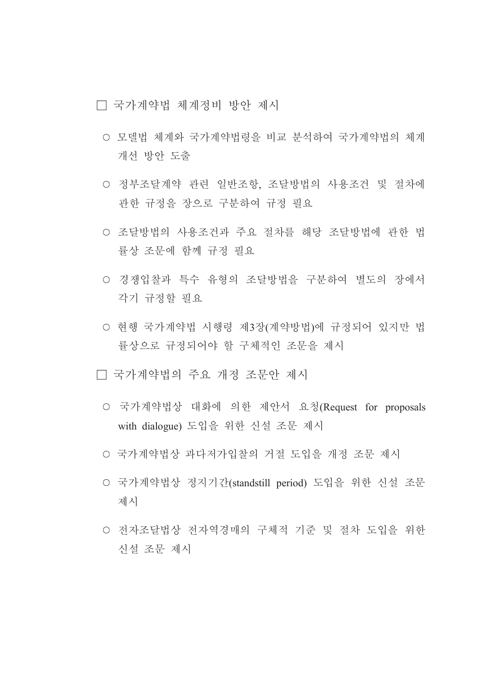□ 국가계약법 체계정비 방안 제시

- 모델법 체계와 국가계약법령을 비교 분석하여 국가계약법의 체계 개선 방안 도출
- 정부조달계약 관련 일반조항, 조달방법의 사용조건 및 절차에 관한 규정을 장으로 구분하여 규정 필요
- 조달방법의 사용조건과 주요 절차를 해당 조달방법에 관한 법 률상 조문에 함께 규정 필요
- 경쟁입찰과 특수 유형의 조달방법을 구분하여 별도의 장에서 각기 규정할 필요
- 현행 국가계약법 시행령 제3장(계약방법)에 규정되어 있지만 법 률상으로 규정되어야 할 구체적인 조문을 제시
- □ 국가계약법의 주요 개정 조문안 제시
	- 국가계약법상 대화에 의한 제안서 요청(Request for proposals with dialogue) 도입을 위한 신설 조문 제시
	- 국가계약법상 과다저가입찰의 거절 도입을 개정 조문 제시
	- 국가계약법상 정지기간(standstill period) 도입을 위한 신설 조문 제시
	- 전자조달법상 전자역경매의 구체적 기준 및 절차 도입을 위한 신설 조문 제시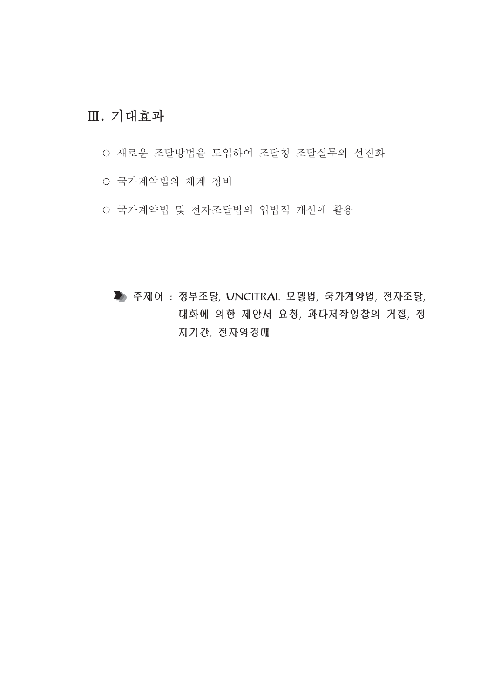# Ⅲ. 기대효과

- 새로운 조달방법을 도입하여 조달청 조달실무의 선진화
- 국가계약법의 체계 정비
- 국가계약법 및 전자조달법의 입법적 개선에 활용

▶ 주제어 : 정부조달, UNCITRAL 모델법, 국가계약법, 전자조달, 대화에 의한 제안서 요청, 과다저작입찰의 거절, 정 지기간, 전자역경매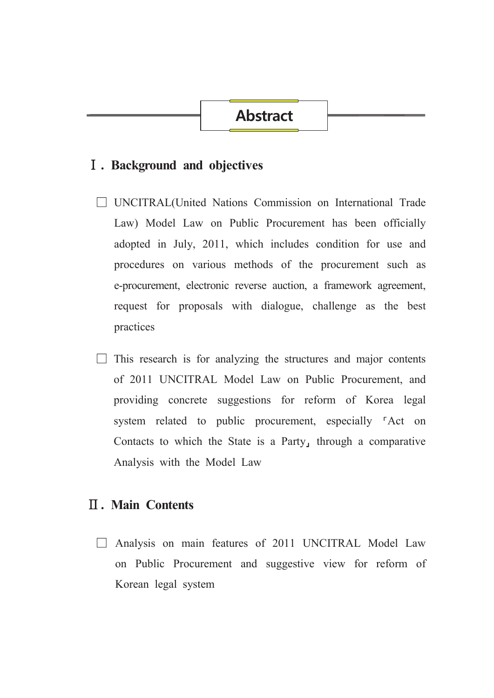### **Abstract**

#### I. Background and objectives

- **UNCITRAL**(United Nations Commission on International Trade Law) Model Law on Public Procurement has been officially adopted in July, 2011, which includes condition for use and procedures on various methods of the procurement such as e-procurement, electronic reverse auction, a framework agreement, request for proposals with dialogue, challenge as the best practices
- $\Box$  This research is for analyzing the structures and major contents of 2011 UNCITRAL Model Law on Public Procurement, and providing concrete suggestions for reform of Korea legal system related to public procurement, especially <sup>r</sup>Act on Contacts to which the State is a Party, through a comparative Analysis with the Model Law

#### **II.** Main Contents

 $\Box$  Analysis on main features of 2011 UNCITRAL Model Law on Public Procurement and suggestive view for reform of Korean legal system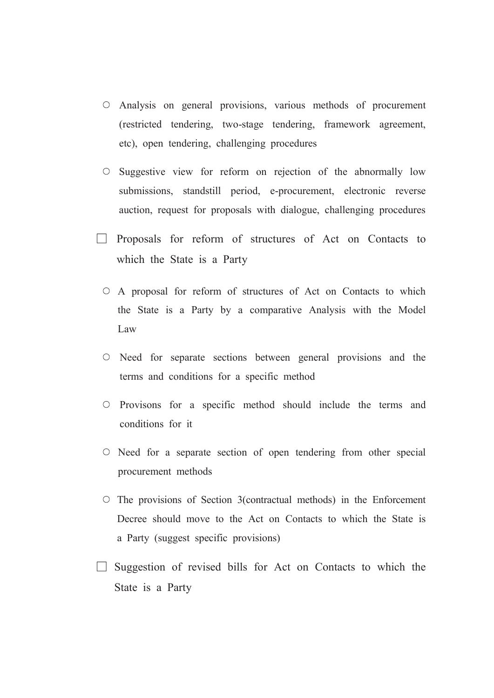- O Analysis on general provisions, various methods of procurement (restricted tendering, two-stage tendering, framework agreement, etc), open tendering, challenging procedures
- Suggestive view for reform on rejection of the abnormally low submissions, standstill period, e-procurement, electronic reverse auction, request for proposals with dialogue, challenging procedures
- $\Box$  Proposals for reform of structures of Act on Contacts to which the State is a Party
	- O A proposal for reform of structures of Act on Contacts to which the State is a Party by a comparative Analysis with the Model Law
	- $\circ$  Need for separate sections between general provisions and the terms and conditions for a specific method
	- $\circ$  Provisons for a specific method should include the terms and conditions for it
	- $\circ$  Need for a separate section of open tendering from other special procurement methods
	- $\circ$  The provisions of Section 3(contractual methods) in the Enforcement Decree should move to the Act on Contacts to which the State is a Party (suggest specific provisions)
- $\Box$  Suggestion of revised bills for Act on Contacts to which the State is a Party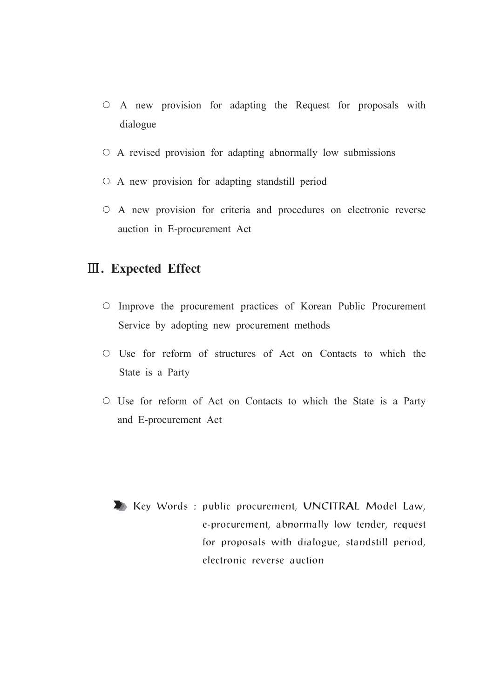- $\circ$  A new provision for adapting the Request for proposals with dialogue
- $\circ$  A revised provision for adapting abnormally low submissions
- $\circ$  A new provision for adapting standstill period
- O A new provision for criteria and procedures on electronic reverse auction in E-procurement Act

### **III.** Expected Effect

- O Improve the procurement practices of Korean Public Procurement Service by adopting new procurement methods
- $\circ$  Use for reform of structures of Act on Contacts to which the State is a Party
- O Use for reform of Act on Contacts to which the State is a Party and E-procurement Act

Key Words: public procurement, UNCITRAL Model Law, e-procurement, abnormally low tender, request for proposals with dialogue, standstill period, electronic reverse auction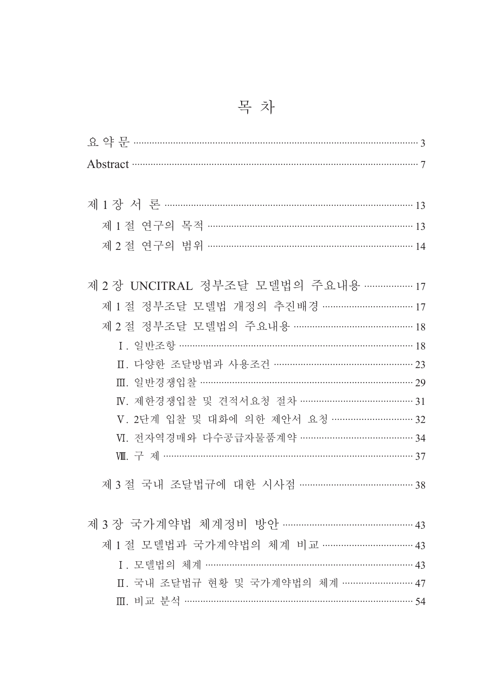| Abstract 37                                 |
|---------------------------------------------|
|                                             |
|                                             |
|                                             |
|                                             |
|                                             |
| 제 2 장 UNCITRAL 정부조달 모델법의 주요내용 ……………… 17     |
| 제 1 절 정부조달 모델법 개정의 추진배경 ………………………………………… 17 |
| 제 2 절 정부조달 모델법의 주요내용 ……………………………………… 18     |
| I. 일반조항 ………………………………………………………………………… 18     |
| Ⅱ. 다양한 조달방법과 사용조건 …………………………………………… 23      |
| Ⅲ. 일반경쟁입찰 ………………………………………………………………… 29      |
| IV. 제한경쟁입찰 및 견적서요청 절차 …………………………………… 31     |
| V. 2단계 입찰 및 대화에 의한 제안서 요청 ………………………… 32     |
|                                             |
|                                             |
| 제 3 절 국내 조달법규에 대한 시사점 …………………………………… 38     |
|                                             |
| 제 3 장 국가계약법 체계정비 방안 ………………………………………… 43     |
| 제 1 절 모델법과 국가계약법의 체계 비교 …………………………… 43      |
| I. 모델법의 체계 ………………………………………………………………… 43     |
| Ⅱ. 국내 조달법규 현황 및 국가계약법의 체계 …………………… 47       |
| Ⅲ. 비교 분석 …………………………………………………………………………… 54   |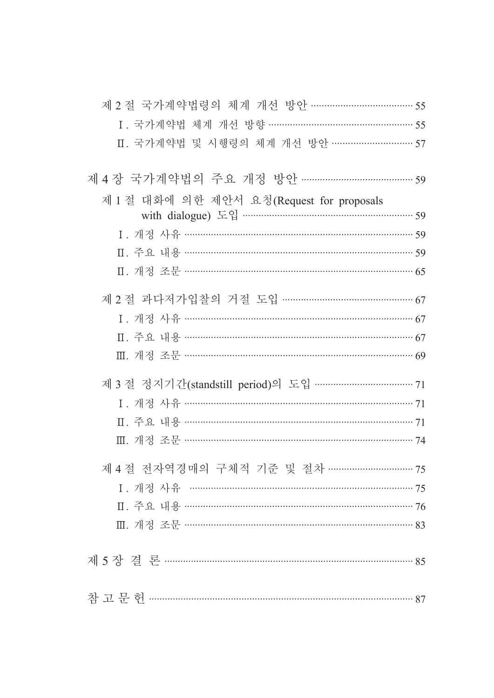| 제 2 절 국가계약법령의 체계 개선 방안 ……………………………… 55    |  |
|-------------------------------------------|--|
| I. 국가계약법 체계 개선 방향 …………………………………………… 55    |  |
| Ⅱ. 국가계약법 및 시행령의 체계 개선 방안 ……………………… 57     |  |
| 제 4 장 국가계약법의 주요 개정 방안 …………………………………… 59   |  |
| 제 1 절 대화에 의한 제안서 요청(Request for proposals |  |
|                                           |  |
|                                           |  |
|                                           |  |
|                                           |  |
| 제 2 절 과다저가입찰의 거절 도입 ……………………………………… 67    |  |
| 1. 개정 사유 …………………………………………………………………… 67    |  |
|                                           |  |
| Ⅲ. 개정 조문 …………………………………………………………………………… 69 |  |
|                                           |  |
|                                           |  |
|                                           |  |
|                                           |  |
| 제 4 절 전자역경매의 구체적 기준 및 절차 ………………………… 75    |  |
| 1. 개정 사유 ……………………………………………………………… 75      |  |
|                                           |  |
| Ⅲ. 개정 조문 ……………………………………………………………………… 83   |  |
|                                           |  |
|                                           |  |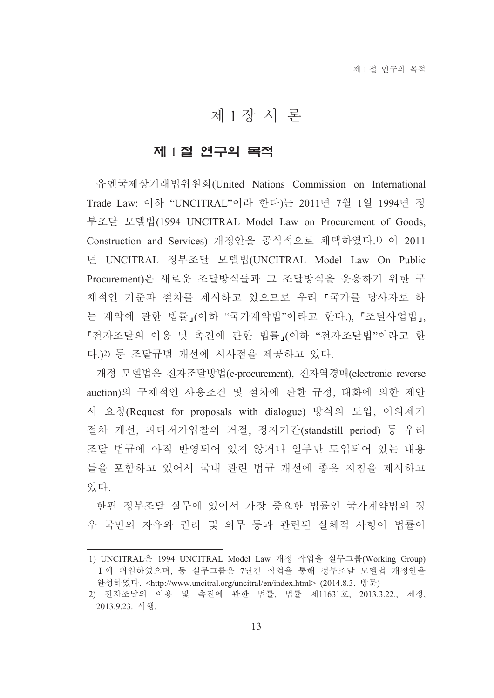# 제1장서론

#### 제 1절 연구의 목적

유엔국제상거래법위원회(United Nations Commission on International Trade Law: 이하 "UNCITRAL"이라 한다)는 2011년 7월 1일 1994년 정 부조달 모델법(1994 UNCITRAL Model Law on Procurement of Goods, Construction and Services) 개정안을 공식적으로 채택하였다. 1) 이 2011 년 UNCITRAL 정부조달 모델법(UNCITRAL Model Law On Public Procurement)은 새로운 조달방식들과 그 조달방식을 운용하기 위한 구 체적인 기준과 절차를 제시하고 있으므로 우리 「국가를 당사자로 하 는 계약에 관한 법률」(이하 "국가계약법"이라고 한다.)、「조달사업법」, 『전자조달의 이용 및 촉진에 관한 법률』(이하 "전자조달법"이라고 한 다.)2) 등 조달규범 개선에 시사점을 제공하고 있다.

개정 모델법은 전자조달방법(e-procurement), 전자역경매(electronic reverse auction)의 구체적인 사용조건 및 절차에 관한 규정, 대화에 의한 제안 서 요청(Request for proposals with dialogue) 방식의 도입, 이의제기 절차 개선, 과다저가입찰의 거절, 정지기간(standstill period) 등 우리 조달 법규에 아직 반영되어 있지 않거나 일부만 도입되어 있는 내용 들을 포함하고 있어서 국내 관련 법규 개선에 좋은 지침을 제시하고 있다.

한편 정부조달 실무에 있어서 가장 중요한 법률이 국가계약법의 경 우 국민의 자유와 권리 및 의무 등과 관련된 실체적 사항이 법률이

<sup>1)</sup> UNCITRAL은 1994 UNCITRAL Model Law 개정 작업을 실무그룹(Working Group) I에 위임하였으며, 동 실무그룹은 7년간 작업을 통해 정부조달 모델법 개정안을 완성하였다. <http://www.uncitral.org/uncitral/en/index.html> (2014.8.3. 방문)

<sup>2)</sup> 전자조달의 이용 및 촉진에 관한 법률, 법률 제11631호, 2013.3.22., 제정, 2013.9.23. 시행.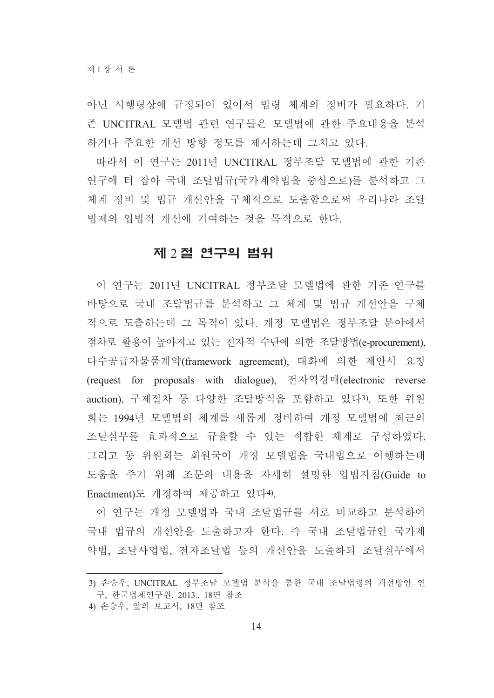아닌 시행령상에 규정되어 있어서 법령 체계의 정비가 필요하다. 기 존 UNCITRAL 모델법 관련 연구들은 모델법에 관한 주요내용을 분석 하거나 주요한 개선 방향 정도를 제시하는데 그치고 있다.

따라서 이 연구는 2011년 UNCITRAL 정부조달 모델법에 관한 기존 연구에 터 잡아 국내 조달법규(국가계약법을 중심으로)를 분석하고 그 체계 정비 및 법규 개선안을 구체적으로 도출함으로써 우리나라 조달 법제의 입법적 개선에 기여하는 것을 목적으로 한다.

#### 제 2절 연구의 범위

이 연구는 2011년 UNCITRAL 정부조달 모델법에 관한 기존 연구를 바탕으로 국내 조달법규를 부석하고 그 체계 및 법규 개선안을 구체 적으로 도출하는데 그 목적이 있다. 개정 모델법은 정부조달 분야에서 점차로 활용이 높아지고 있는 전자적 수단에 의한 조달방법(e-procurement), 다수공급자물품계약(framework agreement), 대화에 의한 제안서 요청 (request for proposals with dialogue), 전자역경매(electronic reverse auction), 구제절차 등 다양한 조달방식을 포함하고 있다3). 또한 위원 회는 1994년 모델법의 체계를 새롭게 정비하여 개정 모델법에 최근의 조달실무를 효과적으로 규율할 수 있는 적합한 체계로 구성하였다. 그리고 동 위원회는 회원국이 개정 모델법을 국내법으로 이행하는데 도움을 주기 위해 조문의 내용을 자세히 설명한 입법지침(Guide to Enactment)도 개정하여 제공하고 있다4).

이 연구는 개정 모델법과 국내 조달법규를 서로 비교하고 분석하여 국내 법규의 개선안을 도출하고자 한다. 즉 국내 조달법규인 국가계 약법, 조달사업법, 전자조달법 등의 개선안을 도출하되 조달실무에서

<sup>3)</sup> 손승우, UNCITRAL 정부조달 모델법 분석을 통한 국내 조달법령의 개선방안 연 구. 한국법제연구원. 2013.. 18면 참조

<sup>4)</sup> 손승우, 앞의 보고서, 18면 참조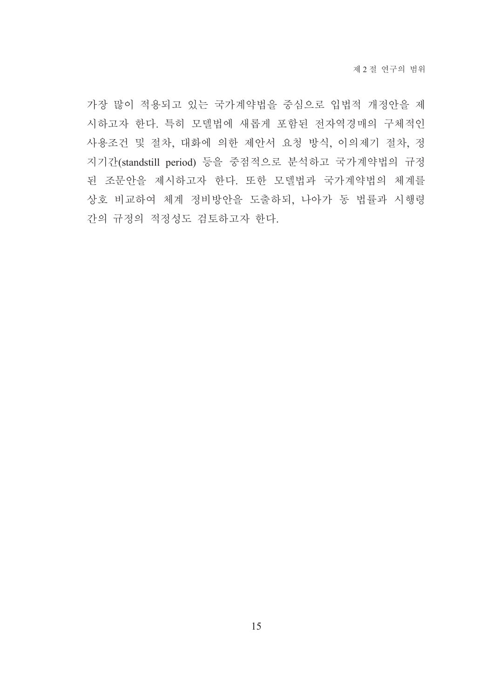가장 많이 적용되고 있는 국가계약법을 중심으로 입법적 개정안을 제 시하고자 한다. 특히 모델법에 새롭게 포함된 전자역경매의 구체적인 사용조건 및 절차, 대화에 의한 제안서 요청 방식, 이의제기 절차, 정 지기간(standstill period) 등을 중점적으로 분석하고 국가계약법의 규정 된 조문안을 제시하고자 한다. 또한 모델법과 국가계약법의 체계를 상호 비교하여 체계 정비방안을 도출하되, 나아가 동 법률과 시행령 간의 규정의 적정성도 검토하고자 한다.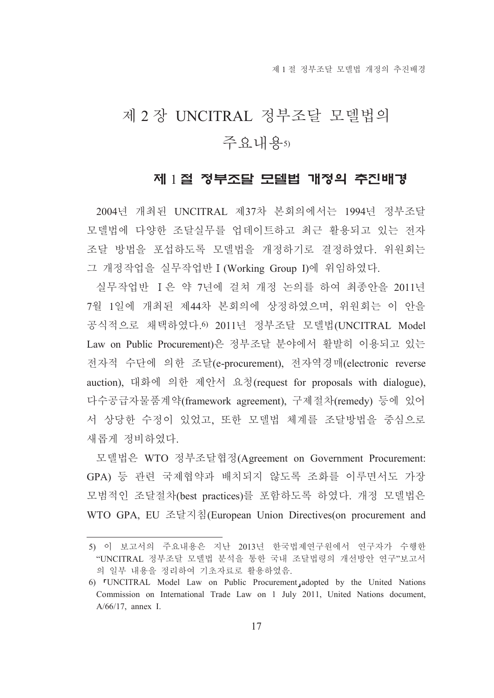# 제 2 장 UNCITRAL 정부조달 모델법의 주요내용5)

#### 제 1절 정부조달 모델법 개정의 추진배경

2004년 개최된 UNCITRAL 제37차 본회의에서는 1994년 정부조달 모델법에 다양한 조달실무를 업데이트하고 최근 활용되고 있는 전자 조달 방법을 포섭하도록 모델법을 개정하기로 결정하였다. 위워회는 그 개정작업을 실무작업반 I (Working Group I)에 위임하였다.

실무작업반 I은 약 7년에 걸쳐 개정 논의를 하여 최종안을 2011년 7월 1일에 개최된 제44차 본회의에 상정하였으며, 위원회는 이 안을 공식적으로 채택하였다. 6 2011년 정부조달 모델법(UNCITRAL Model Law on Public Procurement)은 정부조달 분야에서 활발히 이용되고 있는 저자적 수단에 의한 조달(e-procurement), 전자역경매(electronic reverse auction), 대화에 의한 제안서 요청(request for proposals with dialogue), 다수공급자물품계약(framework agreement), 구제절차(remedy) 등에 있어 서 상당한 수정이 있었고, 또한 모델법 체계를 조달방법을 중심으로 새롭게 정비하였다.

모델법은 WTO 정부조달협정(Agreement on Government Procurement: GPA) 등 관련 국제협약과 배치되지 않도록 조화를 이루면서도 가장 모범적인 조달절차(best practices)를 포함하도록 하였다. 개정 모델법은 WTO GPA, EU 조달지침(European Union Directives(on procurement and

<sup>5)</sup> 이 보고서의 주요내용은 지난 2013년 한국법제연구원에서 연구자가 수행한 "UNCITRAL 정부조달 모델법 분석을 통한 국내 조달법령의 개선방안 연구"보고서 의 일부 내용을 정리하여 기초자료로 활용하였음.

<sup>6) &</sup>lt;sup>r</sup>UNCITRAL Model Law on Public Procurement, adopted by the United Nations Commission on International Trade Law on 1 July 2011, United Nations document,  $A/66/17$ , annex I.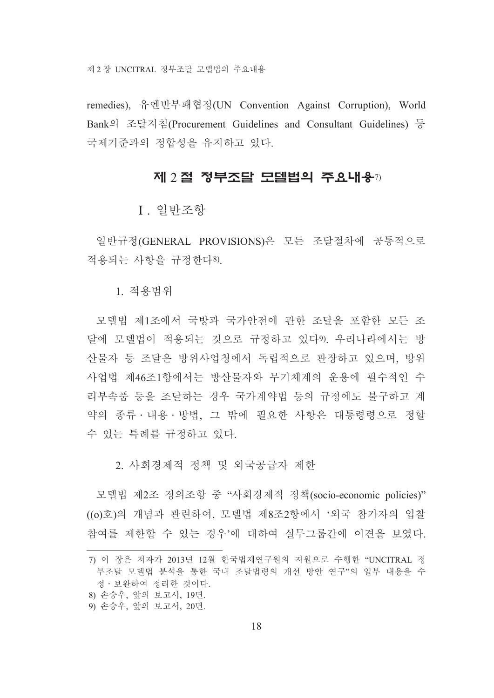제 2 장 UNCITRAL 정부조달 모델법의 주요내용

remedies), 유엔반부패협정(UN Convention Against Corruption), World Bank의 조달지침(Procurement Guidelines and Consultant Guidelines) 등 국제기주과의 정합성을 유지하고 있다.

#### 제 2 절 정부조달 모델법의 주요내용7)

I. 일반조항

일반규정(GENERAL PROVISIONS)은 모든 조달절차에 공통적으로 적용되는 사항을 규정하다8).

1 적용범위

모델법 제1조에서 국방과 국가안전에 관한 조달을 포함한 모든 조 달에 모델법이 적용되는 것으로 규정하고 있다9). 우리나라에서는 방 산물자 등 조달은 방위사업청에서 독립적으로 관장하고 있으며, 방위 사업법 제46조1항에서는 방산물자와 무기체계의 운용에 필수적인 수 리부속품 등을 조달하는 경우 국가계약법 등의 규정에도 불구하고 계 약의 종류 · 내용 · 방법. 그 밖에 필요한 사항은 대통령령으로 정할 수 있는 특례를 규정하고 있다.

2. 사회경제적 정책 및 외국공급자 제한

모델법 제2조 정의조항 중 "사회경제적 정책(socio-economic policies)" ((o)호)의 개념과 관련하여, 모델법 제8조2항에서 '외국 참가자의 입찰 참여를 제한할 수 있는 경우'에 대하여 실무그룹간에 이견을 보였다.

- 8) 손승우, 앞의 보고서, 19면,
- 9) 손승우, 앞의 보고서, 20면.

<sup>7)</sup> 이 장은 저자가 2013년 12월 한국법제연구원의 지원으로 수행한 "UNCITRAL 정 부조달 모델법 분석을 통한 국내 조달법령의 개선 방안 연구"의 일부 내용을 수 정 · 보완하여 정리한 것이다.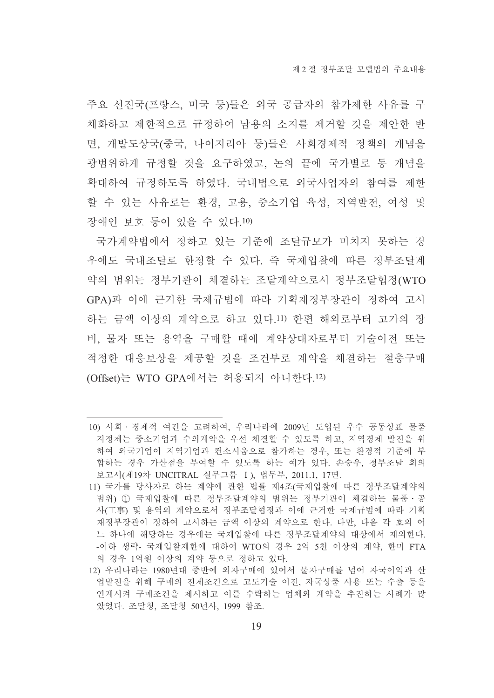주요 선진국(프랑스, 미국 등)들은 외국 공급자의 참가제한 사유를 구 체화하고 제한적으로 규정하여 남용의 소지를 제거할 것을 제안한 반 면, 개발도상국(중국, 나이지리아 등)들은 사회경제적 정책의 개념을 광범위하게 규정할 것을 요구하였고, 논의 끝에 국가별로 동 개념을 확대하여 규정하도록 하였다. 국내법으로 외국사업자의 참여를 제한 할 수 있는 사유로는 환경, 고용, 중소기업 육성, 지역발전, 여성 및 장애인 보호 등이 있을 수 있다.10)

국가계약법에서 정하고 있는 기준에 조달규모가 미치지 못하는 경 우에도 국내조달로 한정할 수 있다. 즉 국제입찰에 따른 정부조달계 약의 범위는 정부기관이 체결하는 조달계약으로서 정부조달협정(WTO GPA)과 이에 근거한 국제규범에 따라 기획재정부장관이 정하여 고시 하는 금액 이상의 계약으로 하고 있다.11) 한편 해외로부터 고가의 장 비. 물자 또는 용역을 구매할 때에 계약상대자로부터 기술이전 또는 적정한 대응보상을 제공할 것을 조건부로 계약을 체결하는 절충구매 (Offset)는 WTO GPA에서는 허용되지 아니한다.12)

<sup>10)</sup> 사회 · 경제적 여건을 고려하여, 우리나라에 2009년 도입된 우수 공동상표 물품 지정제는 중소기업과 수의계약을 우선 체결할 수 있도록 하고, 지역경제 발전을 위 하여 외국기업이 지역기업과 컨소시움으로 참가하는 경우. 또는 화경적 기준에 부 합하는 경우 가산점을 부여할 수 있도록 하는 예가 있다. 손승우, 정부조달 회의 보고서(제19차 UNCITRAL 실무그룹 I), 법무부, 2011.1, 17면.

<sup>11)</sup> 국가를 당사자로 하는 계약에 관한 법률 제4조(국제입찰에 따른 정부조달계약의 범위) 1 국제입찰에 따른 정부조달계약의 범위는 정부기관이 체결하는 물품 · 공 사(工事) 및 용역의 계약으로서 정부조달협정과 이에 근거한 국제규범에 따라 기획 재정부장관이 정하여 고시하는 금액 이상의 계약으로 하다. 다만, 다음 각 호의 어 느 하나에 해당하는 경우에는 국제입찰에 따른 정부조달계약의 대상에서 제외하다. -이하 생략- 국제입찰제한에 대하여 WTO의 경우 2억 5천 이상의 계약, 한미 FTA 의 경우 1억원 이상의 계약 등으로 정하고 있다.

<sup>12)</sup> 우리나라는 1980년대 중반에 외자구매에 있어서 물자구매를 넘어 자국이익과 산 업발전을 위해 구매의 전제조건으로 고도기술 이전, 자국상품 사용 또는 수출 등을 연계시켜 구매조건을 제시하고 이를 수락하는 업체와 계약을 추진하는 사례가 많 았었다. 조달청, 조달청 50년사, 1999 참조.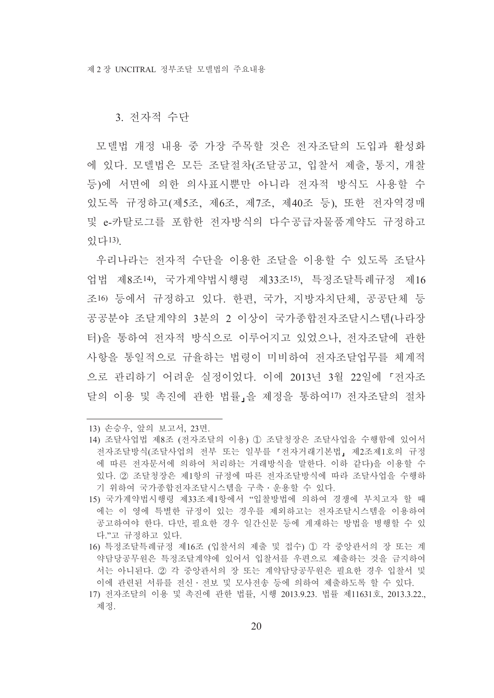3. 전자적 수단

모델법 개정 내용 중 가장 주목할 것은 전자조달의 도입과 활성화 에 있다. 모델법은 모든 조달절차(조달공고, 입찰서 제출, 통지, 개찰 등)에 서면에 의한 의사표시뿐만 아니라 전자적 방식도 사용할 수 있도록 규정하고(제5조, 제6조, 제7조, 제40조 등), 또한 전자역경매 및 e-카탈로그를 포함한 전자방식의 다수공급자물품계약도 규정하고 잉다13)

우리나라는 전자적 수단을 이용한 조달을 이용할 수 있도록 조달사 업법 제8조14). 국가계약법시행령 제33조15). 특정조달특례규정 제16 조16) 등에서 규정하고 있다. 한편, 국가, 지방자치단체, 공공단체 등 공공분야 조달계약의 3분의 2 이상이 국가종합전자조달시스템(나라장 터)을 통하여 전자적 방식으로 이루어지고 있었으나, 전자조달에 관한 사항을 통일적으로 규율하는 법령이 미비하여 저자조달업무를 체계적 으로 관리하기 어려운 실정이었다. 이에 2013년 3월 22일에 『전자조 달의 이용 및 촉진에 관한 법률」을 제정을 통하여17) 전자조달의 절차

<sup>13)</sup> 손승우, 앞의 보고서, 23면,

<sup>14)</sup> 조달사업법 제8조 (전자조달의 이용) ① 조달청장은 조달사업을 수행함에 있어서 전자조달방식(조달사업의 전부 또는 일부를 『전자거래기본법』제2조제1호의 규정 에 따른 전자문서에 의하여 처리하는 거래방식을 말한다. 이하 같다)을 이용할 수 있다. 2 조달청장은 제1항의 규정에 따른 전자조달방식에 따라 조달사업을 수행하 기 위하여 국가종합전자조달시스템을 구축 · 우용할 수 있다.

<sup>15)</sup> 국가계약법시행령 제33조제1항에서 "입찰방법에 의하여 경쟁에 부치고자 할 때 에는 이 영에 특별한 규정이 있는 경우를 제외하고는 전자조달시스템을 이용하여 공고하여야 한다. 다만, 필요한 경우 일간신문 등에 게재하는 방법을 병행할 수 있 다."고 규정하고 있다.

<sup>16)</sup> 특정조달특례규정 제16조 (입찰서의 제출 및 접수) ① 각 중앙관서의 장 또는 계 약담당공무원은 특정조달계약에 있어서 입찰서를 우편으로 제출하는 것을 금지하여 서는 아니된다. 2 각 중앙관서의 장 또는 계약담당공무원은 필요한 경우 입찰서 및 이에 관련된 서류를 전신 · 전보 및 모사전송 등에 의하여 제출하도록 할 수 있다.

<sup>17)</sup> 전자조달의 이용 및 촉진에 관한 법률, 시행 2013.9.23, 법률 제11631호, 2013.3.22., 제정.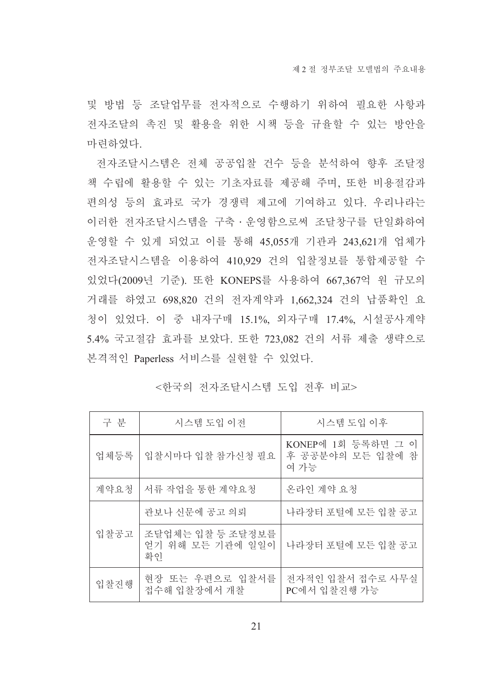및 방법 등 조달업무를 전자적으로 수행하기 위하여 필요한 사항과 전자조달의 촉진 및 활용을 위한 시책 등을 규율할 수 있는 방안을 마려하였다.

전자조달시스템은 전체 공공입찰 건수 등을 분석하여 향후 조달정 책 수립에 활용할 수 있는 기초자료를 제공해 주며, 또한 비용절감과 편의성 등의 효과로 국가 경쟁력 제고에 기여하고 있다. 우리나라는 이러한 전자조달시스템을 구축 • 운영함으로써 조달창구를 단일화하여 운영할 수 있게 되었고 이를 통해 45,055개 기관과 243,621개 업체가 전자조달시스템을 이용하여 410,929 건의 입찰정보를 통합제공할 수 있었다(2009년 기준). 또한 KONEPS를 사용하여 667,367억 원 규모의 거래를 하였고 698,820 건의 전자계약과 1,662,324 건의 납품확인 요 청이 있었다. 이 중 내자구매 15.1%, 외자구매 17.4%, 시설공사계약 5.4% 국고절감 효과를 보았다. 또한 723,082 건의 서류 제출 생략으로 본격적인 Paperless 서비스를 실현할 수 있었다.

|  | <한국의 전자조달시스템 도입 전후 비교> |  |  |  |  |
|--|------------------------|--|--|--|--|
|--|------------------------|--|--|--|--|

| 구 분  | 시스템 도입 이전                                  | 시스템 도입 이후                                      |
|------|--------------------------------------------|------------------------------------------------|
| 업체등록 | 입찰시마다 입찰 참가신청 필요                           | KONEP에 1회 등록하면 그 이<br>후 공공분야의 모든 입찰에 참<br>여 가능 |
| 계약요청 | 서류 작업을 통한 계약요청                             | 온라인 계약 요청                                      |
|      | 관보나 신문에 공고 의뢰                              | 나라장터 포털에 모든 입찰 공고                              |
| 입찰공고 | 조달업체는 입찰 등 조달정보를<br>얻기 위해 모든 기관에 일일이<br>확인 | 나라장터 포털에 모든 입찰 공고                              |
| 입찰진행 | 현장 또는 우편으로 입찰서를<br>접수해 입찰장에서 개찰            | 전자적인 입찰서 접수로 사무실<br>PC에서 입찰진행 가능               |

21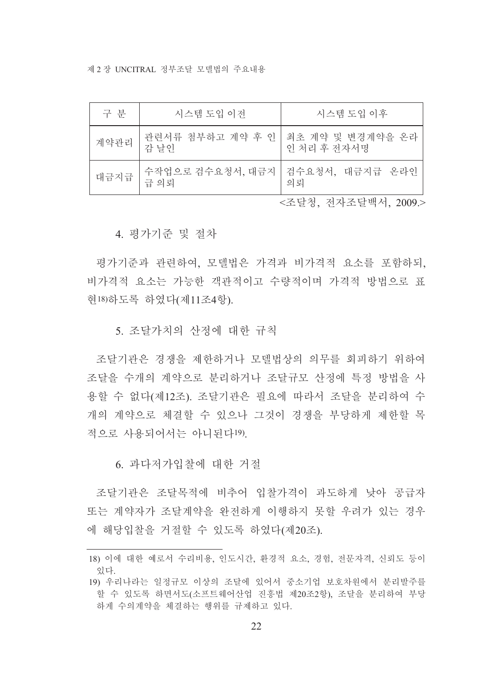제 2 장 UNCITRAL 정부조달 모델법의 주요내용

| 구 부  | 시스템 도입 이전                                   | 시스템 도입 이후   |
|------|---------------------------------------------|-------------|
| 계약관리 | 관련서류 첨부하고 계약 후 인   최초 계약 및 변경계약을 온라<br>감 날인 | 인 처리 후 전자서명 |
| 대금지급 | 수작업으로 검수요청서, 대금지   검수요청서, 대금지급 온라인<br>급의뢰   | 의뢰          |

<조달청. 전자조달백서. 2009.>

4. 평가기주 및 절차

평가기준과 관련하여, 모델법은 가격과 비가격적 요소를 포함하되. 비가격적 요소는 가능한 객관적이고 수량적이며 가격적 방법으로 표 현18) 하도록 하였다(제11조4항).

5. 조달가치의 산정에 대한 규칙

조달기관은 경쟁을 제한하거나 모델법상의 의무를 회피하기 위하여 조달을 수개의 계약으로 부리하거나 조달규모 산정에 특정 방법을 사 용할 수 없다(제12조). 조달기관은 필요에 따라서 조달을 분리하여 수 개의 계약으로 체결할 수 있으나 그것이 경쟁을 부당하게 제한할 목 적으로 사용되어서는 아니되다! 9)

6. 과다저가입찰에 대한 거절

조달기관은 조달목적에 비추어 입찰가격이 과도하게 낮아 공급자 또는 계약자가 조달계약을 완전하게 이행하지 못할 우려가 있는 경우 에 해당입찰을 거절할 수 있도록 하였다(제20조).

<sup>18)</sup> 이에 대한 예로서 수리비용, 인도시간, 환경적 요소, 경험, 전문자격, 신뢰도 등이 잉다

<sup>19)</sup> 우리나라는 일정규모 이상의 조달에 있어서 중소기업 보호차원에서 분리발주를 할 수 있도록 하면서도(소프트웨어산업 진흥법 제20조2항). 조달을 분리하여 부당 하게 수의계약을 체결하는 행위를 규제하고 있다.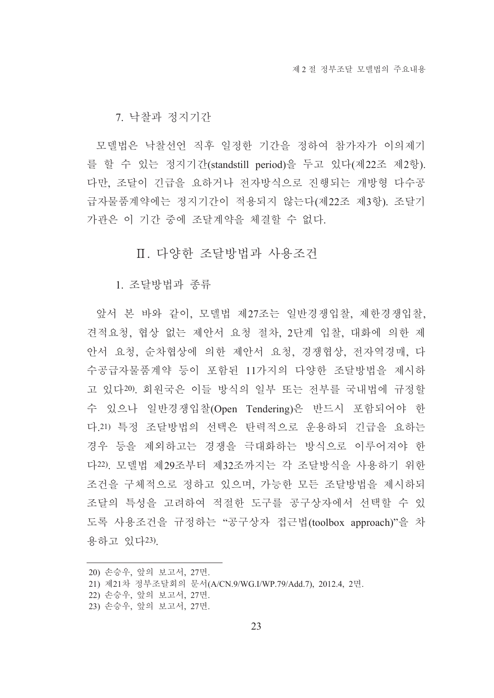7. 낙찰과 정지기간

모델법은 낙찰선언 직후 일정한 기간을 정하여 참가자가 이의제기 를 할 수 있는 정지기간(standstill period)을 두고 있다(제22조 제2항). 다만, 조달이 긴급을 요하거나 전자방식으로 진행되는 개방형 다수공 급자물품계약에는 정지기간이 적용되지 않는다(제22조 제3항). 조달기 가관은 이 기간 중에 조달계약을 체결할 수 없다.

Ⅱ. 다양한 조달방법과 사용조건

1. 조달방법과 종류

앞서 본 바와 같이, 모델법 제27조는 일반경쟁입찰, 제한경쟁입찰, 견적요청, 협상 없는 제안서 요청 절차, 2단계 입찰, 대화에 의한 제 안서 요청, 순차협상에 의한 제안서 요청, 경쟁협상, 전자역경매, 다 수공급자물품계약 등이 포함된 11가지의 다양한 조달방법을 제시하 고 있다20). 회원국은 이들 방식의 일부 또는 전부를 국내법에 규정할 수 있으나 일반경쟁입찰(Open Tendering)은 반드시 포함되어야 한 다.21) 특정 조달방법의 선택은 탄력적으로 운용하되 긴급을 요하는 경우 등을 제외하고는 경쟁을 극대화하는 방식으로 이루어져야 한 다22). 모델법 제29조부터 제32조까지는 각 조달방식을 사용하기 위한 조건을 구체적으로 정하고 있으며, 가능한 모든 조달방법을 제시하되 조달의 특성을 고려하여 적절한 도구를 공구상자에서 선택할 수 있 도록 사용조건을 규정하는 "공구상자 접근법(toolbox approach)"을 차 용하고 있다23)

<sup>20)</sup> 손승우, 앞의 보고서, 27면.

<sup>21)</sup> 제21차 정부조달회의 문서(A/CN.9/WG.I/WP.79/Add.7), 2012.4, 2면.

<sup>22)</sup> 손승우, 앞의 보고서, 27면,

<sup>23)</sup> 손승우, 앞의 보고서, 27면.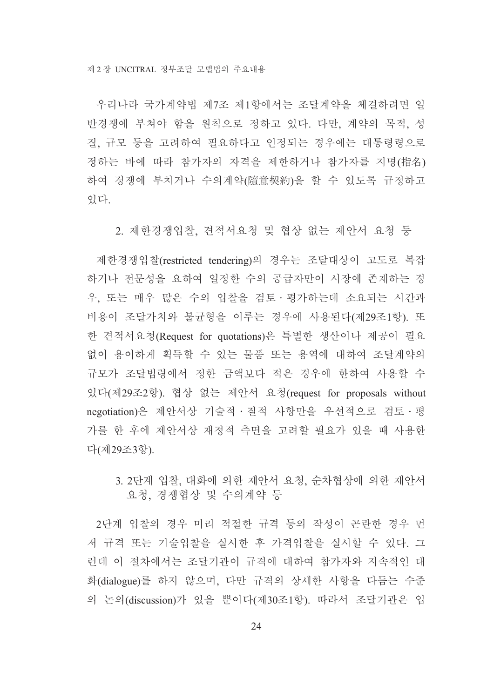우리나라 국가계약법 제7조 제1항에서는 조달계약을 체결하려면 일 반경쟁에 부쳐야 함을 원칙으로 정하고 있다. 다만, 계약의 목적, 성 질, 규모 등을 고려하여 필요하다고 인정되는 경우에는 대통령령으로 정하는 바에 따라 참가자의 자격을 제한하거나 참가자를 지명(指名) 하여 경쟁에 부치거나 수의계약(隨意契約)을 할 수 있도록 규정하고 있다.

2. 제한경쟁입찰, 견적서요청 및 협상 없는 제안서 요청 등

제한경쟁입찰(restricted tendering)의 경우는 조달대상이 고도로 복잡 하거나 전문성을 요하여 일정한 수의 공급자만이 시장에 존재하는 경 우, 또는 매우 많은 수의 입찰을 검토·평가하는데 소요되는 시간과 비용이 조달가치와 불균형을 이루는 경우에 사용된다(제29조1항). 또 한 견적서요청(Request for quotations)은 특별한 생산이나 제공이 필요 없이 용이하게 획득할 수 있는 물품 또는 용역에 대하여 조달계약의 규모가 조달법령에서 정한 금액보다 적은 경우에 한하여 사용할 수 있다(제29조2항). 협상 없는 제안서 요청(request for proposals without negotiation)은 제안서상 기술적 · 질적 사항만을 우선적으로 검토 · 평 가를 한 후에 제안서상 재정적 측면을 고려할 필요가 있을 때 사용한 다(제29조3항)

3. 2단계 입찰, 대화에 의한 제안서 요청, 순차협상에 의한 제안서 요청, 경쟁협상 및 수의계약 등

2단계 입찰의 경우 미리 적절한 규격 등의 작성이 곤란한 경우 먼 저 규격 또는 기술입찰을 실시한 후 가격입찰을 실시할 수 있다. 그 런데 이 절차에서는 조달기관이 규격에 대하여 참가자와 지속적인 대 화(dialogue)를 하지 않으며, 다만 규격의 상세한 사항을 다듬는 수준 의 논의(discussion)가 있을 뿐이다(제30조1항). 따라서 조달기관은 입

 $24$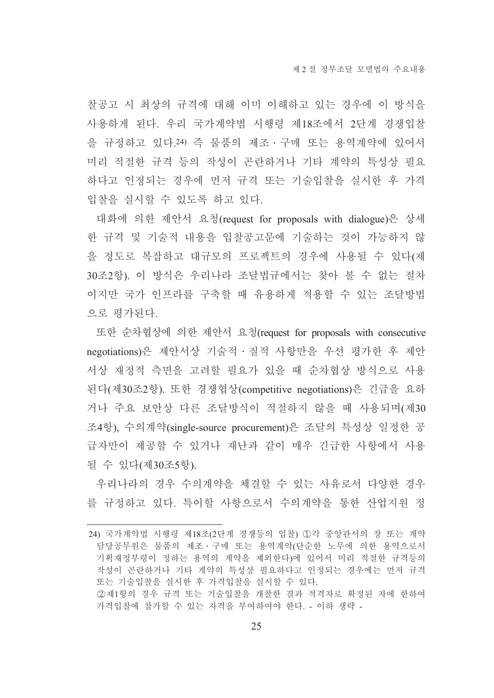찰공고 시 최상의 규격에 대해 이미 이해하고 있는 경우에 이 방식을 사용하게 된다. 우리 국가계약법 시행령 제18조에서 2단계 경쟁입찰 을 규정하고 있다.24) 즉 물품의 제조 · 구매 또는 용역계약에 있어서 미리 적절한 규격 등의 작성이 곤란하거나 기타 계약의 특성상 필요 하다고 인정되는 경우에 먼저 규격 또는 기술입찰을 실시한 후 가격 입찰을 실시할 수 있도록 하고 있다.

대화에 의한 제안서 요청(request for proposals with dialogue)은 상세 한 규격 및 기술적 내용을 입찰공고문에 기술하는 것이 가능하지 않 을 정도로 복잡하고 대규모의 프로젝트의 경우에 사용될 수 있다(제 30조2항). 이 방식은 우리나라 조달법규에서는 찾아 볼 수 없는 절차 이지만 국가 인프라를 구축할 때 유용하게 적용할 수 있는 조달방법 으로 평가된다.

또한 순차협상에 의한 제안서 요청(request for proposals with consecutive negotiations)은 제안서상 기술적 · 질적 사항만을 우선 평가한 후 제안 서상 재정적 측면을 고려할 필요가 있을 때 순차협상 방식으로 사용 된다(제30조2항). 또한 경쟁협상(competitive negotiations)은 긴급을 요하 거나 주요 보안상 다른 조달방식이 적절하지 않을 때 사용되며(제30 조4항), 수의계약(single-source procurement)은 조달의 특성상 일정한 공 급자만이 제공할 수 있거나 재난과 같이 매우 긴급한 사항에서 사용 될 수 있다(제30조5항).

우리나라의 경우 수의계약을 체결할 수 있는 사유로서 다양한 경우 를 규정하고 있다. 특이할 사항으로서 수의계약을 통한 산업지원 정

<sup>24)</sup> 국가계약법 시행령 제18조(2단계 경쟁등의 입찰) ①각 중앙관서의 장 또는 계약 담당공무원은 물품의 제조・구매 또는 용역계약(단순한 노무에 의한 용역으로서 기획재정부령이 정하는 용역의 계약을 제외한다)에 있어서 미리 적절한 규격등의 작성이 곤란하거나 기타 계약의 특성상 필요하다고 인정되는 경우에는 먼저 규격 또는 기술입찰을 실시한 후 가격입찰을 실시할 수 있다. ②제1항의 경우 규격 또는 기술입찰을 개찰한 결과 적격자로 확정된 자에 한하여 가격입찰에 참가할 수 있는 자격을 부여하여야 한다. - 이하 생략 -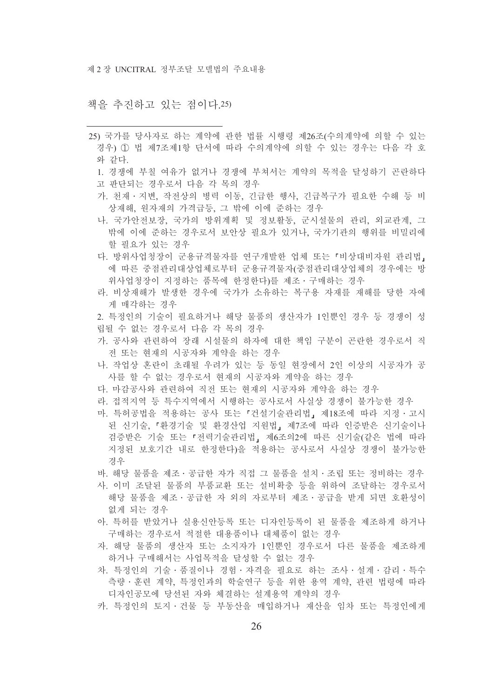#### 책을 추진하고 있는 점이다.25)

- 25) 국가를 당사자로 하는 계약에 관한 법률 시행령 제26조(수의계약에 의할 수 있는 경우) ① 법 제7조제1항 단서에 따라 수의계약에 의할 수 있는 경우는 다음 각 호 와 같다.
	- 1. 경쟁에 부칠 여유가 없거나 경쟁에 부쳐서는 계약의 목적을 달성하기 곤란하다
	- 고 판단되는 경우로서 다음 각 목의 경우
	- 가. 천재 · 지변, 작전상의 병력 이동, 긴급한 행사, 긴급복구가 필요한 수해 등 비 상재해, 워자재의 가격급등, 그 밖에 이에 준하는 경우
	- 나. 국가안전보장, 국가의 방위계획 및 정보활동, 군시설물의 관리, 외교관계, 그 밖에 이에 주하는 경우로서 보아상 필요가 있거나. 국가기과의 행위를 비밀리에 할 필요가 있는 경우
	- 다. 방위사업청장이 군용규격물자를 연구개발한 업체 또는 「비상대비자원 관리법」 에 따른 중점관리대상업체로부터 군용규격물자(중점관리대상업체의 경우에는 방 위사업청장이 지정하는 품목에 한정한다)를 제조 · 구매하는 경우
	- 라. 비상재해가 발생한 경우에 국가가 소유하는 복구용 자재를 재해를 당한 자에 게 매각하는 경우
	- 2. 특정인의 기술이 필요하거나 해당 물품의 생산자가 1인뿐인 경우 등 경쟁이 성 립될 수 없는 경우로서 다음 각 목의 경우
	- 가. 공사와 관련하여 장래 시설물의 하자에 대한 책임 구분이 곤란한 경우로서 직 전 또는 현재의 시공자와 계약을 하는 경우
	- 나. 작업상 혼란이 초래될 우려가 있는 등 동일 현장에서 2인 이상의 시공자가 공 사를 할 수 없는 경우로서 현재의 시공자와 계약을 하는 경우
	- 다. 마감공사와 관련하여 직전 또는 현재의 시공자와 계약을 하는 경우
	- 라. 접적지역 등 특수지역에서 시행하는 공사로서 사실상 경쟁이 불가능한 경우
	- 마. 특허공법을 적용하는 공사 또는 「건설기술관리법」 제18조에 따라 지정·고시 된 신기술 「화경기술 및 화경산업 지워법」제7조에 따라 인증받은 신기술이나 검증받은 기술 또는 「전력기술관리법」 제6조의2에 따른 신기술(같은 법에 따라 지정된 보호기간 내로 한정한다)을 적용하는 공사로서 사실상 경쟁이 불가능한 경우
	- 바. 해당 물품을 제조 · 공급한 자가 직접 그 물품을 설치 · 조립 또는 정비하는 경우
	- 사, 이미 조달된 물품의 부품교화 또는 설비확충 등을 위하여 조달하는 경우로서 해당 물품을 제조·공급한 자 외의 자로부터 제조·공급을 받게 되면 호환성이 없게 되는 경우
	- 아. 특허를 받았거나 실용신안등록 또는 디자인등록이 된 물품을 제조하게 하거나 구매하는 경우로서 적절한 대용품이나 대체품이 없는 경우
	- 자. 해당 물품의 생산자 또는 소지자가 1인뿐인 경우로서 다른 물품을 제조하게 하거나 구매해서는 사업목적을 달성할 수 없는 경우
	- 차. 특정인의 기술·품질이나 경험·자격을 필요로 하는 조사·설계·감리·특수 측량 · 훈련 계약, 특정인과의 학술연구 등을 위한 용역 계약, 관련 법령에 따라 디자인공모에 당선된 자와 체결하는 설계용역 계약의 경우
	- 카. 특정인의 토지 · 건물 등 부동산을 매입하거나 재산을 임차 또는 특정인에게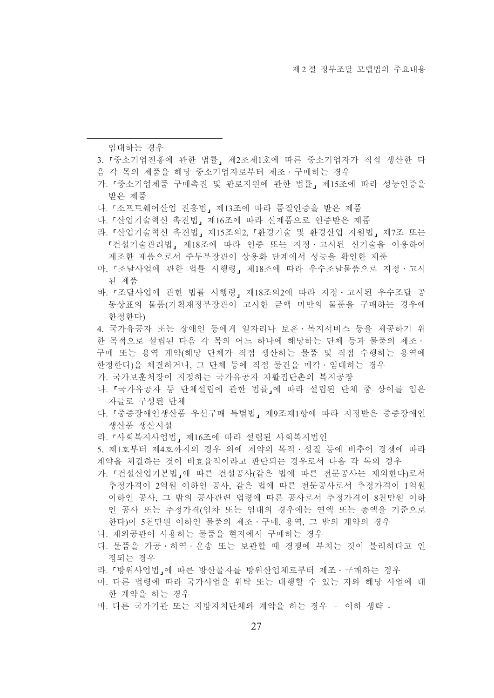임대하는 경우

- 3. 「중소기업진흥에 관한 법률, 제2조제1호에 따른 중소기업자가 직접 생산한 다
- 음 각 목의 제품을 해당 중소기업자로부터 제조 · 구매하는 경우
- 가.『중소기업제품 구매촉진 및 판로지원에 관한 법률』제15조에 따라 성능인증을 받은 제품
- 나. 『소프트웨어산업 진흥법』 제13조에 따라 품질인증을 받은 제품
- 다. 『산업기술혁신 촉진법』제16조에 따라 신제품으로 인증받은 제품
- 라. 「산업기술혁신 촉진법, 제15조의2. 「환경기술 및 환경산업 지원법, 제7조 또는 『건설기술관리법』 제18조에 따라 인증 또는 지정·고시된 신기술을 이용하여 제조한 제품으로서 주무부장관이 상용화 단계에서 성능을 확인한 제품
- 마. 「조달사업에 관한 법률 시행령, 제18조에 따라 우수조달물품으로 지정 · 고시 된 제품
- 바. 『조달사업에 관한 법률 시행령, 제18조의2에 따라 지정·고시된 우수조달 공 동상표의 물품(기획재정부장관이 고시한 금액 미만의 물품을 구매하는 경우에 한정한다)
- 4. 국가유공자 또는 장애인 등에게 일자리나 보훈·복지서비스 등을 제공하기 위 한 목적으로 설립된 다음 각 목의 어느 하나에 해당하는 단체 등과 물품의 제조 · 구매 또는 용역 계약(해당 단체가 직접 생산하는 물품 및 직접 수행하는 용역에 한정한다)을 체결하거나, 그 단체 등에 직접 물건을 매각·임대하는 경우
- 가. 국가보훈처장이 지정하는 국가유공자 자활집단촌의 복지공장
- 나. 「국가유공자 등 단체설립에 관한 법률」에 따라 설립된 단체 중 상이를 입은 자들로 구성된 단체
- 다. 『중증장애인생산품 우선구매 특별법』제9조제1항에 따라 지정받은 중증장애인 생산품 생산시설
- 라. 『사회복지사업법』제16조에 따라 설립된 사회복지법인
- 5. 제1호부터 제4호까지의 경우 외에 계약의 목적 · 성질 등에 비추어 경쟁에 따라 계약을 체결하는 것이 비효율적이라고 판단되는 경우로서 다음 각 목의 경우
- 가. 『건설산업기본법』에 따른 건설공사(같은 법에 따른 전문공사는 제외한다)로서 추정가격이 2억워 이하인 공사. 같은 법에 따른 전문공사로서 추정가격이 1억워 이하인 공사, 그 밖의 공사관련 법령에 따른 공사로서 추정가격이 8천만원 이하 인 공사 또는 추정가격(임차 또는 임대의 경우에는 연액 또는 총액을 기준으로 한다)이 5천만원 이하인 물품의 제조 · 구매, 용역, 그 밖의 계약의 경우
- 나. 재외공관이 사용하는 물품을 현지에서 구매하는 경우
- 다. 물품을 가공·하역·운송 또는 보관할 때 경쟁에 부치는 것이 불리하다고 인 정되는 경우
- 라. 「방위사업법」에 따른 방산물자를 방위산업체로부터 제조 · 구매하는 경우
- 마. 다른 법령에 따라 국가사업을 위탁 또는 대행할 수 있는 자와 해당 사업에 대 한 계약을 하는 경우
- 바. 다른 국가기관 또는 지방자치단체와 계약을 하는 경우 이하 생략 -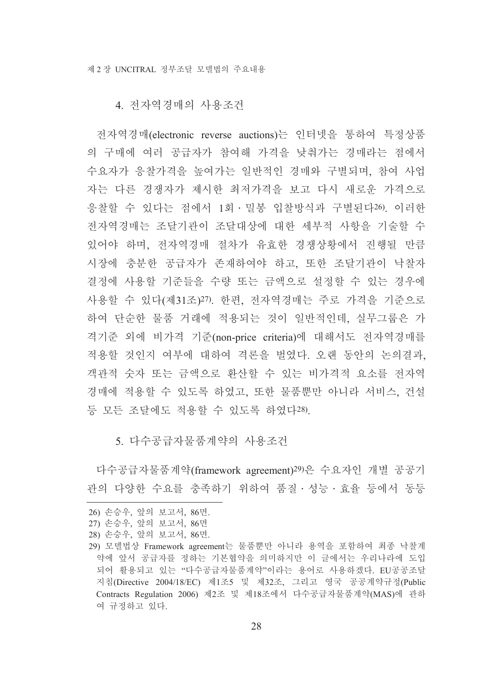#### 4. 전자역경매의 사용조건

전자역경매(electronic reverse auctions)는 인터넷을 통하여 특정상품 의 구매에 여러 공급자가 참여해 가격을 낮춰가는 경매라는 점에서 수요자가 응찰가격을 높여가는 일반적인 경매와 구별되며, 참여 사업 자는 다른 경쟁자가 제시한 최저가격을 보고 다시 새로운 가격으로 응찰할 수 있다는 점에서 1회 · 밀봉 입찰방식과 구별된다26. 이러한 전자역경매는 조달기관이 조달대상에 대한 세부적 사항을 기술할 수 있어야 하며, 전자역경매 절차가 유효한 경쟁상황에서 진행될 만큼 시장에 충분한 공급자가 존재하여야 하고, 또한 조달기관이 낙찰자 결정에 사용할 기준들을 수량 또는 금액으로 설정할 수 있는 경우에 사용할 수 있다(제31조)27). 한편, 전자역경매는 주로 가격을 기준으로 하여 단순한 물품 거래에 적용되는 것이 일반적인데, 실무그룹은 가 격기준 외에 비가격 기준(non-price criteria)에 대해서도 전자역경매를 적용할 것인지 여부에 대하여 격론을 벌였다. 오랜 동안의 논의결과, 객관적 숫자 또는 금액으로 환산할 수 있는 비가격적 요소를 전자역 경매에 적용할 수 있도록 하였고, 또한 물품뿐만 아니라 서비스, 건설 등 모든 조달에도 적용할 수 있도록 하였다28).

5. 다수공급자물품계약의 사용조건

다수공급자물품계약(framework agreement)<sup>29)</sup>은 수요자인 개별 공공기 관의 다양한 수요를 충족하기 위하여 품질 · 성능 · 효율 등에서 동등

<sup>26)</sup> 손승우, 앞의 보고서, 86면.

<sup>27)</sup> 손승우, 앞의 보고서, 86면

<sup>28)</sup> 손승우, 앞의 보고서, 86면,

<sup>29)</sup> 모델법상 Framework agreement는 물품뿐만 아니라 용역을 포함하여 최종 낙찰계 약에 앞서 공급자를 정하는 기본협약을 의미하지만 이 글에서는 우리나라에 도입 되어 활용되고 있는 "다수공급자물품계약"이라는 용어로 사용하겠다. EU공공조달 지침(Directive 2004/18/EC) 제1조5 및 제32조, 그리고 영국 공공계약규정(Public Contracts Regulation 2006) 제2조 및 제18조에서 다수공급자물품계약(MAS)에 관하 여 규정하고 있다.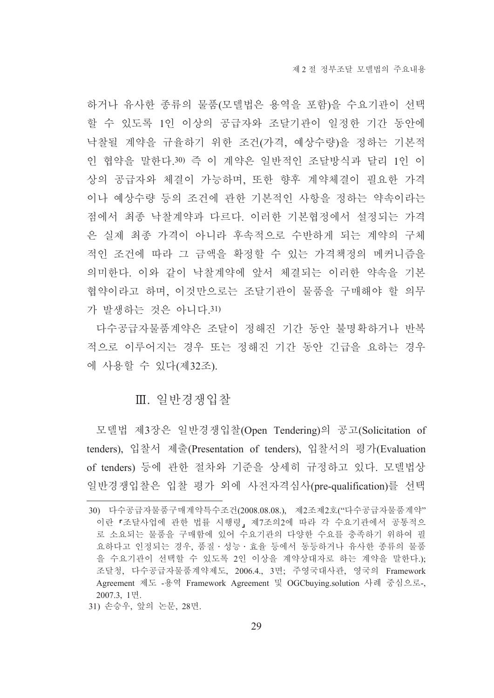하거나 유사한 종류의 물품(모델법은 용역을 포함)을 수요기관이 선택 할 수 있도록 1인 이상의 공급자와 조달기관이 일정한 기간 동안에 낙찰될 계약을 규율하기 위한 조건(가격, 예상수량)을 정하는 기본적 인 협약을 말한다.30) 즉 이 계약은 일반적인 조달방식과 달리 1인 이 상의 공급자와 체결이 가능하며, 또한 향후 계약체결이 필요한 가격 이나 예상수량 등의 조건에 관한 기본적인 사항을 정하는 약속이라는 점에서 최종 낙찰계약과 다르다. 이러한 기본협정에서 설정되는 가격 은 실제 최종 가격이 아니라 후속적으로 수반하게 되는 계약의 구체 적인 조건에 따라 그 금액을 확정할 수 있는 가격책정의 메커니즘을 의미한다. 이와 같이 낙찰계약에 앞서 체결되는 이러한 약속을 기본 협약이라고 하며, 이것만으로는 조달기관이 물품을 구매해야 할 의무 가 발생하는 것은 아니다.31)

다수공급자물품계약은 조달이 정해진 기간 동안 불명확하거나 반복 적으로 이루어지는 경우 또는 정해진 기간 동안 긴급을 요하는 경우 에 사용할 수 있다(제32조).

#### Ⅲ. 일반경쟁입찰

모델법 제3장은 일반경쟁입찰(Open Tendering)의 공고(Solicitation of tenders), 입찰서 제출(Presentation of tenders), 입찰서의 평가(Evaluation of tenders) 등에 관한 절차와 기준을 상세히 규정하고 있다. 모델법상 일반경쟁입찰은 입찰 평가 외에 사전자격심사(pre-qualification)를 선택

<sup>30)</sup> 다수공급자물품구매계약특수조건(2008.08.08.), 제2조제2호("다수공급자물품계약" 이란 『조달사업에 관한 법률 시행령』 제7조의2에 따라 각 수요기관에서 공통적으 로 소요되는 물품을 구매함에 있어 수요기관의 다양한 수요를 충족하기 위하여 필 요하다고 인정되는 경우, 품질·성능·효율 등에서 동등하거나 유사한 종류의 물품 을 수요기관이 선택할 수 있도록 2인 이상을 계약상대자로 하는 계약을 말한다.); 조달청, 다수공급자물품계약제도, 2006.4., 3면; 주영국대사관, 영국의 Framework Agreement 제도 -용역 Framework Agreement 및 OGCbuying.solution 사례 중심으로-, 2007.3. 1면.

<sup>31)</sup> 손승우, 앞의 논문, 28면.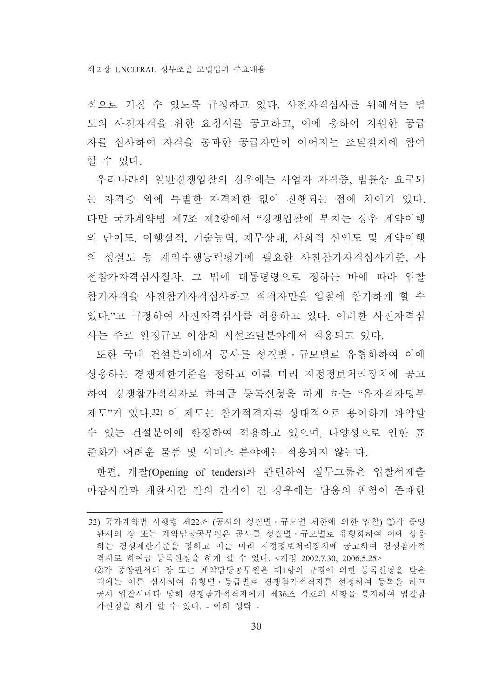적으로 거칠 수 있도록 규정하고 있다. 사전자격심사를 위해서는 별 도의 사전자격을 위한 요청서를 공고하고, 이에 응하여 지원한 공급 자를 심사하여 자격을 통과한 공급자만이 이어지는 조달절차에 참여 할 수 있다.

우리나라의 일반경쟁입찰의 경우에는 사업자 자격증, 법률상 요구되 는 자격증 외에 특별한 자격제한 없이 진행되는 점에 차이가 있다. 다만 국가계약법 제7조 제2항에서 "경쟁입찰에 부치는 경우 계약이행 의 난이도, 이행실적, 기술능력, 재무상태, 사회적 신인도 및 계약이행 의 성실도 등 계약수행능력평가에 필요한 사전참가자격심사기준, 사 전참가자격심사절차, 그 밖에 대통령령으로 정하는 바에 따라 입찰 참가자격을 사전참가자격심사하고 적격자만을 입찰에 참가하게 할 수 있다."고 규정하여 사전자격심사를 허용하고 있다. 이러한 사전자격심 사는 주로 일정규모 이상의 시설조달분야에서 적용되고 있다.

또한 국내 건설분야에서 공사를 성질별 · 규모별로 유형화하여 이에 상응하는 경쟁제한기준을 정하고 이를 미리 지정정보처리장치에 공고 하여 경쟁참가적격자로 하여금 등록신청을 하게 하는 "유자격자명부 제도"가 있다 32) 이 제도는 참가적격자를 상대적으로 용이하게 파악할 수 있는 건설분야에 한정하여 적용하고 있으며, 다양성으로 인한 표 준화가 어려운 물품 및 서비스 분야에는 적용되지 않는다.

한편, 개찰(Opening of tenders)과 관련하여 실무그룹은 입찰서제출 마감시간과 개찰시간 간의 간격이 긴 경우에는 남용의 위험이 존재한

가신청을 하게 할 수 있다. - 이하 생략 -

<sup>32)</sup> 국가계약법 시행령 제22조 (공사의 성질별 · 규모별 제한에 의한 입찰) ①각 중앙 관서의 장 또는 계약담당공무원은 공사를 성질별 · 규모별로 유형화하여 이에 상응 '하는 경쟁제한기준을 정하고 이를 미리 지정정보처리장치에 공고하여 경쟁참가적 격자로 하여금 등록신청을 하게 할 수 있다. <개정 2002.7.30, 2006.5.25> ②각 중앙과서의 장 또는 계약담당공무워은 제1항의 규정에 의한 등록신청을 받은 때에는 이를 심사하여 유형별ㆍ등급별로 경쟁참가적격자를 선정하여 등록을 하고 공사 입찰시마다 당해 경쟁참가적격자에게 제36조 각호의 사항을 통지하여 입찰참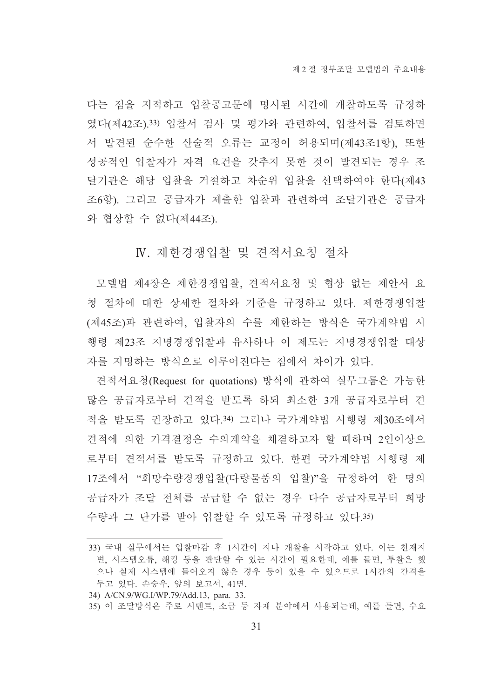다는 점을 지적하고 입찰공고문에 명시된 시간에 개찰하도록 규정하 였다(제42조).33) 입찰서 검사 및 평가와 관련하여, 입찰서를 검토하면 서 발견된 순수한 산술적 오류는 교정이 허용되며(제43조1항), 또한 성공적인 입찰자가 자격 요건을 갖추지 못한 것이 발견되는 경우 조 달기관은 해당 입찰을 거절하고 차순위 입찰을 선택하여야 한다(제43 조6항). 그리고 공급자가 제출한 입찰과 관련하여 조달기관은 공급자 와 협상할 수 없다(제44조).

#### IV. 제한경쟁입찰 및 견적서요청 절차

모델법 제4장은 제한경쟁입찰, 견적서요청 및 협상 없는 제안서 요 청 절차에 대한 상세한 절차와 기준을 규정하고 있다. 제한경쟁입찰 (제45조)과 관련하여, 입찰자의 수를 제한하는 방식은 국가계약법 시 행령 제23조 지명경쟁입찰과 유사하나 이 제도는 지명경쟁입찰 대상 자를 지명하는 방식으로 이루어진다는 점에서 차이가 있다.

견적서요청(Request for quotations) 방식에 관하여 실무그룹은 가능한 많은 공급자로부터 견적을 받도록 하되 최소한 3개 공급자로부터 견 적을 받도록 권장하고 있다.34) 그러나 국가계약법 시행령 제30조에서 견적에 의한 가격결정은 수의계약을 체결하고자 할 때하며 2인이상으 로부터 견적서를 받도록 규정하고 있다. 한편 국가계약법 시행령 제 17조에서 "희망수량경쟁입찰(다량물품의 입찰)"을 규정하여 한 명의 공급자가 조달 전체를 공급할 수 없는 경우 다수 공급자로부터 희망 수량과 그 단가를 받아 입찰할 수 있도록 규정하고 있다.35)

34) A/CN.9/WG.I/WP.79/Add.13. para. 33.

<sup>33)</sup> 국내 실무에서는 입찰마감 후 1시간이 지나 개찰을 시작하고 있다. 이는 천재지 변. 시스템오류. 해킹 등을 판단할 수 있는 시간이 필요한데. 예를 들면. 투찰은 했 으나 실제 시스템에 들어오지 않은 경우 등이 있을 수 있으므로 1시간의 간격을 두고 있다. 손승우, 앞의 보고서, 41면.

<sup>35)</sup> 이 조달방식은 주로 시멘트, 소금 등 자재 분야에서 사용되는데, 예를 들면, 수요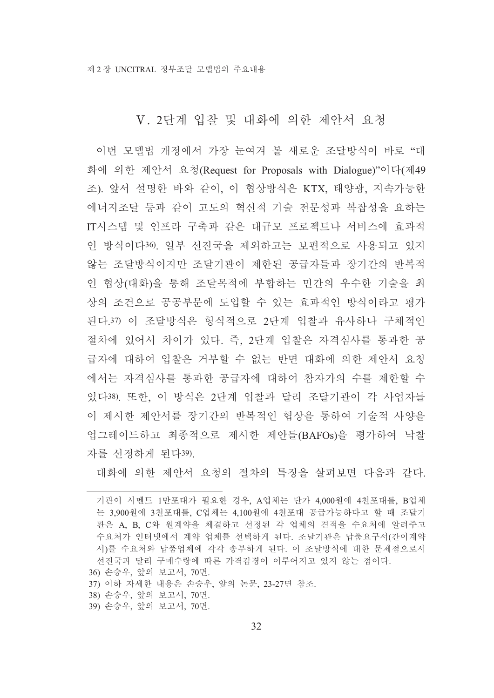#### V. 2단계 입찰 및 대화에 의한 제안서 요청

이번 모델법 개정에서 가장 눈여겨 볼 새로운 조달방식이 바로 "대 화에 의한 제안서 요청(Request for Proposals with Dialogue)"이다(제49 조). 앞서 설명한 바와 같이, 이 협상방식은 KTX, 태양광, 지속가능한 에너지조달 등과 같이 고도의 혁신적 기술 전문성과 복잡성을 요하는 IT시스템 및 인프라 구축과 같은 대규모 프로젝트나 서비스에 효과적 인 방식이다36. 일부 선진국을 제외하고는 보편적으로 사용되고 있지 않는 조달방식이지만 조달기관이 제한된 공급자들과 장기간의 반복적 인 협상(대화)을 통해 조달목적에 부합하는 민간의 우수한 기술을 최 상의 조건으로 공공부문에 도입할 수 있는 효과적인 방식이라고 평가 된다.37) 이 조달방식은 형식적으로 2단계 입찰과 유사하나 구체적인 절차에 있어서 차이가 있다. 즉, 2단계 입찰은 자격심사를 통과한 공 급자에 대하여 입찰은 거부할 수 없는 반면 대화에 의한 제안서 요청 에서는 자격심사를 통과한 공급자에 대하여 참자가의 수를 제한할 수 있다38). 또한, 이 방식은 2단계 입찰과 달리 조달기관이 각 사업자들 이 제시한 제안서를 장기간의 반복적인 협상을 통하여 기술적 사양을 업그레이드하고 최종적으로 제시한 제안들(BAFOs)을 평가하여 낙찰 자를 선정하게 된다39).

대화에 의한 제안서 요청의 절차의 특징을 살펴보면 다음과 같다.

- 36) 손승우, 앞의 보고서, 70면.
- 37) 이하 자세한 내용은 손승우, 앞의 논문, 23-27면 참조.
- 38) 손승우, 앞의 보고서, 70면,
- 39) 손승우, 앞의 보고서, 70면.

기관이 시멘트 1만포대가 필요한 경우, A업체는 단가 4,000원에 4천포대를, B업체 는 3.900원에 3천포대를, C업체는 4.100원에 4천포대 공급가능하다고 할 때 조달기 관은 A, B, C와 원계약을 체결하고 선정된 각 업체의 견적을 수요처에 알려주고 수요처가 인터넷에서 계약 업체를 선택하게 된다. 조달기관은 납품요구서(간이계약 서)를 수요처와 납품업체에 각각 송부하게 된다. 이 조달방식에 대한 문제점으로서 서진국과 달리 구매수량에 따른 가격감경이 이루어지고 있지 않는 점이다.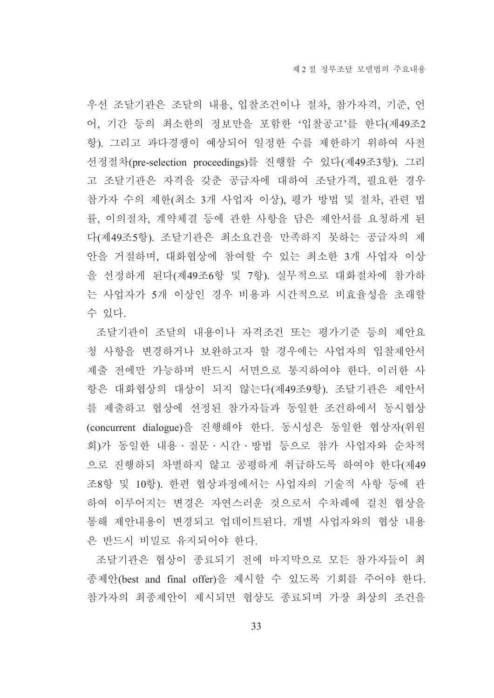우선 조달기관은 조달의 내용, 입찰조건이나 절차, 참가자격, 기준, 언 어, 기간 등의 최소한의 정보만을 포함한 '입찰공고'를 한다(제49조2 항). 그리고 과다경쟁이 예상되어 일정한 수를 제한하기 위하여 사전 선정절차(pre-selection proceedings)를 진행할 수 있다(제49조3항). 그리 고 조달기관은 자격을 갖춘 공급자에 대하여 조달가격, 필요한 경우 참가자 수의 제한(최소 3개 사업자 이상), 평가 방법 및 절차, 관련 법 률, 이의절차, 계약체결 등에 관한 사항을 담은 제안서를 요청하게 된 다(제49조5항). 조달기관은 최소요건을 만족하지 못하는 공급자의 제 안을 거절하며, 대화협상에 참여할 수 있는 최소한 3개 사업자 이상 을 선정하게 된다(제49조6항 및 7항). 실무적으로 대화절차에 참가하 는 사업자가 5개 이상인 경우 비용과 시간적으로 비효율성을 초래할 수 있다.

조달기관이 조달의 내용이나 자격조건 또는 평가기준 등의 제안요 청 사항을 변경하거나 보완하고자 할 경우에는 사업자의 입찰제안서 제출 전에만 가능하며 반드시 서면으로 통지하여야 한다. 이러한 사 항은 대화협상의 대상이 되지 않는다(제49조9항). 조달기관은 제안서 를 제출하고 협상에 선정된 참가자들과 동일한 조건하에서 동시협상 (concurrent dialogue)을 진행해야 한다. 동시성은 동일한 협상자(위원 회)가 동일한 내용·질문·시간·방법 등으로 참가 사업자와 순차적 으로 진행하되 차별하지 않고 공평하게 취급하도록 하여야 한다(제49 조8항 및 10항). 한편 협상과정에서는 사업자의 기술적 사항 등에 관 하여 이루어지는 변경은 자연스러운 것으로서 수차례에 걸친 협상을 통해 제안내용이 변경되고 업데이트된다. 개별 사업자와의 협상 내용 은 반드시 비밀로 유지되어야 한다.

조달기관은 협상이 종료되기 전에 마지막으로 모든 참가자들이 최 종제안(best and final offer)을 제시할 수 있도록 기회를 주어야 한다. 참가자의 최종제안이 제시되면 협상도 종료되며 가장 최상의 조건을

33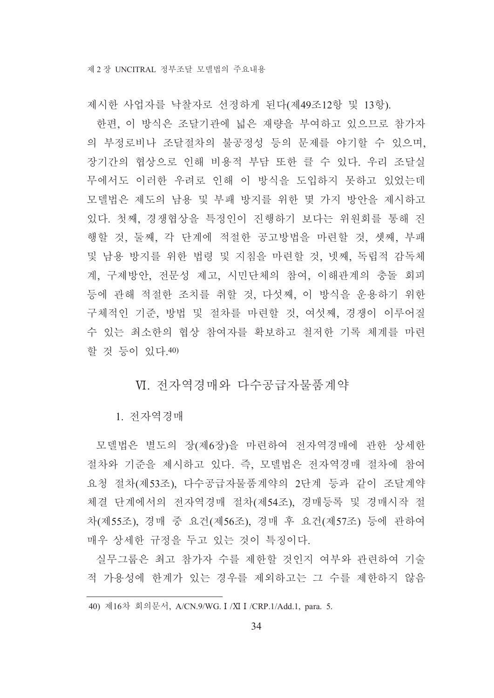제시한 사업자를 낙찰자로 선정하게 된다(제49조12항 및 13항).

한편, 이 방식은 조달기관에 넓은 재량을 부여하고 있으므로 참가자 의 부정로비나 조달절차의 불공정성 등의 문제를 야기할 수 있으며, 장기간의 협상으로 인해 비용적 부담 또한 클 수 있다. 우리 조달실 무에서도 이러한 우려로 인해 이 방식을 도입하지 못하고 있었는데 모델법은 제도의 남용 및 부패 방지를 위한 몇 가지 방안을 제시하고 있다. 첫째, 경쟁협상을 특정인이 진행하기 보다는 위원회를 통해 진 행할 것, 둘째, 각 단계에 적절한 공고방법을 마련할 것, 셋째, 부패 및 남용 방지를 위한 법령 및 지침을 마련할 것, 넷째, 독립적 감독체 계, 구제방안, 전문성 제고, 시민단체의 참여, 이해관계의 충돌 회피 등에 관해 적절한 조치를 취할 것, 다섯째, 이 방식을 운용하기 위한 구체적인 기준, 방법 및 절차를 마련할 것, 여섯째, 경쟁이 이루어질 수 있는 최소한의 협상 참여자를 확보하고 철저한 기록 체계를 마련 할 것 등이 있다.40)

#### Ⅵ. 전자역경매와 다수공급자물품계약

1. 전자역경매

모델법은 별도의 장(제6장)을 마련하여 전자역경매에 관한 상세한 절차와 기준을 제시하고 있다. 즉, 모델법은 전자역경매 절차에 참여 요청 절차(제53조), 다수공급자물품계약의 2단계 등과 같이 조달계약 체결 단계에서의 전자역경매 절차(제54조), 경매등록 및 경매시작 절 차(제55조), 경매 중 요건(제56조), 경매 후 요건(제57조) 등에 관하여 매우 상세한 규정을 두고 있는 것이 특징이다.

실무그룹은 최고 참가자 수를 제한할 것인지 여부와 관련하여 기술 적 가용성에 한계가 있는 경우를 제외하고는 그 수를 제한하지 않음

<sup>40)</sup> 제16차 회의문서, A/CN.9/WG. I /XI I /CRP.1/Add.1, para. 5.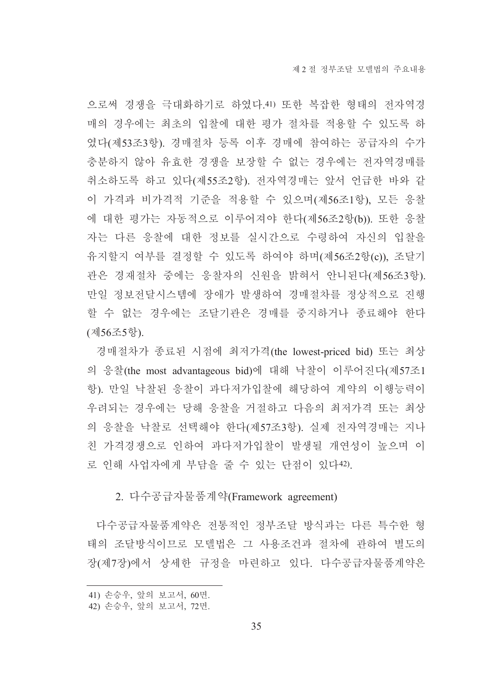으로써 경쟁을 극대화하기로 하였다. 41) 또한 복잡한 형태의 전자역경 매의 경우에는 최초의 입찰에 대한 평가 절차를 적용할 수 있도록 하 였다(제53조3항). 경매절차 등록 이후 경매에 참여하는 공급자의 수가 충분하지 않아 유효한 경쟁을 보장할 수 없는 경우에는 전자역경매를 취소하도록 하고 있다(제55조2항). 전자역경매는 앞서 언급한 바와 같 이 가격과 비가격적 기준을 적용할 수 있으며(제56조1항), 모든 응찰 에 대한 평가는 자동적으로 이루어져야 한다(제56조2항(b)). 또한 응찰 자는 다른 응찰에 대한 정보를 실시간으로 수령하여 자신의 입찰을 유지할지 여부를 결정할 수 있도록 하여야 하며(제56조2항(c)), 조달기 관은 경재절차 중에는 응찰자의 신원을 밝혀서 안니된다(제56조3항). 만일 정보전달시스템에 장애가 발생하여 경매절차를 정상적으로 진행 할 수 없는 경우에는 조달기관은 경매를 중지하거나 종료해야 한다 (제56조5항).

경매절차가 종료된 시점에 최저가격(the lowest-priced bid) 또는 최상 의 응찰(the most advantageous bid)에 대해 낙찰이 이루어진다(제57조1 항). 만일 낙찰된 응찰이 과다저가입찰에 해당하여 계약의 이행능력이 우려되는 경우에는 당해 응찰을 거절하고 다음의 최저가격 또는 최상 의 응찰을 낙찰로 선택해야 한다(제57조3항). 실제 전자역경매는 지나 친 가격경쟁으로 인하여 과다저가입찰이 발생될 개연성이 높으며 이 로 인해 사업자에게 부담을 줄 수 있는 단점이 있다42).

#### 2. 다수공급자물품계약(Framework agreement)

다수공급자물품계약은 전통적인 정부조달 방식과는 다른 특수한 형 태의 조달방식이므로 모델법은 그 사용조건과 절차에 관하여 별도의 장(제7장)에서 상세한 규정을 마련하고 있다. 다수공급자물품계약은

<sup>41)</sup> 손승우, 앞의 보고서, 60면,

<sup>42)</sup> 손승우, 앞의 보고서, 72면.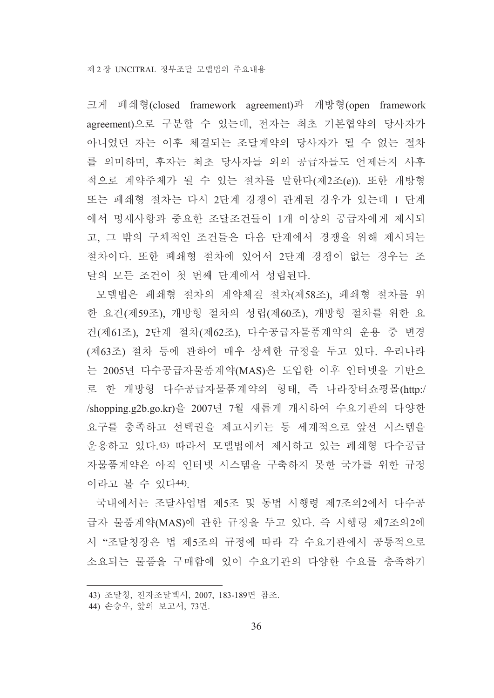크게 폐쇄형(closed framework agreement)과 개방형(open framework agreement)으로 구분할 수 있는데, 전자는 최초 기본협약의 당사자가 아니었던 자는 이후 체결되는 조달계약의 당사자가 될 수 없는 절차 를 의미하며, 후자는 최초 당사자들 외의 공급자들도 언제든지 사후 적으로 계약주체가 될 수 있는 절차를 말한다(제2조(e)). 또한 개방형 또는 폐쇄형 절차는 다시 2단계 경쟁이 관계된 경우가 있는데 1 단계 에서 명세사항과 중요한 조달조건들이 1개 이상의 공급자에게 제시되 고, 그 밖의 구체적인 조건들은 다음 단계에서 경쟁을 위해 제시되는 절차이다. 또한 폐쇄형 절차에 있어서 2단계 경쟁이 없는 경우는 조 달의 모든 조건이 첫 번째 단계에서 성립된다.

모델법은 폐쇄형 절차의 계약체결 절차(제58조), 폐쇄형 절차를 위 한 요건(제59조), 개방형 절차의 성립(제60조), 개방형 절차를 위한 요 건(제61조), 2단계 절차(제62조), 다수공급자물품계약의 운용 중 변경 (제63조) 절차 등에 관하여 매우 상세한 규정을 두고 있다. 우리나라 는 2005년 다수공급자물품계약(MAS)은 도입한 이후 인터넷을 기반으 로 한 개방형 다수공급자물품계약의 형태, 즉 나라장터쇼핑몰(http:/ /shopping.g2b.go.kr)을 2007년 7월 새롭게 개시하여 수요기관의 다양한 요구를 충족하고 선택권을 제고시키는 등 세계적으로 앞선 시스템을 운용하고 있다.43) 따라서 모델법에서 제시하고 있는 폐쇄형 다수공급 자물품계약은 아직 인터넷 시스템을 구축하지 못한 국가를 위한 규정 이라고 볼 수 있다44).

국내에서는 조달사업법 제5조 및 동법 시행령 제7조의2에서 다수공 급자 물품계약(MAS)에 관한 규정을 두고 있다. 즉 시행령 제7조의2에 서 "조달청장은 법 제5조의 규정에 따라 각 수요기관에서 공통적으로 소요되는 물품을 구매함에 있어 수요기관의 다양한 수요를 충족하기

<sup>43)</sup> 조달청, 전자조달백서, 2007, 183-189면 참조,

<sup>44)</sup> 손승우, 앞의 보고서, 73면.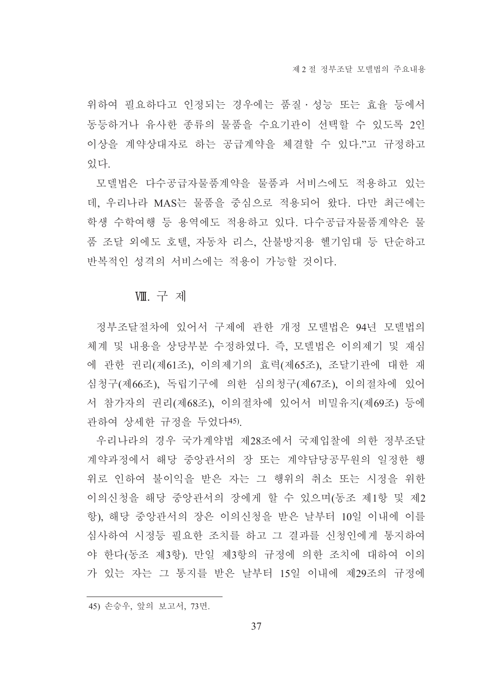위하여 필요하다고 인정되는 경우에는 품질 • 성능 또는 효율 등에서 동등하거나 유사한 종류의 물품을 수요기관이 선택할 수 있도록 2인 이상을 계약상대자로 하는 공급계약을 체결할 수 있다."고 규정하고 있다.

모델법은 다수공급자물품계약을 물품과 서비스에도 적용하고 있는 데, 우리나라 MAS는 물품을 중심으로 적용되어 왔다. 다만 최근에는 학생 수학여행 등 용역에도 적용하고 있다. 다수공급자물품계약은 물 품 조달 외에도 호텔, 자동차 리스, 산불방지용 헬기임대 등 단순하고 반복적인 성격의 서비스에는 적용이 가능할 것이다.

#### VIII. 구 제

정부조달절차에 있어서 구제에 관한 개정 모델법은 94년 모델법의 체계 및 내용을 상당부분 수정하였다. 즉, 모델법은 이의제기 및 재심 에 관한 권리(제61조), 이의제기의 효력(제65조), 조달기관에 대한 재 심청구(제66조), 독립기구에 의한 심의청구(제67조), 이의절차에 있어 서 참가자의 권리(제68조), 이의절차에 있어서 비밀유지(제69조) 등에 관하여 상세한 규정을 두었다45).

우리나라의 경우 국가계약법 제28조에서 국제입찰에 의한 정부조달 계약과정에서 해당 중앙관서의 장 또는 계약담당공무원의 일정한 행 위로 인하여 불이익을 받은 자는 그 행위의 취소 또는 시정을 위한 이의신청을 해당 중앙관서의 장에게 할 수 있으며(동조 제1항 및 제2 항), 해당 중앙관서의 장은 이의신청을 받은 날부터 10일 이내에 이를 심사하여 시정등 필요한 조치를 하고 그 결과를 신청인에게 통지하여 야 한다(동조 제3항). 만일 제3항의 규정에 의한 조치에 대하여 이의 가 있는 자는 그 통지를 받은 날부터 15일 이내에 제29조의 규정에

<sup>45)</sup> 손승우, 앞의 보고서, 73면.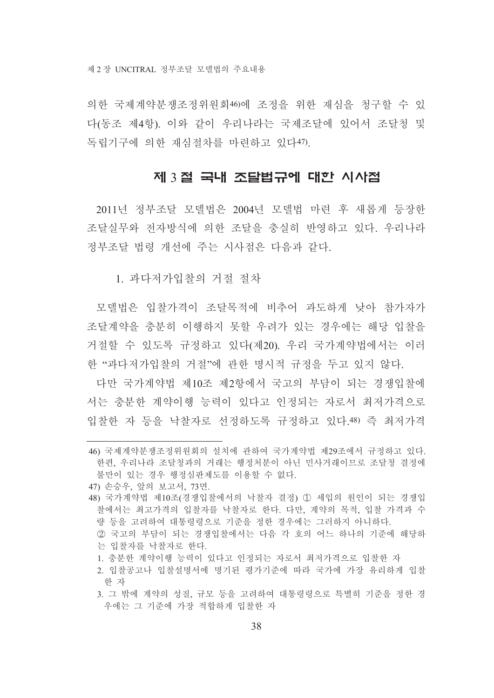의한 국제계약부쟁조정위워회46)에 조정을 위한 재심을 청구할 수 있 다(동조 제4항). 이와 같이 우리나라는 국제조달에 있어서 조달청 및 독립기구에 의한 재심절차를 마련하고 있다47).

#### 제 3 절 국내 조달법규에 대한 시사점

2011년 정부조달 모델법은 2004년 모델법 마련 후 새롭게 등장한 조달실무와 전자방식에 의한 조달을 충실히 반영하고 있다. 우리나라 정부조달 법령 개선에 주는 시사점은 다음과 같다.

1. 과다저가입찰의 거절 절차

모델법은 입찰가격이 조달목적에 비추어 과도하게 낮아 참가자가 조달계약을 충분히 이행하지 못할 우려가 있는 경우에는 해당 입찰을 거절할 수 있도록 규정하고 있다(제20). 우리 국가계약법에서는 이러 한 "과다저가입찰의 거절"에 관한 명시적 규정을 두고 있지 않다.

다만 국가계약법 제10조 제2항에서 국고의 부담이 되는 경쟁입찰에 서는 충분한 계약이행 능력이 있다고 인정되는 자로서 최저가격으로 입찰한 자 등을 낙찰자로 선정하도록 규정하고 있다.48) 즉 최저가격

- 47) 손승우, 앞의 보고서, 73면.
- 48) 국가계약법 제10조(경쟁입찰에서의 낙찰자 결정) ① 세입의 원인이 되는 경쟁입 찰에서는 최고가격의 입찰자를 낙찰자로 한다. 다만, 계약의 목적, 입찰 가격과 수 량 등을 고려하여 대통령령으로 기준을 정한 경우에는 그러하지 아니하다. ② 국고의 부담이 되는 경쟁입찰에서는 다음 각 호의 어느 하나의 기준에 해당하
	- 는 입찰자를 낙찰자로 한다.
	- 1. 충분한 계약이행 능력이 있다고 인정되는 자로서 최저가격으로 입찰한 자
	- 2. 입찰공고나 입찰설명서에 명기된 평가기준에 따라 국가에 가장 유리하게 입찰 한 자
	- 3. 그 밖에 계약의 성질, 규모 등을 고려하여 대통령령으로 특별히 기준을 정한 경 우에는 그 기준에 가장 적합하게 입찰한 자

<sup>46)</sup> 국제계약분쟁조정위워회의 설치에 관하여 국가계약법 제29조에서 규정하고 있다. 한편, 우리나라 조달청과의 거래는 행정처분이 아닌 민사거래이므로 조달청 결정에 불만이 있는 경우 행정심판제도를 이용할 수 없다.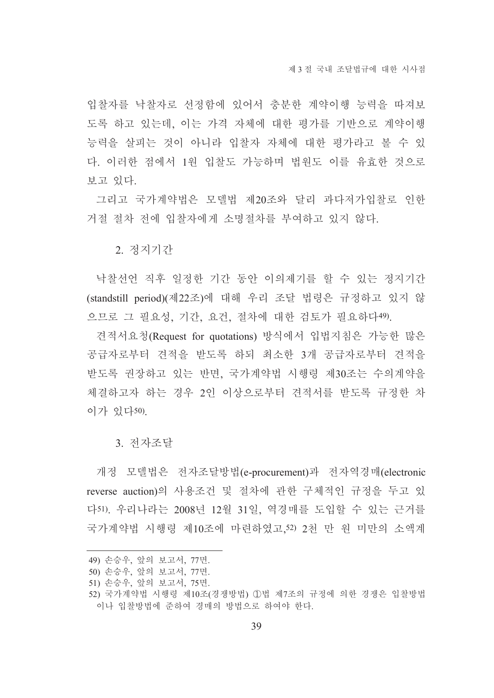입찰자를 낙찰자로 선정함에 있어서 충분한 계약이행 능력을 따져보 도록 하고 있는데, 이는 가격 자체에 대한 평가를 기반으로 계약이행 능력을 살피는 것이 아니라 입찰자 자체에 대한 평가라고 볼 수 있 다. 이러한 점에서 1원 입찰도 가능하며 법원도 이를 유효한 것으로 보고 있다.

그리고 국가계약법은 모델법 제20조와 달리 과다저가입찰로 인한 거절 절차 전에 입찰자에게 소명절차를 부여하고 있지 않다.

2 정지기간

낙찰선언 직후 일정한 기간 동안 이의제기를 할 수 있는 정지기간 (standstill period)(제22조)에 대해 우리 조달 법령은 규정하고 있지 않 으므로 그 필요성, 기간, 요건, 절차에 대한 검토가 필요하다49).

견적서요청(Request for quotations) 방식에서 입법지침은 가능한 많은 공급자로부터 견적을 받도록 하되 최소한 3개 공급자로부터 견적을 받도록 권장하고 있는 반면, 국가계약법 시행령 제30조는 수의계약을 체결하고자 하는 경우 2인 이상으로부터 견적서를 받도록 규정한 차 이가 있다50)

3. 전자조달

개정 모델법은 전자조달방법(e-procurement)과 전자역경매(electronic reverse auction)의 사용조건 및 절차에 관한 구체적인 규정을 두고 있 다51). 우리나라는 2008년 12월 31일. 역경매를 도입할 수 있는 근거를 국가계약법 시행령 제10조에 마련하였고,52) 2천 만 원 미만의 소액계

<sup>49)</sup> 손승우, 앞의 보고서, 77면,

<sup>50)</sup> 손승우, 앞의 보고서, 77면.

<sup>51)</sup> 손승우, 앞의 보고서, 75면.

<sup>52)</sup> 국가계약법 시행령 제10조(경쟁방법) ①법 제7조의 규정에 의한 경쟁은 입찰방법 이나 입찰방법에 주하여 경매의 방법으로 하여야 한다.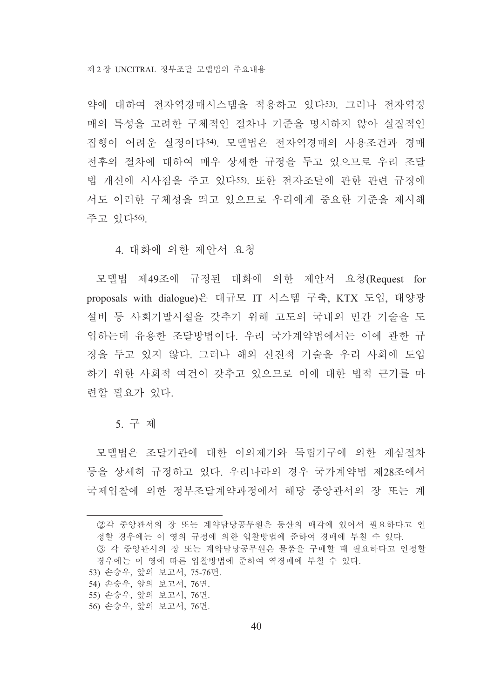약에 대하여 전자역경매시스템을 적용하고 있다53). 그러나 전자역경 매의 특성을 고려한 구체적인 절차나 기준을 명시하지 않아 실질적인 집행이 어려운 실정이다54). 모델법은 전자역경매의 사용조건과 경매 전후의 절차에 대하여 매우 상세한 규정을 두고 있으므로 우리 조달 법 개선에 시사점을 주고 있다55). 또한 전자조달에 관한 관련 규정에 서도 이러한 구체성을 띄고 있으므로 우리에게 중요한 기준을 제시해 주고 있다56).

4 대화에 의한 제안서 요청

모델법 제49조에 규정된 대화에 의한 제안서 요청(Request for proposals with dialogue)은 대규모 IT 시스템 구축, KTX 도입, 태양광 설비 등 사회기발시설을 갖추기 위해 고도의 국내외 민간 기술을 도 입하는데 유용한 조달방법이다. 우리 국가계약법에서는 이에 관한 규 정을 두고 있지 않다. 그러나 해외 선진적 기술을 우리 사회에 도입 하기 위한 사회적 여건이 갖추고 있으므로 이에 대한 법적 근거를 마 련할 필요가 있다.

5. 구 제

모델법은 조달기관에 대한 이의제기와 독립기구에 의한 재심절차 등을 상세히 규정하고 있다. 우리나라의 경우 국가계약법 제28조에서 국제입찰에 의한 정부조달계약과정에서 해당 중앙관서의 장 또는 계

②각 중앙관서의 장 또는 계약담당공무원은 동산의 매각에 있어서 필요하다고 인 정할 경우에는 이 영의 규정에 의한 입찰방법에 준하여 경매에 부칠 수 있다. 3 각 중앙관서의 장 또는 계약담당공무원은 물품을 구매할 때 필요하다고 인정할 경우에는 이 영에 따른 입찰방법에 주하여 역경매에 부칠 수 있다.

- 53) 손승우, 앞의 보고서, 75-76면.
- 54) 손승우, 앞의 보고서, 76면.
- 55) 손승우, 앞의 보고서, 76면,
- 56) 손승우, 앞의 보고서, 76면.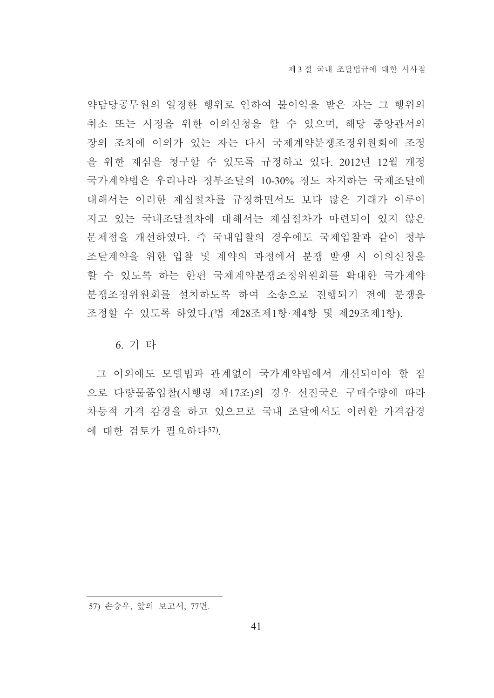약담당공무원의 일정한 행위로 인하여 불이익을 받은 자는 그 행위의 취소 또는 시정을 위한 이의신청을 할 수 있으며, 해당 중앙관서의 장의 조치에 이의가 있는 자는 다시 국제계약분쟁조정위원회에 조정 을 위한 재심을 청구할 수 있도록 규정하고 있다. 2012년 12월 개정 국가계약법은 우리나라 정부조달의 10-30% 정도 차지하는 국제조달에 대해서는 이러한 재심절차를 규정하면서도 보다 많은 거래가 이루어 지고 있는 국내조달절차에 대해서는 재심절차가 마련되어 있지 않은 문제점을 개선하였다. 즉 국내입찰의 경우에도 국제입찰과 같이 정부 조달계약을 위한 입찰 및 계약의 과정에서 분쟁 발생 시 이의신청을 할 수 있도록 하는 한편 국제계약분쟁조정위원회를 확대한 국가계약 분쟁조정위원회를 설치하도록 하여 소송으로 진행되기 전에 분쟁을 조정할 수 있도록 하였다. (법 제28조제1항·제4항 및 제29조제1항).

6. 기 타

그 이외에도 모델법과 관계없이 국가계약법에서 개선되어야 할 점 으로 다량물품입찰(시행령 제17조)의 경우 선진국은 구매수량에 따라 차등적 가격 감경을 하고 있으므로 국내 조달에서도 이러한 가격감경 에 대한 검토가 필요하다57).

<sup>57)</sup> 손승우, 앞의 보고서, 77면.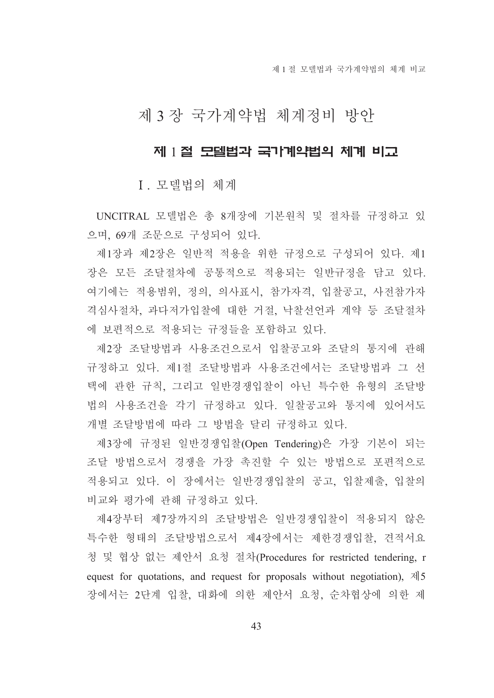제 1 절 모델법과 국가계약법의 체계 비교

# 제 3 장 국가계약법 체계정비 방안

## 제 1절 모델법과 국가계약법의 체계 비교

I. 모델법의 체계

UNCITRAL 모델법은 총 8개장에 기본원칙 및 절차를 규정하고 있 으며, 69개 조문으로 구성되어 있다.

제1장과 제2장은 일반적 적용을 위한 규정으로 구성되어 있다. 제1 장은 모든 조달절차에 공통적으로 적용되는 일반규정을 담고 있다. 여기에는 적용범위, 정의, 의사표시, 참가자격, 입찰공고, 사전참가자 격심사절차, 과다저가입찰에 대한 거절, 낙찰선언과 계약 등 조달절차 에 보편적으로 적용되는 규정들을 포함하고 있다.

제2장 조달방법과 사용조건으로서 입찰공고와 조달의 통지에 관해 규정하고 있다. 제1절 조달방법과 사용조건에서는 조달방법과 그 선 택에 관한 규칙, 그리고 일반경쟁입찰이 아닌 특수한 유형의 조달방 법의 사용조건을 각기 규정하고 있다. 일찰공고와 통지에 있어서도 개별 조달방법에 따라 그 방법을 달리 규정하고 있다.

제3장에 규정된 일반경쟁입찰(Open Tendering)은 가장 기본이 되는 조달 방법으로서 경쟁을 가장 촉진할 수 있는 방법으로 포편적으로 적용되고 있다. 이 장에서는 일반경쟁입찰의 공고, 입찰제출, 입찰의 비교와 평가에 관해 규정하고 있다.

제4장부터 제7장까지의 조달방법은 일반경쟁입찰이 적용되지 않은 특수한 형태의 조달방법으로서 제4장에서는 제한경쟁입찰, 견적서요 청 및 협상 없는 제안서 요청 절차(Procedures for restricted tendering, r equest for quotations, and request for proposals without negotiation),  $\exists$  5 장에서는 2단계 입찰. 대화에 의한 제안서 요청. 순차협상에 의한 제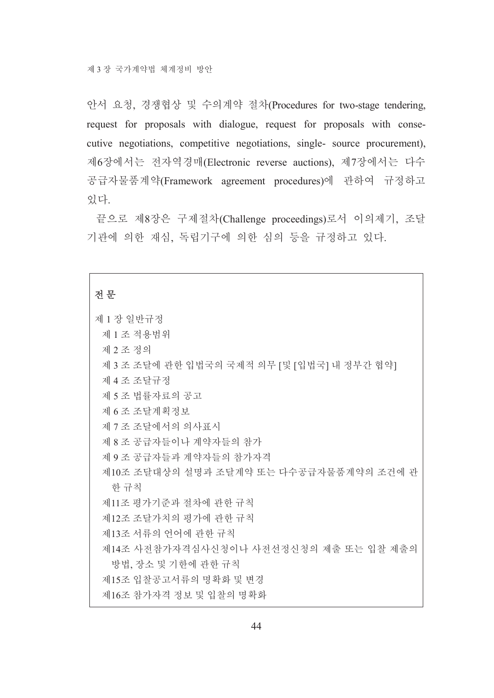안서 요청, 경쟁협상 및 수의계약 절차(Procedures for two-stage tendering, request for proposals with dialogue, request for proposals with consecutive negotiations, competitive negotiations, single- source procurement), 제6장에서는 전자역경매(Electronic reverse auctions), 제7장에서는 다수 공급자물품계약(Framework agreement procedures)에 관하여 규정하고 있다.

끝으로 제8장은 구제절차(Challenge proceedings)로서 이의제기, 조달 기관에 의한 재심, 독립기구에 의한 심의 등을 규정하고 있다.

### 전문

| 제 1 장 일반규정                                  |
|---------------------------------------------|
| 제 1 조 적용범위                                  |
| 제 2 조 정의                                    |
| 제 3 조 조달에 관한 입법국의 국제적 의무 [및 [입법국] 내 정부간 협약] |
| 제 4 조 조달규정                                  |
| 제 5 조 법률자료의 공고                              |
| 제 6 조 조달계획정보                                |
| 제 7 조 조달에서의 의사표시                            |
| 제 8 조 공급자들이나 계약자들의 참가                       |
| 제 9 조 공급자들과 계약자들의 참가자격                      |
| 제10조 조달대상의 설명과 조달계약 또는 다수공급자물품계약의 조건에 관     |
| 한 규칙                                        |
| 제11조 평가기준과 절차에 관한 규칙                        |
| 제12조 조달가치의 평가에 관한 규칙                        |
| 제13조 서류의 언어에 관한 규칙                          |
| 제14조 사전참가자격심사신청이나 사전선정신청의 제출 또는 입찰 제출의      |
| 방법, 장소 및 기한에 관한 규칙                          |
| 제15조 입찰공고서류의 명확화 및 변경                       |
| 제16조 참가자격 정보 및 입찰의 명확화                      |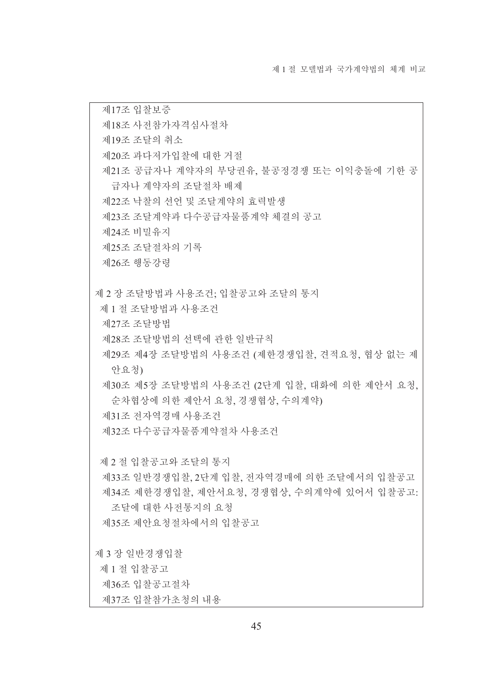제17조 입찰보증 제18조 사전참가자격심사절차 제19조 조달의 취소 제20조 과다저가입찰에 대한 거절 제21조 공급자나 계약자의 부당권유, 불공정경쟁 또는 이익충돌에 기한 공 급자나 계약자의 조달절차 배제 제22조 낙찰의 선언 및 조달계약의 효력발생 제23조 조달계약과 다수공급자물품계약 체결의 공고 제24조 비밀유지 제25조 조달절차의 기록 제26조 행동강령 제 2 장 조달방법과 사용조건: 입찰공고와 조달의 통지 제 1 절 조달방법과 사용조건 제27조 조달방법 제28조 조달방법의 선택에 관한 일반규칙 제29조 제4장 조달방법의 사용조건 (제한경쟁입찰, 견적요청, 협상 없는 제 안요청) 제30조 제5장 조달방법의 사용조건 (2단계 입찰, 대화에 의한 제안서 요청, 순차협상에 의한 제안서 요청, 경쟁협상, 수의계약) 제31조 전자역경매 사용조건 제32조 다수공급자물품계약절차 사용조건 제 2 절 입찰공고와 조달의 통지 제33조 일반경쟁입찰 2다계 입찰 전자역경매에 의한 조달에서의 입찰공고 제34조 제한경쟁입찰, 제안서요청, 경쟁협상, 수의계약에 있어서 입찰공고: 조달에 대한 사전통지의 요청 제35조 제안요청절차에서의 입찰공고 제 3 장 일반경쟁입찰 제 1 절 입찰공고 제36조 입찰공고절차 제37조 입찰참가초청의 내용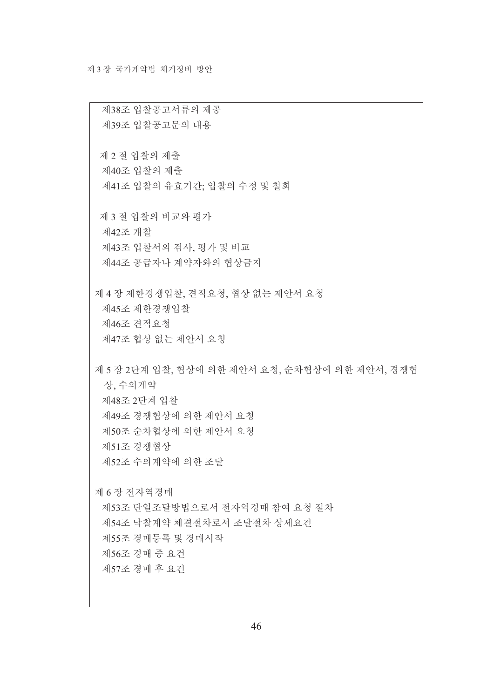제38조 입찰공고서류의 제공 제39조 입찰공고문의 내용 제 2 절 입찰의 제출 제40조 입찰의 제출 제41조 입찰의 유효기간: 입찰의 수정 및 철회 제 3 절 입찰의 비교와 평가 제42조 개찰 제43조 입찰서의 검사, 평가 및 비교 제44조 공급자나 계약자와의 협상금지 제 4 장 제한경쟁입찰, 견적요청, 협상 없는 제안서 요청 제45조 제한경쟁입찰 제46조 견적요청 제47조 협상 없는 제안서 요청 제 5 장 2단계 입찰, 협상에 의한 제안서 요청, 순차협상에 의한 제안서, 경쟁협 상, 수의계약 제48조 2단계 입찰 제49조 경쟁협상에 의한 제안서 요청 제50조 순차협상에 의한 제안서 요청 제51조 경쟁협상 제52조 수의계약에 의한 조달 제 6 장 전자역경매 제53조 단일조달방법으로서 전자역경매 참여 요청 절차 제54조 낙찰계약 체결절차로서 조달절차 상세요건 제55조 경매등록 및 경매시작 제56조경매중요건 제57조 경매 후 요건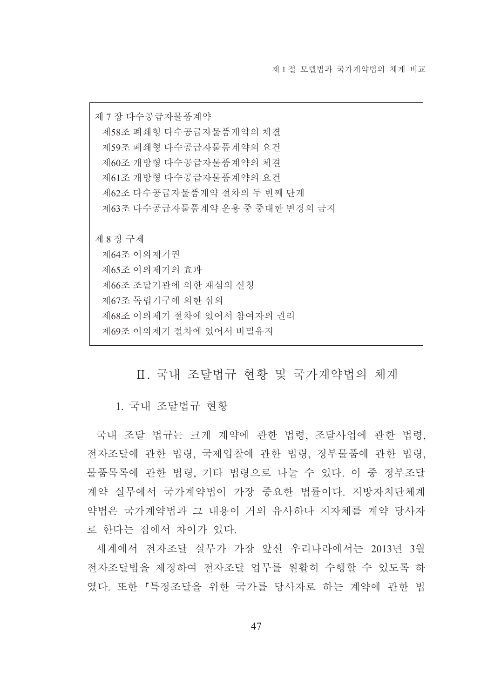제 7 장 다수공급자물품계약 제58조 폐쇄형 다수공급자물품계약의 체결 제59조 폐쇄형 다수공급자물품계약의 요건 제60조 개방형 다수공급자물품계약의 체결 제61조 개방형 다수공급자물품계약의 요건 제62조 다수공급자물품계약 절차의 두 번째 단계 제63조 다수공급자물품계약 운용 중 중대한 변경의 금지 제 8 장 구제 제64조 이의제기권 제65조 이의제기의 효과 제66조 조달기관에 의한 재심의 신청 제67조 독립기구에 의한 심의 제68조 이의제기 절차에 있어서 참여자의 권리 제69조 이의제기 절차에 있어서 비밀유지

Ⅱ. 국내 조달법규 현황 및 국가계약법의 체계

1. 국내 조달법규 현황

국내 조달 법규는 크게 계약에 관한 법령. 조달사업에 관한 법령. 전자조달에 관한 법령, 국제입찰에 관한 법령, 정부물품에 관한 법령, 물품목록에 관한 법령, 기타 법령으로 나눌 수 있다. 이 중 정부조달 계약 실무에서 국가계약법이 가장 중요한 법률이다. 지방자치단체계 약법은 국가계약법과 그 내용이 거의 유사하나 지자체를 계약 당사자 로 한다는 점에서 차이가 있다.

세계에서 전자조달 실무가 가장 앞선 우리나라에서는 2013년 3월 전자조달법을 제정하여 전자조달 업무를 원활히 수행할 수 있도록 하 였다. 또한 「특정조달을 위한 국가를 당사자로 하는 계약에 관한 법

47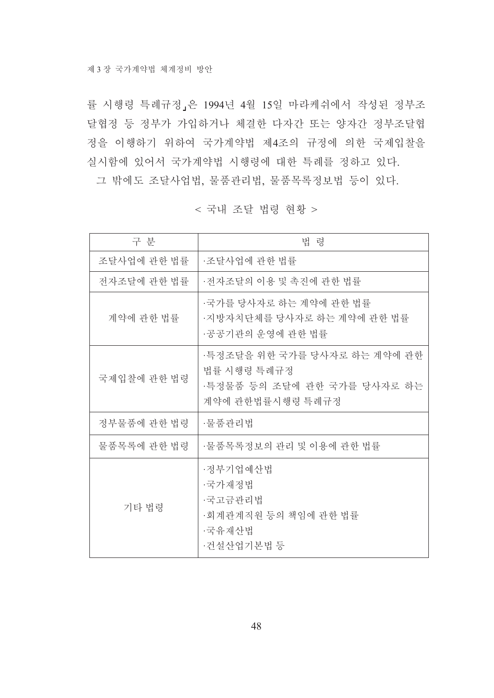률 시행령 특례규정」은 1994년 4월 15일 마라케쉬에서 작성된 정부조 달협정 등 정부가 가입하거나 체결한 다자간 또는 양자간 정부조달협 정을 이행하기 위하여 국가계약법 제4조의 규정에 의한 국제입찰을 실시함에 있어서 국가계약법 시행령에 대한 특례를 정하고 있다. 그 밖에도 조달사업법, 물품관리법, 물품목록정보법 등이 있다.

< 국내 조달 법령 현황 >

| 구 부         | 법 령                                                                                            |
|-------------|------------------------------------------------------------------------------------------------|
| 조달사업에 관한 법률 | ·조달사업에 관한 법률                                                                                   |
| 전자조달에 관한 법률 | ·전자조달의 이용 및 촉진에 관한 법률                                                                          |
| 계약에 관한 법률   | ·국가를 당사자로 하는 계약에 관한 법률<br>·지방자치단체를 당사자로 하는 계약에 관한 법률<br>·공공기관의 운영에 관한 법률                       |
| 국제입찰에 관한 법령 | ·특정조달을 위한 국가를 당사자로 하는 계약에 관한<br>법률 시행령 특례규정<br>·특정물품 등의 조달에 관한 국가를 당사자로 하는<br>계약에 관한법률시행령 특례규정 |
| 정부물품에 관한 법령 | ·물품관리법                                                                                         |
| 물품목록에 관한 법령 | ·물품목록정보의 관리 및 이용에 관한 법률                                                                        |
| 기타 법령       | ·정부기업예산법<br>·국가재정법<br>·국고금관리법<br>·회계관계직원 등의 책임에 관한 법률<br>·국유재산법<br>·건설산업기본법 등                  |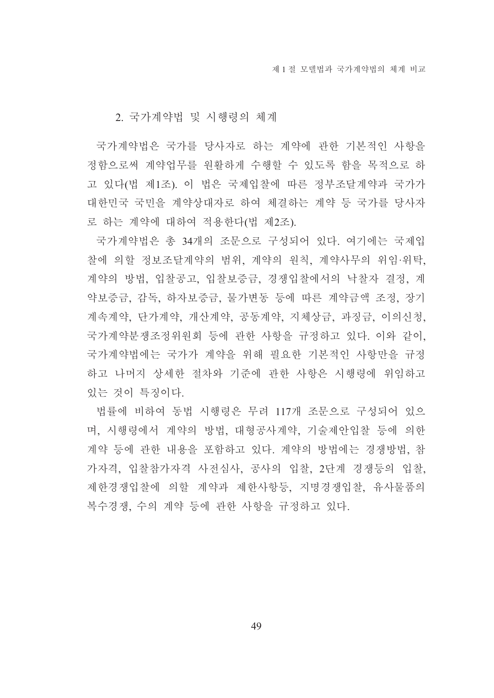### 2. 국가계약법 및 시행령의 체계

국가계약법은 국가를 당사자로 하는 계약에 관한 기본적인 사항을 정함으로써 계약업무를 원활하게 수행할 수 있도록 함을 목적으로 하 고 있다(법 제1조). 이 법은 국제입찰에 따른 정부조달계약과 국가가 대한민국 국민을 계약상대자로 하여 체결하는 계약 등 국가를 당사자 로 하는 계약에 대하여 적용하다(법 제2조).

국가계약법은 총 34개의 조문으로 구성되어 있다. 여기에는 국제입 찰에 의할 정보조달계약의 범위, 계약의 워칙, 계약사무의 위임·위탁, 계약의 방법, 입찰공고, 입찰보증금, 경쟁입찰에서의 낙찰자 결정, 계 약보증금, 감독, 하자보증금, 물가변동 등에 따른 계약금액 조정, 장기 계속계약, 단가계약, 개산계약, 공동계약, 지체상금, 과징금, 이의신청, 국가계약분쟁조정위원회 등에 관한 사항을 규정하고 있다. 이와 같이, 국가계약법에는 국가가 계약을 위해 필요한 기본적인 사항만을 규정 하고 나머지 상세한 절차와 기준에 관한 사항은 시행령에 위임하고 있는 것이 특징이다.

법률에 비하여 동법 시행령은 무려 117개 조문으로 구성되어 있으 며, 시행령에서 계약의 방법, 대형공사계약, 기술제안입찰 등에 의한 계약 등에 관한 내용을 포함하고 있다. 계약의 방법에는 경쟁방법, 참 가자격, 입찰참가자격 사전심사, 공사의 입찰, 2단계 경쟁등의 입찰, 제한경쟁입찰에 의할 계약과 제한사항등, 지명경쟁입찰, 유사물품의 복수경쟁, 수의 계약 등에 관한 사항을 규정하고 있다.

49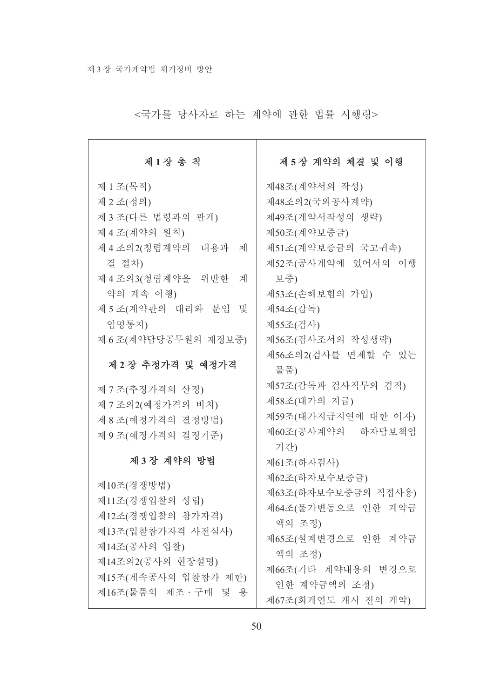<국가를 당사자로 하는 계약에 관한 법률 시행령>

 $\overline{\phantom{a}}$ 

| 제1장 총 칙                  | 제5장 계약의 체결 및 이행            |
|--------------------------|----------------------------|
| 제 1 조(목적)                | 제48조(계약서의 작성)              |
| 제 2조(정의)                 | 제48조의2(국외공사계약)             |
| 제 3조(다른 법령과의 관계)         | 제49조(계약서작성의 생략)            |
| 제 4조(계약의 원칙)             | 제50조(계약보증금)                |
| 제4조의2(청렴계약의 내용과<br>체     | 제51조(계약보증금의 국고귀속)          |
| 결 절차)                    | 제52조(공사계약에 있어서의 이행         |
| 제 4 조의 3 (청렴계약을 위반한<br>계 | 보증)                        |
| 약의 계속 이행)                | 제53조(손해보험의 가입)             |
| 제 5조(계약관의 대리와 분임<br>및    | 제54조(감독)                   |
| 임명통지)                    | 제55조(검사)                   |
| 제 6 조(계약담당공무원의 재정보증)     | 제56조(검사조서의 작성생략)           |
| 제 2 장 추정가격 및 예정가격        | 제56조의2(검사를 면제할 수 있는<br>물품) |
| 제 7조(추정가격의 산정)           | 제57조(감독과 검사직무의 겸직)         |
| 제 7 조의 2 (예정가격의 비치)      | 제58조(대가의 지급)               |
| 제 8조(예정가격의 결정방법)         | 제59조(대가지급지연에 대한 이자)        |
| 제 9조(예정가격의 결정기준)         | 제60조(공사계약의 하자담보책임<br>기간)   |
| 제3장 계약의 방법               | 제61조(하자검사)                 |
| 제10조(경쟁방법)               | 제62조(하자보수보증금)              |
| 제11조(경쟁입찰의 성립)           | 제63조(하자보수보증금의 직접사용)        |
| 제12조(경쟁입찰의 참가자격)         | 제64조(물가변동으로 인한 계약금         |
| 제13조(입찰참가자격 사전심사)        | 액의 조정)                     |
| 제14조(공사의 입찰)             | 제65조(설계변경으로 인한 계약금         |
| 제14조의2(공사의 현장설명)         | 액의 조정)                     |
| 제15조(계속공사의 입찰참가 제한)      | 제66조(기타 계약내용의 변경으로         |
| 제16조(물품의 제조 · 구매 및 용     | 인한 계약금액의 조정)               |
|                          | 제67조(회계연도 개시 전의 계약)        |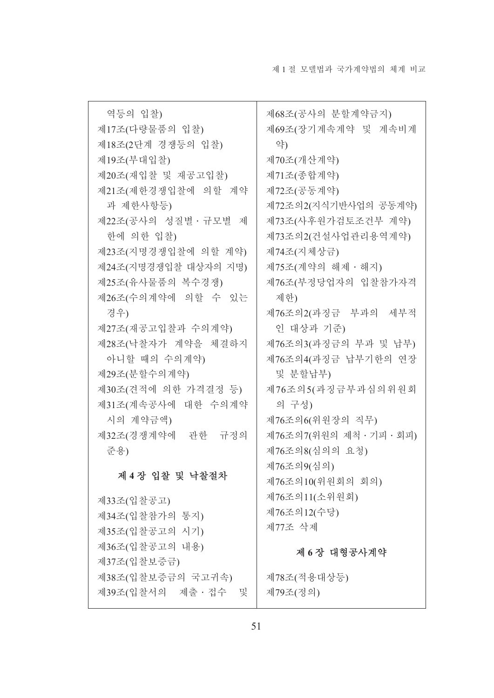| 역등의 입찰)              | 제68조(공사의 분할계약금지)         |
|----------------------|--------------------------|
| 제17조(다량물품의 입찰)       | 제69조(장기계속계약 및 계속비계       |
| 제18조(2단계 경쟁등의 입찰)    | 약)                       |
| 제19조(부대입찰)           | 제70조(개산계약)               |
| 제20조(재입찰 및 재공고입찰)    | 제71조(종합계약)               |
| 제21조(제한경쟁입찰에 의할 계약   | 제72조(공동계약)               |
| 과 제한사항등)             | 제72조의2(지식기반사업의 공동계약)     |
| 제22조(공사의 성질별 · 규모별 제 | 제73조(사후원가검토조건부 계약)       |
| 한에 의한 입찰)            | 제73조의2(건설사업관리용역계약)       |
| 제23조(지명경쟁입찰에 의할 계약)  | 제74조(지체상금)               |
| 제24조(지명경쟁입찰 대상자의 지명) | 제75조(계약의 해제・해지)          |
| 제25조(유사물품의 복수경쟁)     | 제76조(부정당업자의 입찰참가자격       |
| 제26조(수의계약에 의할 수 있는   | 제한)                      |
| 경우)                  | 제76조의2(과징금 부과의 세부적       |
| 제27조(재공고입찰과 수의계약)    | 인 대상과 기준)                |
| 제28조(낙찰자가 계약을 체결하지   | 제76조의3(과징금의 부과 및 납부)     |
| 아니할 때의 수의계약)         | 제76조의4(과징금 납부기한의 연장      |
| 제29조(분할수의계약)         | 및 분할납부)                  |
| 제30조(견적에 의한 가격결정 등)  | 제76조의5(과징금부과심의위원회        |
| 제31조(계속공사에 대한 수의계약   | 의 구성)                    |
| 시의 계약금액)             | 제76조의6(위원장의 직무)          |
| 제32조(경쟁계약에 관한 규정의    | 제76조의7(위원의 제척 · 기피 · 회피) |
| 준용)                  | 제76조의8(심의의 요청)           |
| 제4장 입찰 및 낙찰절차        | 제76조의9(심의)               |
|                      | 제76조의10(위원회의 회의)         |
| 제33조(입찰공고)           | 제76조의11(소위원회)            |
| 제34조(입찰참가의 통지)       | 제76조의12(수당)              |
| 제35조(입찰공고의 시기)       | 제77조 삭제                  |
| 제36조(입찰공고의 내용)       | 제 6장 대형공사계약              |
| 제37조(입찰보증금)          |                          |
| 제38조(입찰보증금의 국고귀속)    | 제78조(적용대상등)              |
| 제39조(입찰서의 제출 · 접수 및  | 제79조(정의)                 |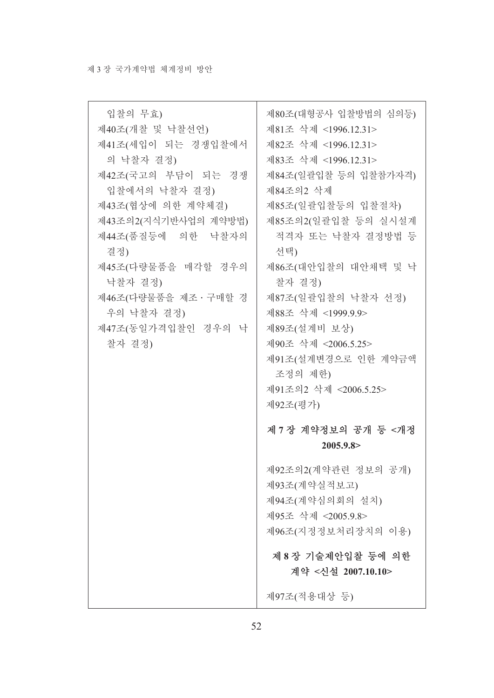| 입찰의 무효)<br>제40조(개찰 및 낙찰선언)<br>제41조(세입이 되는 경쟁입찰에서<br>의 낙찰자 결정)<br>제42조(국고의 부담이 되는 경쟁<br>입찰에서의 낙찰자 결정)<br>제43조(협상에 의한 계약체결)<br>제43조의2(지식기반사업의 계약방법)<br>제44조(품질등에 의한 낙찰자의<br>결정)<br>제45조(다량물품을 매각할 경우의<br>낙찰자 결정)<br>제46조(다량물품을 제조 · 구매할 경<br>우의 낙찰자 결정)<br>제47조(동일가격입찰인 경우의 낙<br>찰자 결정) | 제80조(대형공사 입찰방법의 심의등)<br>제81조 삭제 <1996.12.31><br>제82조 삭제 <1996.12.31><br>제83조 삭제 <1996.12.31><br>제84조(일괄입찰 등의 입찰참가자격)<br>제84조의2 삭제<br>제85조(일괄입찰등의 입찰절차)<br>제85조의2(일괄입찰 등의 실시설계<br>적격자 또는 낙찰자 결정방법 등<br>선택)<br>제86조(대안입찰의 대안채택 및 낙<br>찰자 결정)<br>제87조(일괄입찰의 낙찰자 선정)<br>제88조 삭제 <1999.9.9><br>제89조(설계비 보상)<br>제90조 삭제 <2006.5.25><br>제91조(설계변경으로 인한 계약금액 |
|---------------------------------------------------------------------------------------------------------------------------------------------------------------------------------------------------------------------------------------------------------------------------------------|------------------------------------------------------------------------------------------------------------------------------------------------------------------------------------------------------------------------------------------------------------------------------------------------------------------------------------------------------|
|                                                                                                                                                                                                                                                                                       | 조정의 제한)<br>제91조의2 삭제 <2006.5.25><br>제92조(평가)                                                                                                                                                                                                                                                                                                         |
|                                                                                                                                                                                                                                                                                       | 제 7 장 계약정보의 공개 등 <개정<br>2005.9.8 >                                                                                                                                                                                                                                                                                                                   |
|                                                                                                                                                                                                                                                                                       | 제92조의2(계약관련 정보의 공개)<br>제93조(계약실적보고)<br>제94조(계약심의회의 설치)<br>제95조 삭제 <2005.9.8><br>제96조(지정정보처리장치의 이용)                                                                                                                                                                                                                                                   |
|                                                                                                                                                                                                                                                                                       | 제 8 장 기술제안입찰 등에 의한<br>계약 <신설 2007.10.10>                                                                                                                                                                                                                                                                                                             |
|                                                                                                                                                                                                                                                                                       | 제97조(적용대상 등)                                                                                                                                                                                                                                                                                                                                         |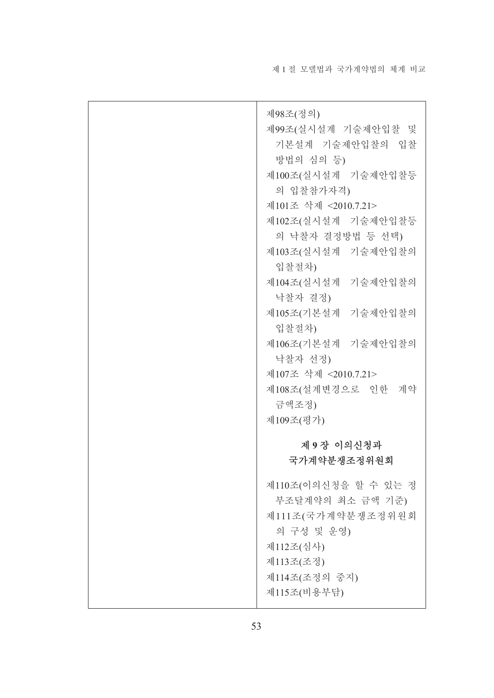| 제98조(정의)<br>제99조(실시설계 기술제안입찰 및<br>기본설계 기술제안입찰의 입찰<br>방법의 심의 등)<br>제100조(실시설계 기술제안입찰등<br>의 입찰참가자격)<br>제101조 삭제 <2010.7.21><br>제102조(실시설계 기술제안입찰등<br>의 낙찰자 결정방법 등 선택)<br>제103조(실시설계 기술제안입찰의<br>입찰절차)<br>제104조(실시설계 기술제안입찰의<br>낙찰자 결정)<br>제105조(기본설계 기술제안입찰의<br>입찰절차) |
|--------------------------------------------------------------------------------------------------------------------------------------------------------------------------------------------------------------------------------------------------------------------|
| 제106조(기본설계 기술제안입찰의<br>낙찰자 선정)<br>제107조 삭제 <2010.7.21><br>제108조(설계변경으로 인한 계약                                                                                                                                                                                        |
| 금액조정)<br>제109조(평가)                                                                                                                                                                                                                                                 |
| 제 9 장 이의신청과<br>국가계약분쟁조정위원회                                                                                                                                                                                                                                         |
| 제110조(이의신청을 할 수 있는 정<br>부조달계약의 최소 금액 기준)<br>제111조(국가계약분쟁조정위원회<br>의 구성 및 운영)<br>제112조(심사)<br>제113조(조정)<br>제114조(조정의 중지)<br>제115조(비용부담)                                                                                                                              |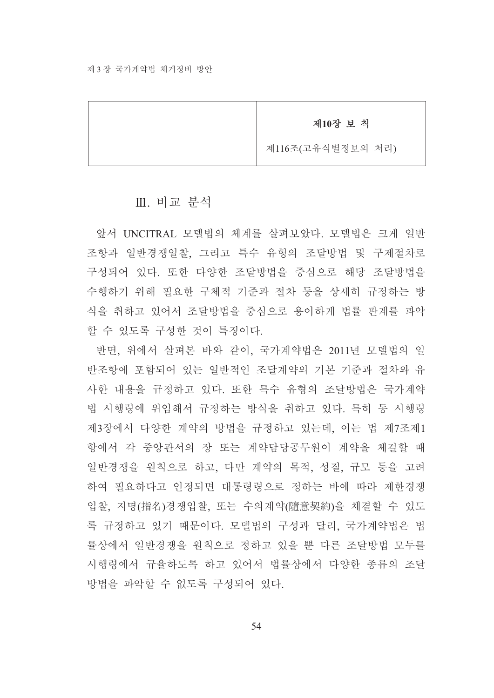제10장 보 칙

제116조(고유식별정보의 처리)

### Ⅲ. 비교 부석

앞서 UNCITRAL 모델법의 체계를 살펴보았다. 모델법은 크게 일반 조항과 일반경쟁일찰. 그리고 특수 유형의 조달방법 및 구제절차로 구성되어 있다. 또한 다양한 조달방법을 중심으로 해당 조달방법을 수행하기 위해 필요한 구체적 기준과 절차 등을 상세히 규정하는 방 식을 취하고 있어서 조달방법을 중심으로 용이하게 법률 관계를 파악 할 수 있도록 구성한 것이 특징이다.

반면, 위에서 살펴본 바와 같이, 국가계약법은 2011년 모델법의 일 반조항에 포함되어 있는 일반적인 조달계약의 기본 기주과 절차와 유 사한 내용을 규정하고 있다. 또한 특수 유형의 조달방법은 국가계약 법 시행령에 위임해서 규정하는 방식을 취하고 있다. 특히 동 시행령 제3장에서 다양한 계약의 방법을 규정하고 있는데, 이는 법 제7조제1 항에서 각 중앙관서의 장 또는 계약담당공무원이 계약을 체결할 때 일반경쟁을 원칙으로 하고, 다만 계약의 목적, 성질, 규모 등을 고려 하여 필요하다고 인정되면 대통령령으로 정하는 바에 따라 제한경쟁 입찰. 지명(指名)경쟁입찰, 또는 수의계약(隨意契約)을 체결할 수 있도 록 규정하고 있기 때문이다. 모델법의 구성과 달리, 국가계약법은 법 률상에서 일반경쟁을 원칙으로 정하고 있을 뿐 다른 조달방법 모두를 시행령에서 규율하도록 하고 있어서 법률상에서 다양한 종류의 조달 방법을 파악할 수 없도록 구성되어 있다.

 $54$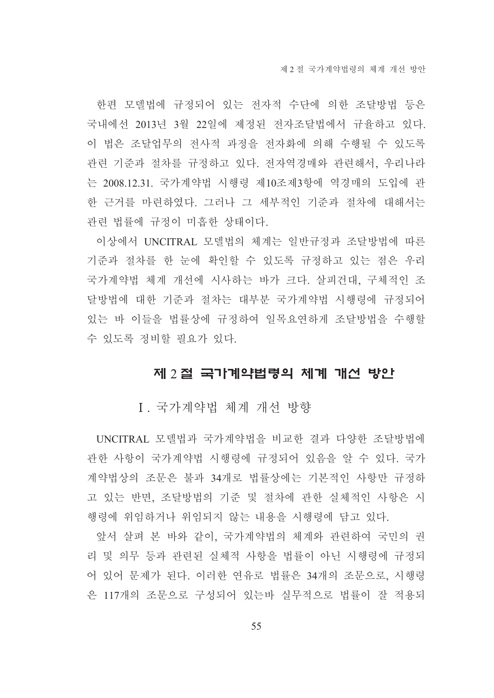한편 모델법에 규정되어 있는 전자적 수단에 의한 조달방법 등은 국내에선 2013년 3월 22일에 제정된 전자조달법에서 규율하고 있다. 이 법은 조달업무의 전사적 과정을 전자화에 의해 수행될 수 있도록 관련 기준과 절차를 규정하고 있다. 전자역경매와 관련해서, 우리나라 는 2008.12.31. 국가계약법 시행령 제10조제3항에 역경매의 도입에 관 한 근거를 마련하였다. 그러나 그 세부적인 기준과 절차에 대해서는 관련 법률에 규정이 미흡한 상태이다.

이상에서 UNCITRAL 모델법의 체계는 일반규정과 조달방법에 따른 기준과 절차를 한 눈에 확인할 수 있도록 규정하고 있는 점은 우리 국가계약법 체계 개선에 시사하는 바가 크다. 살피건대. 구체적인 조 달방법에 대한 기준과 절차는 대부분 국가계약법 시행령에 규정되어 있는 바 이들을 법률상에 규정하여 일목요연하게 조달방법을 수행할 수 있도록 정비할 필요가 있다.

## 제 2 절 국가계약법령의 체계 개선 방안

I. 국가계약법 체계 개선 방향

UNCITRAL 모델법과 국가계약법을 비교한 결과 다양한 조달방법에 관한 사항이 국가계약법 시행령에 규정되어 있음을 알 수 있다. 국가 계약법상의 조문은 불과 34개로 법률상에는 기본적인 사항만 규정하 고 있는 반면, 조달방법의 기준 및 절차에 관한 실체적인 사항은 시 행령에 위임하거나 위임되지 않는 내용을 시행령에 담고 있다.

앞서 살펴 본 바와 같이, 국가계약법의 체계와 관련하여 국민의 권 리 및 의무 등과 관련된 실체적 사항을 법률이 아닌 시행령에 규정되 어 있어 문제가 된다. 이러한 연유로 법률은 34개의 조문으로, 시행령 은 117개의 조문으로 구성되어 있는바 실무적으로 법률이 잘 적용되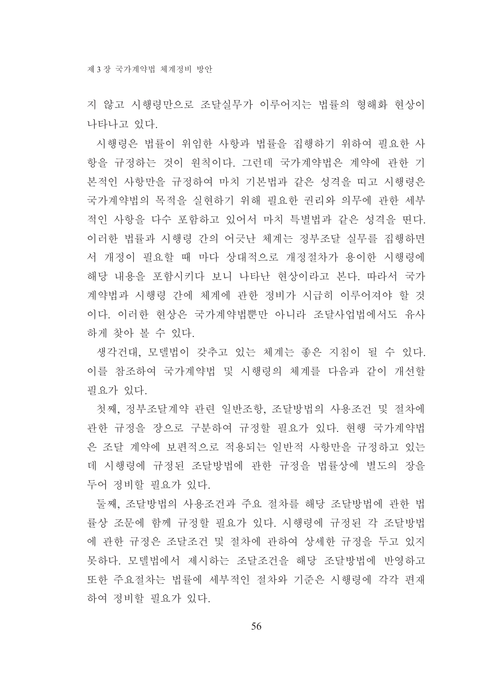지 않고 시행령만으로 조달실무가 이루어지는 법률의 형해화 현상이 나타나고 있다.

시행령은 법률이 위임한 사항과 법률을 집행하기 위하여 필요한 사 항을 규정하는 것이 원칙이다. 그런데 국가계약법은 계약에 관한 기 본적인 사항만을 규정하여 마치 기본법과 같은 성격을 띠고 시행령은 국가계약법의 목적을 실현하기 위해 필요한 권리와 의무에 관한 세부 적인 사항을 다수 포함하고 있어서 마치 특별법과 같은 성격을 띤다. 이러한 법률과 시행령 간의 어긋난 체계는 정부조달 실무를 집행하면 서 개정이 필요할 때 마다 상대적으로 개정절차가 용이한 시행령에 해당 내용을 포함시키다 보니 나타난 현상이라고 본다. 따라서 국가 계약법과 시행령 간에 체계에 관한 정비가 시급히 이루어져야 할 것 이다. 이러한 현상은 국가계약법뿐만 아니라 조달사업법에서도 유사 하게 찾아 볼 수 있다.

생각건대, 모델법이 갖추고 있는 체계는 좋은 지침이 될 수 있다. 이를 참조하여 국가계약법 및 시행령의 체계를 다음과 같이 개선할 필요가 있다.

첫째, 정부조달계약 관련 일반조항, 조달방법의 사용조건 및 절차에 관한 규정을 장으로 구분하여 규정할 필요가 있다. 현행 국가계약법 은 조달 계약에 보편적으로 적용되는 일반적 사항만을 규정하고 있는 데 시행령에 규정된 조달방법에 관한 규정을 법률상에 별도의 장을 두어 정비할 필요가 있다.

둘째. 조달방법의 사용조건과 주요 절차를 해당 조달방법에 과하 법 률상 조문에 함께 규정할 필요가 있다. 시행령에 규정된 각 조달방법 에 관한 규정은 조달조건 및 절차에 관하여 상세한 규정을 두고 있지 못하다. 모델법에서 제시하는 조달조건을 해당 조달방법에 반영하고 또한 주요절차는 법률에 세부적인 절차와 기준은 시행령에 각각 편재 하여 정비할 필요가 있다.

56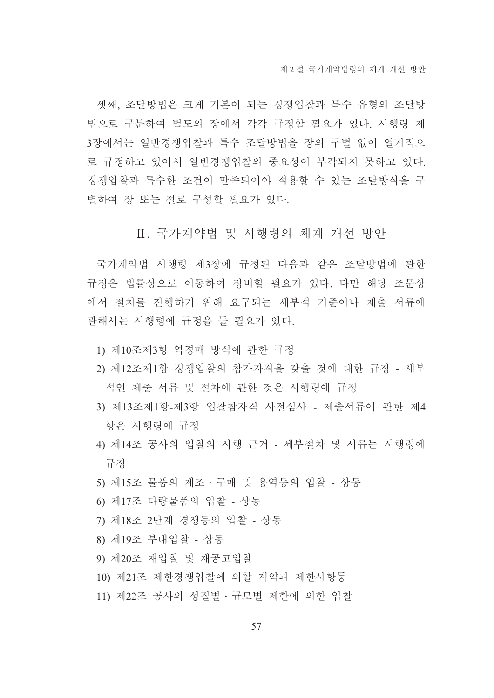셋째, 조달방법은 크게 기본이 되는 경쟁입찰과 특수 유형의 조달방 법으로 구분하여 별도의 장에서 각각 규정할 필요가 있다. 시행령 제 3장에서는 일반경쟁입찰과 특수 조달방법을 장의 구별 없이 열거적으 로 규정하고 있어서 일반경쟁입찰의 중요성이 부각되지 못하고 있다. 경쟁입찰과 특수한 조건이 만족되어야 적용할 수 있는 조달방식을 구 별하여 장 또는 절로 구성할 필요가 있다.

## Ⅱ. 국가계약법 및 시행령의 체계 개선 방안

국가계약법 시행령 제3장에 규정된 다음과 같은 조달방법에 관한 규정은 법률상으로 이동하여 정비할 필요가 있다. 다만 해당 조문상 에서 절차를 진행하기 위해 요구되는 세부적 기준이나 제출 서류에 관해서는 시행령에 규정을 둘 필요가 있다.

- 1) 제10조제3항 역경매 방식에 관한 규정
- 2) 제12조제1항 경쟁입찰의 참가자격을 갖출 것에 대한 규정 세부 적인 제출 서류 및 절차에 관한 것은 시행령에 규정
- 3) 제13조제1항-제3항 입찰참자격 사전심사 제출서류에 관한 제4 항은 시행령에 규정
- 4) 제14조 공사의 입찰의 시행 근거 세부절차 및 서류는 시행령에 규정
- 5) 제15조 물품의 제조 · 구매 및 용역등의 입찰 상동
- 6) 제17조 다량물품의 입찰 상동
- 7) 제18조 2단계 경쟁등의 입찰 상동
- 8) 제19조 부대입찰 상동
- 9) 제20조 재입찰 및 재공고입찰
- 10) 제21조 제한경쟁입찰에 의할 계약과 제한사항등
- 11) 제22조 공사의 성질별 규모별 제하에 의한 입찰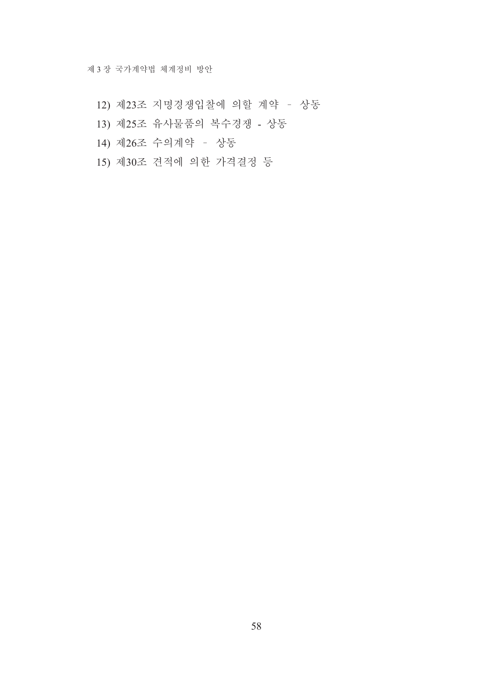- 12) 제23조 지명경쟁입찰에 의할 계약 상동
- 13) 제25조 유사물품의 복수경쟁 상동
- 14) 제26조 수의계약 상동
- 15) 제30조 견적에 의한 가격결정 등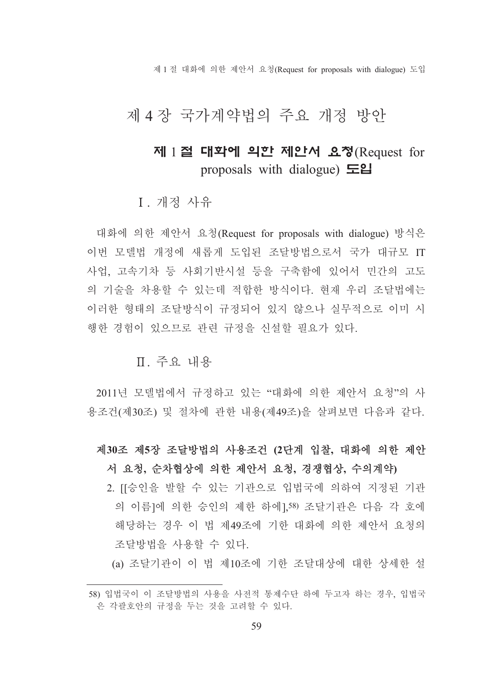제 1 절 대화에 의한 제안서 요청(Request for proposals with dialogue) 도입

# 제 4장 국가계약법의 주요 개정 방안

# 제 1절 대학에 의한 제안서 요청(Request for proposals with dialogue)  $\Xi$ **2**

I. 개정 사유

대화에 의한 제안서 요청(Request for proposals with dialogue) 방식은 이번 모델법 개정에 새롭게 도입된 조달방법으로서 국가 대규모 IT 사업, 고속기차 등 사회기반시설 등을 구축함에 있어서 민간의 고도 의 기술을 차용할 수 있는데 적합한 방식이다. 현재 우리 조달법에는 이러한 형태의 조달방식이 규정되어 있지 않으나 실무적으로 이미 시 행한 경험이 있으므로 관련 규정을 신설할 필요가 있다.

# Ⅱ 주요 내용

2011년 모델법에서 규정하고 있는 "대화에 의한 제안서 요청"의 사 용조건(제30조) 및 절차에 관한 내용(제49조)을 살펴보면 다음과 같다.

- 제30조 제5장 조달방법의 사용조건 (2단계 입찰, 대화에 의한 제안 서 요청, 순차협상에 의한 제안서 요청, 경쟁협상, 수의계약)
	- 2. [[승인을 발할 수 있는 기관으로 입법국에 의하여 지정된 기관 의 이름]에 의한 승인의 제한 하에].58) 조달기관은 다음 각 호에 해당하는 경우 이 법 제49조에 기한 대화에 의한 제안서 요청의 조달방법을 사용할 수 있다.

(a) 조달기관이 이 법 제10조에 기한 조달대상에 대한 상세한 설

<sup>58)</sup> 입법국이 이 조달방법의 사용을 사전적 통제수단 하에 두고자 하는 경우, 입법국 은 각괄호안의 규정을 두는 것을 고려할 수 있다.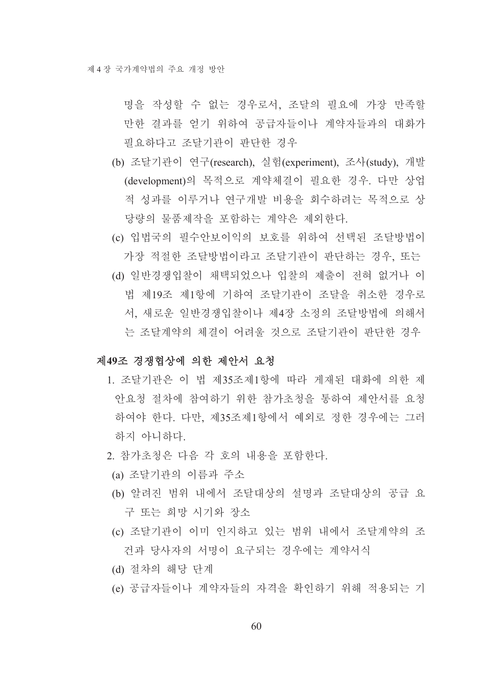명을 작성할 수 없는 경우로서, 조달의 필요에 가장 만족할 만한 결과를 얻기 위하여 공급자들이나 계약자들과의 대화가 필요하다고 조달기관이 판단한 경우

- (b) 조달기관이 연구(research), 실험(experiment), 조사(study), 개발 (development)의 목적으로 계약체결이 필요한 경우. 다만 상업 적 성과를 이루거나 연구개발 비용을 회수하려는 목적으로 상 당량의 물품제작을 포함하는 계약은 제외한다.
- (c) 입법국의 필수안보이익의 보호를 위하여 선택된 조달방법이 가장 적절한 조달방법이라고 조달기관이 판단하는 경우, 또는
- (d) 일반경쟁입찰이 채택되었으나 입찰의 제출이 전혀 없거나 이 법 제19조 제1항에 기하여 조달기관이 조달을 취소한 경우로 서, 새로운 일반경쟁입찰이나 제4장 소정의 조달방법에 의해서 는 조달계약의 체결이 어려울 것으로 조달기과이 파다하 경우

#### 제49조 경쟁협상에 의한 제안서 요청

- 1 조달기과은 이 법 제35조제1항에 따라 게재되 대화에 의한 제 안요청 절차에 참여하기 위한 참가초청을 통하여 제안서를 요청 하여야 한다. 다만. 제35조제1항에서 예외로 정한 경우에는 그러 하지 아니하다.
- 2. 참가초청은 다음 각 호의 내용을 포함한다.
- (a) 조달기관의 이름과 주소
- (b) 알려진 범위 내에서 조달대상의 설명과 조달대상의 공급 요 구 또는 희망 시기와 장소
- (c) 조달기관이 이미 인지하고 있는 범위 내에서 조달계약의 조 건과 당사자의 서명이 요구되는 경우에는 계약서식
- (d) 절차의 해당 단계
- (e) 공급자들이나 계약자들의 자격을 확인하기 위해 적용되는 기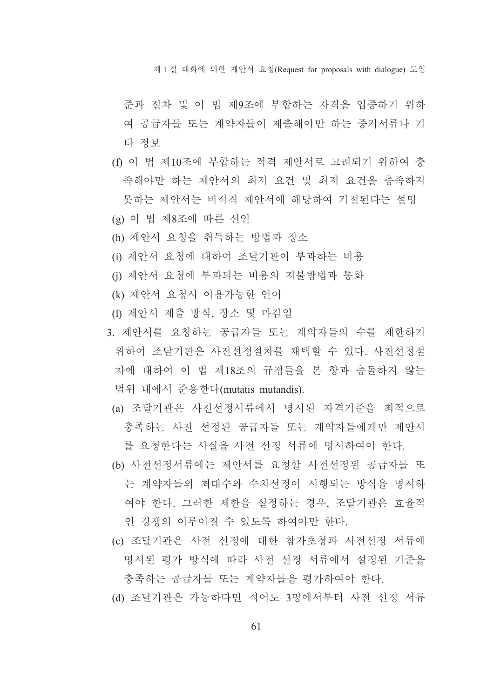제 1 절 대화에 의한 제안서 요청(Request for proposals with dialogue) 도입

- 준과 절차 및 이 법 제9조에 부합하는 자격을 입증하기 위하 여 공급자들 또는 계약자들이 제출해야만 하는 증거서류나 기 타 정보
- (f) 이 법 제10조에 부합하는 적격 제안서로 고려되기 위하여 충 족해야만 하는 제안서의 최저 요건 및 최저 요건을 충족하지 못하는 제안서는 비적격 제안서에 해당하여 거절된다는 설명
- (g) 이 법 제8조에 따른 선언
- (h) 제안서 요청을 취득하는 방법과 장소
- (i) 제안서 요청에 대하여 조달기관이 부과하는 비용
- (i) 제안서 요청에 부과되는 비용의 지불방법과 통화
- (k) 제안서 요청시 이용가능한 언어
- (1) 제안서 제출 방식, 장소 및 마감일
- 3. 제안서를 요청하는 공급자들 또는 계약자들의 수를 제한하기 위하여 조달기관은 사전선정절차를 채택할 수 있다. 사전선정절 차에 대하여 이 법 제18조의 규정들을 본 항과 충돌하지 않는 범위 내에서 준용한다(mutatis mutandis).
- (a) 조달기관은 사전선정서류에서 명시된 자격기준을 최적으로 충족하는 사전 선정된 공급자들 또는 계약자들에게만 제안서 를 요청한다는 사실을 사전 선정 서류에 명시하여야 한다.
- (b) 사전선정서류에는 제안서를 요청할 사전선정된 공급자들 또 는 계약자들의 최대수와 수치선정이 시행되는 방식을 명시하 여야 한다. 그러한 제한을 설정하는 경우. 조달기관은 효율적 인 경쟁의 이루어질 수 있도록 하여야만 한다.
- (c) 조달기관은 사전 선정에 대한 참가초청과 사전선정 서류에 명시된 평가 방식에 따라 사전 선정 서류에서 설정된 기준을 충족하는 공급자들 또는 계약자들을 평가하여야 한다.
- (d) 조달기관은 가능하다면 적어도 3명에서부터 사전 선정 서류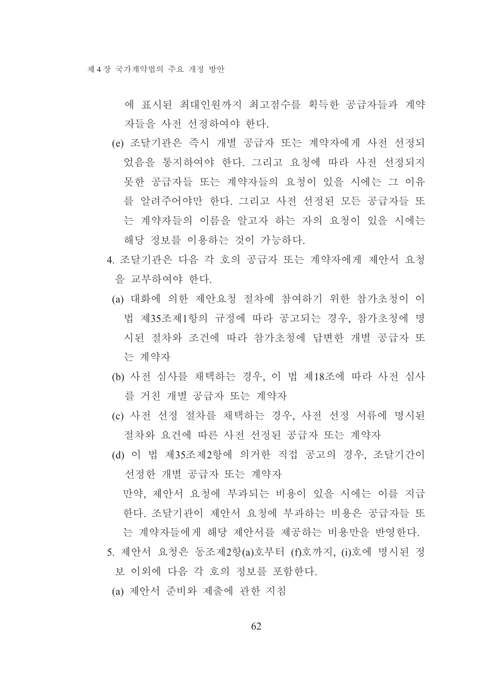에 표시된 최대인원까지 최고점수를 획득한 공급자들과 계약 자들을 사전 선정하여야 한다.

- (e) 조달기관은 즉시 개별 공급자 또는 계약자에게 사전 선정되 었음을 통지하여야 한다. 그리고 요청에 따라 사전 선정되지 못한 공급자들 또는 계약자들의 요청이 있을 시에는 그 이유 를 알려주어야만 한다. 그리고 사전 선정된 모든 공급자들 또 는 계약자들의 이름을 알고자 하는 자의 요청이 있을 시에는 해당 정보를 이용하는 것이 가능하다.
- 4. 조달기관은 다음 각 호의 공급자 또는 계약자에게 제안서 요청 을 교부하여야 한다.
	- (a) 대화에 의한 제안요청 절차에 참여하기 위한 참가초청이 이 법 제35조제1항의 규정에 따라 공고되는 경우, 참가초청에 명 시된 절차와 조건에 따라 참가초청에 답변한 개별 공급자 또 는 계약자
- (b) 사전 심사를 채택하는 경우, 이 법 제18조에 따라 사전 심사 를 거친 개별 공급자 또는 계약자
- (c) 사전 선정 절차를 채택하는 경우, 사전 선정 서류에 명시된 절차와 요건에 따른 사전 선정된 공급자 또는 계약자
- (d) 이 법 제35조제2항에 의거한 직접 공고의 경우, 조달기간이 선정한 개별 공급자 또는 계약자 만약, 제안서 요청에 부과되는 비용이 있을 시에는 이를 지급 한다. 조달기관이 제안서 요청에 부과하는 비용은 공급자들 또 는 계약자들에게 해당 제안서를 제공하는 비용만을 반영한다.
- 5. 제안서 요청은 동조제2항(a)호부터 (f)호까지, (i)호에 명시된 정 보 이외에 다음 각 호의 정보를 포함한다.
- (a) 제안서 준비와 제출에 관한 지침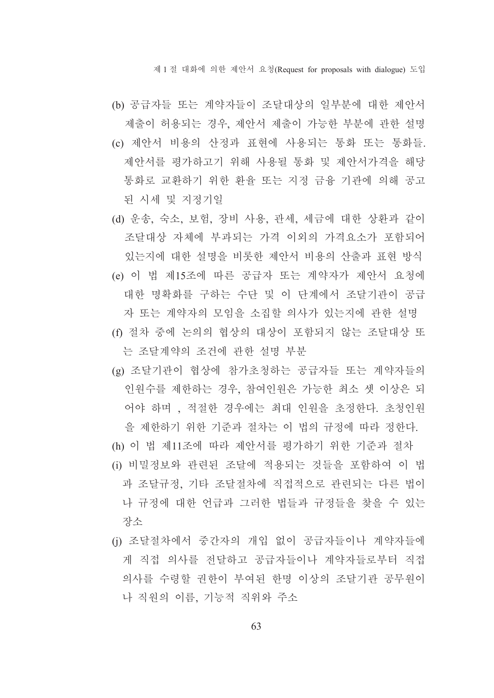제 1 절 대화에 의한 제안서 요청(Request for proposals with dialogue) 도입

- (b) 공급자들 또는 계약자들이 조달대상의 일부분에 대한 제안서 제출이 허용되는 경우, 제안서 제출이 가능한 부분에 관한 설명
- (c) 제안서 비용의 산정과 표현에 사용되는 통화 또는 통화들. 제안서를 평가하고기 위해 사용될 통화 및 제안서가격을 해당 통화로 교환하기 위한 환율 또는 지정 금융 기관에 의해 공고 된 시세 및 지정기일
- (d) 운송, 숙소, 보험, 장비 사용, 관세, 세금에 대한 상환과 같이 조달대상 자체에 부과되는 가격 이외의 가격요소가 포함되어 있는지에 대한 설명을 비롯한 제안서 비용의 산출과 표현 방식
- (e) 이 법 제15조에 따른 공급자 또는 계약자가 제안서 요청에 대한 명확화를 구하는 수단 및 이 단계에서 조달기관이 공급 자 또는 계약자의 모임을 소집할 의사가 있는지에 관한 설명
- (f) 절차 중에 논의의 협상의 대상이 포함되지 않는 조달대상 또 는 조달계약의 조건에 관한 설명 부분
- (g) 조달기관이 협상에 참가초청하는 공급자들 또는 계약자들의 인원수를 제한하는 경우, 참여인원은 가능한 최소 셋 이상은 되 어야 하며 . 적절한 경우에는 최대 인원을 초정한다. 초청인원 을 제한하기 위한 기준과 절차는 이 법의 규정에 따라 정한다.
- (h) 이 법 제11조에 따라 제안서를 평가하기 위한 기준과 절차 (i) 비밀정보와 관련된 조달에 적용되는 것들을 포함하여 이 법 과 조달규정, 기타 조달절차에 직접적으로 관련되는 다른 법이 나 규정에 대한 어급과 그러한 법들과 규정들을 찾을 수 있는 장소
- (i) 조달절차에서 중간자의 개입 없이 공급자들이나 계약자들에 게 직접 의사를 전달하고 공급자들이나 계약자들로부터 직접 의사를 수령할 권한이 부여된 한명 이상의 조달기관 공무워이 나 직원의 이름, 기능적 직위와 주소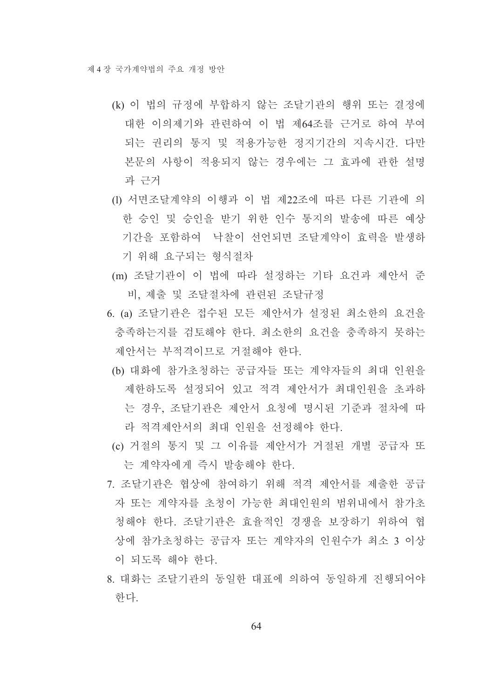- (k) 이 법의 규정에 부합하지 않는 조달기관의 행위 또는 결정에 대한 이의제기와 관련하여 이 법 제64조를 근거로 하여 부여 되는 권리의 통지 및 적용가능한 정지기간의 지속시간. 다만 본문의 사항이 적용되지 않는 경우에는 그 효과에 관한 설명 과 근거
- (1) 서면조달계약의 이행과 이 법 제22조에 따른 다른 기관에 의 한 승인 및 승인을 받기 위한 인수 통지의 발송에 따른 예상 기간을 포함하여 '낙찰이 선언되면 조달계약이 효력을 발생하 기 위해 요구되는 형식절차
- (m) 조달기관이 이 법에 따라 설정하는 기타 요건과 제안서 준 비, 제출 및 조달절차에 관련된 조달규정
- 6. (a) 조달기관은 접수된 모든 제안서가 설정된 최소한의 요건을 충족하는지를 검토해야 한다. 최소한의 요건을 충족하지 못하는 제안서는 부적격이므로 거절해야 한다.
	- (b) 대화에 참가초청하는 공급자들 또는 계약자들의 최대 인원을 제한하도록 설정되어 있고 적격 제안서가 최대인워을 초과하 는 경우, 조달기관은 제안서 요청에 명시된 기준과 절차에 따 라 적격제아서의 최대 이워을 선정해야 한다.
- (c) 거절의 통지 및 그 이유를 제안서가 거절된 개별 공급자 또 는 계약자에게 즉시 발송해야 한다.
- 7. 조달기관은 협상에 참여하기 위해 적격 제안서를 제출한 공급 자 또는 계약자를 초청이 가능한 최대인원의 범위내에서 참가초 청해야 한다. 조달기관은 효율적인 경쟁을 보장하기 위하여 협 상에 참가초청하는 공급자 또는 계약자의 인원수가 최소 3 이상 이 되도록 해야 하다.
- 8 대화는 조달기관의 동일한 대표에 의하여 동일하게 진행되어야 한다.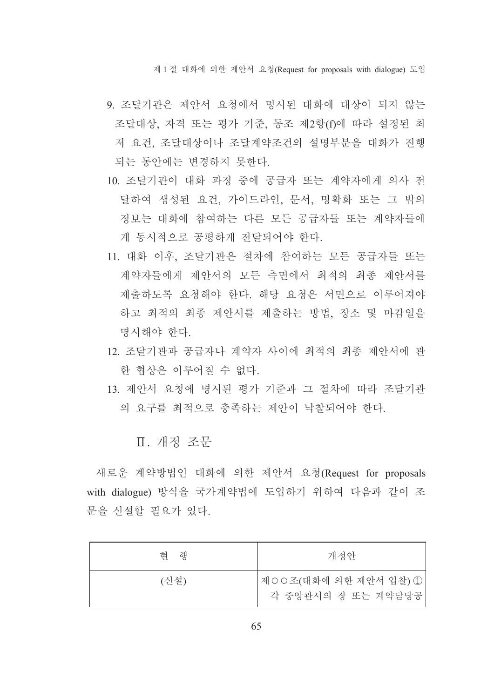제 1 절 대화에 의한 제안서 요청(Request for proposals with dialogue) 도입

- 9. 조달기관은 제안서 요청에서 명시된 대화에 대상이 되지 않는 조달대상, 자격 또는 평가 기준, 동조 제2항(f)에 따라 설정된 최 저 요건, 조달대상이나 조달계약조건의 설명부분을 대화가 진행 되는 동안에는 변경하지 못한다.
- 10. 조달기관이 대화 과정 중에 공급자 또는 계약자에게 의사 전 달하여 생성된 요건, 가이드라인, 문서, 명확화 또는 그 밖의 정보는 대화에 참여하는 다른 모든 공급자들 또는 계약자들에 게 동시적으로 공평하게 전달되어야 한다.
- 11. 대화 이후, 조달기관은 절차에 참여하는 모든 공급자들 또는 계약자들에게 제안서의 모든 측면에서 최적의 최종 제안서를 제출하도록 요청해야 한다. 해당 요청은 서면으로 이루어져야 하고 최적의 최종 제안서를 제출하는 방법, 장소 및 마감일을 명시해야 한다.
- 12 조달기관과 공급자나 계약자 사이에 최적의 최종 제안서에 과 한 협상은 이루어질 수 없다.
- 13. 제안서 요청에 명시된 평가 기준과 그 절차에 따라 조달기관 의 요구를 최적으로 충족하는 제안이 낙찰되어야 한다.

## Ⅱ. 개정 조문

새로운 계약방법인 대화에 의한 제안서 요청(Request for proposals with dialogue) 방식을 국가계약법에 도입하기 위하여 다음과 같이 조 문을 신설할 필요가 있다.

| 해<br>헊 | 개정안                                         |
|--------|---------------------------------------------|
| (신설)   | 제○○조(대화에 의한 제안서 입찰) ①<br>각 중앙관서의 장 또는 계약담당공 |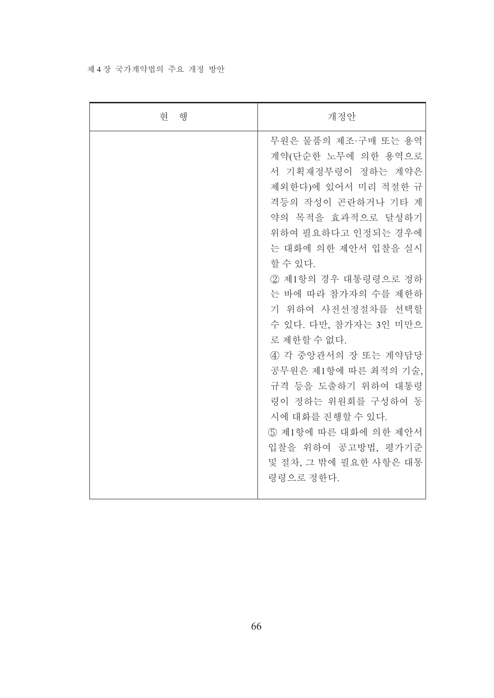### 제 4 장 국가계약법의 주요 개정 방안

| 현 행 | 개정안                                                                                                                                                                                                                                                                                                                                                                                                                                                                                                     |
|-----|---------------------------------------------------------------------------------------------------------------------------------------------------------------------------------------------------------------------------------------------------------------------------------------------------------------------------------------------------------------------------------------------------------------------------------------------------------------------------------------------------------|
|     | 무원은 물품의 제조·구매 또는 용역<br>계약(단순한 노무에 의한 용역으로<br>서 기획재정부령이 정하는 계약은<br>제외한다)에 있어서 미리 적절한 규<br>격등의 작성이 곤란하거나 기타 계<br>약의 목적을 효과적으로 달성하기<br>위하여 필요하다고 인정되는 경우에<br>는 대화에 의한 제안서 입찰을 실시<br>할 수 있다.<br>2 제1항의 경우 대통령령으로 정하<br>는 바에 따라 참가자의 수를 제한하<br>기 위하여 사전선정절차를 선택할<br>수 있다. 다만, 참가자는 3인 미만으<br>로 제한할 수 없다.<br>4) 각 중앙관서의 장 또는 계약담당<br>공무원은 제1항에 따른 최적의 기술,<br>규격 등을 도출하기 위하여 대통령<br>령이 정하는 위원회를 구성하여 동<br>시에 대화를 진행할 수 있다.<br>5 제1항에 따른 대화에 의한 제안서<br>입찰을 위하여 공고방법, 평가기준<br>및 절차, 그 밖에 필요한 사항은 대통<br>령령으로 정한다. |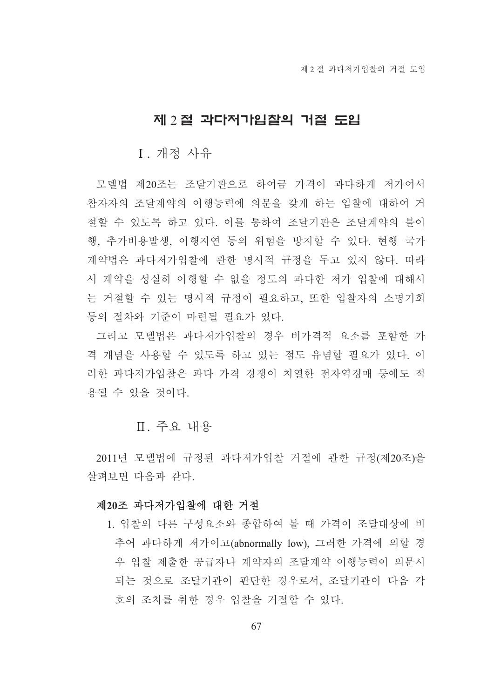## 제 2 절 과다저가입찰의 거절 도입

## I. 개정 사유

모델법 제20조는 조달기관으로 하여금 가격이 과다하게 저가여서 참자자의 조달계약의 이행능력에 의문을 갖게 하는 입찰에 대하여 거 절할 수 있도록 하고 있다. 이를 통하여 조달기관은 조달계약의 불이 행. 추가비용발생. 이행지여 등의 위험을 방지할 수 있다. 현행 국가 계약법은 과다저가입찰에 관한 명시적 규정을 두고 있지 않다. 따라 서 계약을 성실히 이행할 수 없을 정도의 과다한 저가 입찰에 대해서 는 거절할 수 있는 명시적 규정이 필요하고, 또한 입찰자의 소명기회 등의 절차와 기주이 마련될 필요가 있다.

그리고 모델법은 과다저가입찰의 경우 비가격적 요소를 포함한 가 격 개념을 사용할 수 있도록 하고 있는 점도 유념할 필요가 있다. 이 러한 과다저가입찰은 과다 가격 경쟁이 치열한 전자역경매 등에도 적 용될 수 있을 것이다.

### Ⅱ. 주요 내용

2011년 모델법에 규정된 과다저가입찰 거절에 관한 규정(제20조)을 살펴보면 다음과 같다

#### 제20조 과다저가입찰에 대한 거절

1. 입찰의 다른 구성요소와 종합하여 볼 때 가격이 조달대상에 비 추어 과다하게 저가이고(abnormally low), 그러한 가격에 의할 경 우 입찰 제출한 공급자나 계약자의 조달계약 이행능력이 의문시 되는 것으로 조달기관이 판단한 경우로서, 조달기관이 다음 각 호의 조치를 취한 경우 입찰을 거절할 수 있다.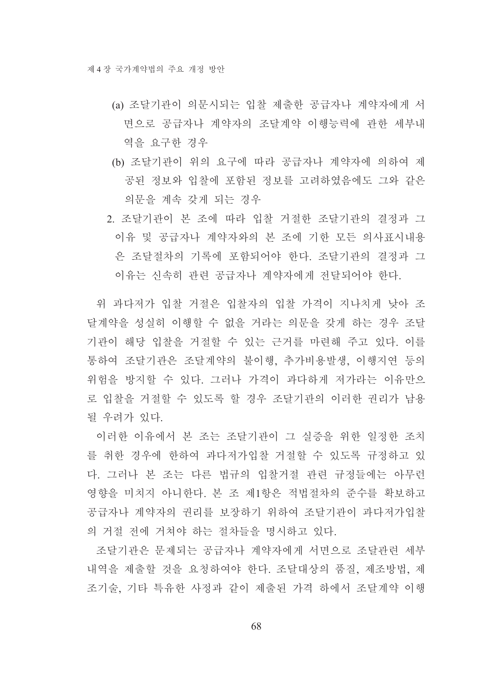- (a) 조달기관이 의문시되는 입찰 제출한 공급자나 계약자에게 서 면으로 공급자나 계약자의 조달계약 이행능력에 관한 세부내 역을 요구한 경우
- (b) 조달기관이 위의 요구에 따라 공급자나 계약자에 의하여 제 공된 정보와 입찰에 포함된 정보를 고려하였음에도 그와 같은 의문을 계속 갖게 되는 경우
- 2. 조달기관이 본 조에 따라 입찰 거절한 조달기관의 결정과 그 이유 및 공급자나 계약자와의 본 조에 기한 모든 의사표시내용 은 조달절차의 기록에 포함되어야 한다. 조달기관의 결정과 그 이유는 신속히 관련 공급자나 계약자에게 전달되어야 한다.

위 과다저가 입찰 거절은 입찰자의 입찰 가격이 지나치게 낮아 조 달계약을 성실히 이행할 수 없을 거라는 의문을 갖게 하는 경우 조달 기관이 해당 입찰을 거절할 수 있는 근거를 마련해 주고 있다. 이를 통하여 조달기관은 조달계약의 불이행, 추가비용발생, 이행지연 등의 위험을 방지할 수 있다. 그러나 가격이 과다하게 저가라는 이유만으 로 입찰을 거절할 수 있도록 할 경우 조달기관의 이러한 권리가 남용 될 우려가 있다.

이러한 이유에서 본 조는 조달기관이 그 실증을 위한 일정한 조치 를 취한 경우에 한하여 과다저가입찰 거절할 수 있도록 규정하고 있 다. 그러나 본 조는 다른 법규의 입찰거절 관련 규정들에는 아무런 영향을 미치지 아니한다. 본 조 제1항은 적법절차의 준수를 확보하고 공급자나 계약자의 권리를 보장하기 위하여 조달기관이 과다저가입찰 의 거절 전에 거쳐야 하는 절차들을 명시하고 있다.

조달기관은 문제되는 공급자나 계약자에게 서면으로 조달관련 세부 내역을 제출할 것을 요청하여야 한다. 조달대상의 품질, 제조방법, 제 조기술, 기타 특유한 사정과 같이 제출된 가격 하에서 조달계약 이행

68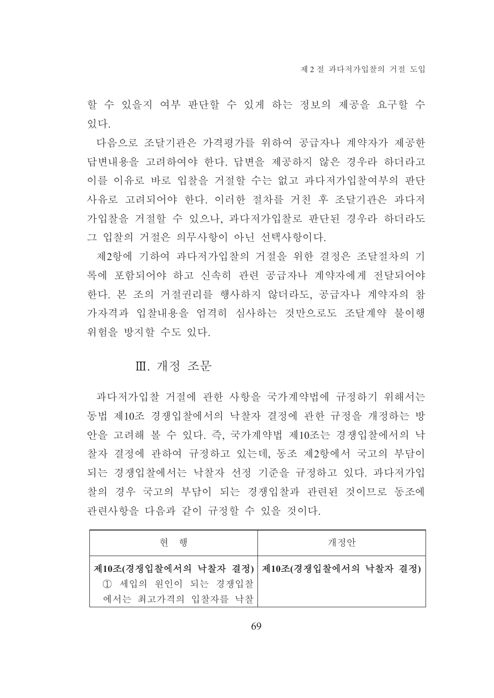할 수 있을지 여부 판단할 수 있게 하는 정보의 제공을 요구할 수 있다

다음으로 조달기관은 가격평가를 위하여 공급자나 계약자가 제공한 답변내용을 고려하여야 한다. 답변을 제공하지 않은 경우라 하더라고 이를 이유로 바로 입찰을 거절할 수는 없고 과다저가입찰여부의 판단 사유로 고려되어야 한다. 이러한 절차를 거친 후 조달기관은 과다저 가입찰을 거절할 수 있으나, 과다저가입찰로 판단된 경우라 하더라도 그 입찰의 거절은 의무사항이 아닌 선택사항이다.

제2항에 기하여 과다저가입찰의 거절을 위한 결정은 조달절차의 기 록에 포함되어야 하고 신속히 관련 공급자나 계약자에게 전달되어야 한다. 본 조의 거절권리를 행사하지 않더라도, 공급자나 계약자의 참 가자격과 입찰내용을 엄격히 심사하는 것만으로도 조달계약 불이행 위험을 방지할 수도 있다.

## Ⅲ. 개정 조문

과다저가입찰 거절에 관한 사항을 국가계약법에 규정하기 위해서는 동법 제10조 경쟁입찰에서의 낙찰자 결정에 관한 규정을 개정하는 방 안을 고려해 볼 수 있다. 즉, 국가계약법 제10조는 경쟁입찰에서의 낙 찰자 결정에 관하여 규정하고 있는데, 동조 제2항에서 국고의 부담이 되는 경쟁입찰에서는 낙찰자 선정 기준을 규정하고 있다. 과다저가입 찰의 경우 국고의 부담이 되는 경쟁입찰과 관련된 것이므로 동조에 관련사항을 다음과 같이 규정할 수 있을 것이다.

| 해<br>헊                                                                              | 개정안 |
|-------------------------------------------------------------------------------------|-----|
| 제10조(경쟁입찰에서의 낙찰자 결정) 제10조(경쟁입찰에서의 낙찰자 결정)<br>1 세입의 원인이 되는 경쟁입찰<br>에서는 최고가격의 입찰자를 낙찰 |     |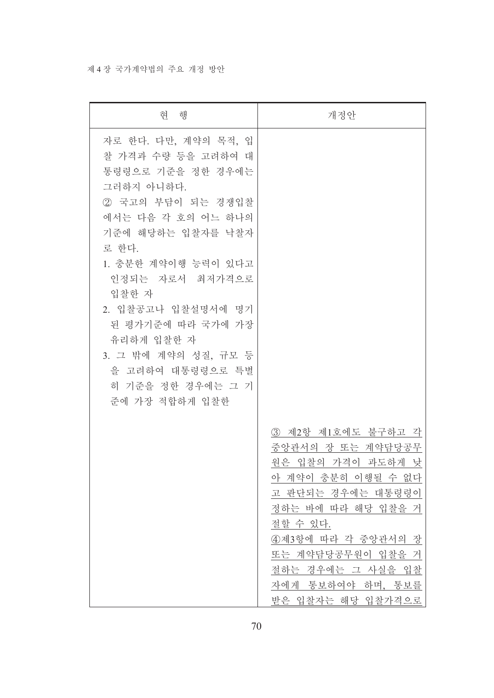### 제 4 장 국가계약법의 주요 개정 방안

| 현 행                                                                                                                                                                                                                                                                                                                                                   | 개정안                                                                                                                                                                                                                                                   |
|-------------------------------------------------------------------------------------------------------------------------------------------------------------------------------------------------------------------------------------------------------------------------------------------------------------------------------------------------------|-------------------------------------------------------------------------------------------------------------------------------------------------------------------------------------------------------------------------------------------------------|
| 자로 한다. 다만, 계약의 목적, 입<br>찰 가격과 수량 등을 고려하여 대<br>통령령으로 기준을 정한 경우에는<br>그러하지 아니하다.<br>② 국고의 부담이 되는 경쟁입찰<br>에서는 다음 각 호의 어느 하나의<br>기준에 해당하는 입찰자를 낙찰자<br>로 한다.<br>1. 충분한 계약이행 능력이 있다고<br>인정되는 자로서 최저가격으로<br>입찰한 자<br>2. 입찰공고나 입찰설명서에 명기<br>된 평가기준에 따라 국가에 가장<br>유리하게 입찰한 자<br>3. 그 밖에 계약의 성질, 규모 등<br>을 고려하여 대통령령으로 특별<br>히 기준을 정한 경우에는 그 기<br>준에 가장 적합하게 입찰한 |                                                                                                                                                                                                                                                       |
|                                                                                                                                                                                                                                                                                                                                                       | 3) 제2항 제1호에도 불구하고 각<br>중앙관서의 장 또는 계약담당공무<br>원은 입찰의 가격이 과도하게 낮<br>아 계약이 충분히 이행될 수 없다.<br>고 판단되는 경우에는 대통령령이<br>정하는 바에 따라 해당 입찰을 거<br>절할 수 있다.<br>4제3항에 따라 각 중앙관서의 장<br>또는 계약담당공무원이 입찰을 거<br>절하는 경우에는 그 사실을 입찰<br>자에게 통보하여야 하며, 통보를<br>받은 입찰자는 해당 입찰가격으로 |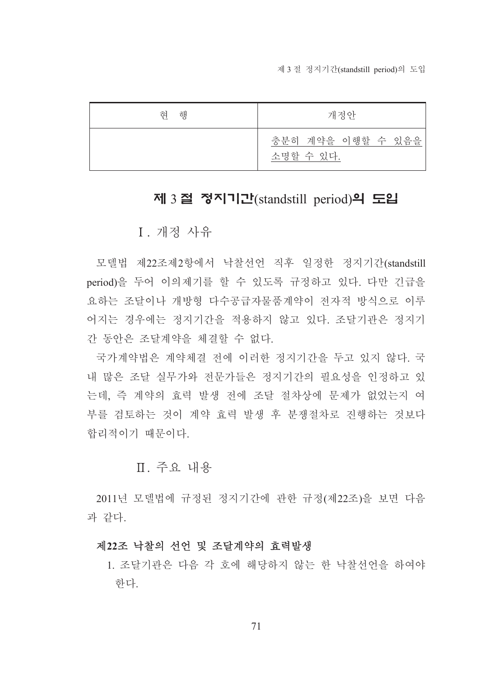제 3 절 정지기간(standstill period)의 도입

| 혀<br>해 | 개정안                            |
|--------|--------------------------------|
|        | 충분히 계약을 이행할 수 있음을<br>소명할 수 있다. |

# 제 3절 정지기간(standstill period)의 도입

I. 개정 사유

모델법 제22조제2항에서 낙찰선언 직후 일정한 정지기간(standstill period)을 두어 이의제기를 할 수 있도록 규정하고 있다. 다만 긴급을 요하는 조달이나 개방형 다수공급자물품계약이 전자적 방식으로 이루 어지는 경우에는 정지기간을 적용하지 않고 있다. 조달기관은 정지기 간 동안은 조달계약을 체결할 수 없다.

국가계약법은 계약체결 전에 이러한 정지기간을 두고 있지 않다. 국 내 많은 조달 실무가와 전문가들은 정지기간의 필요성을 인정하고 있 는데, 즉 계약의 효력 발생 전에 조달 절차상에 문제가 없었는지 여 부를 검토하는 것이 계약 효력 발생 후 분쟁절차로 진행하는 것보다 합리적이기 때문이다.

## Ⅱ 주요 내용

2011년 모델법에 규정된 정지기간에 관한 규정(제22조)을 보면 다음 과 같다.

#### 제22조 낙찰의 선언 및 조달계약의 효력발생

1. 조달기관은 다음 각 호에 해당하지 않는 한 낙찰선언을 하여야 하다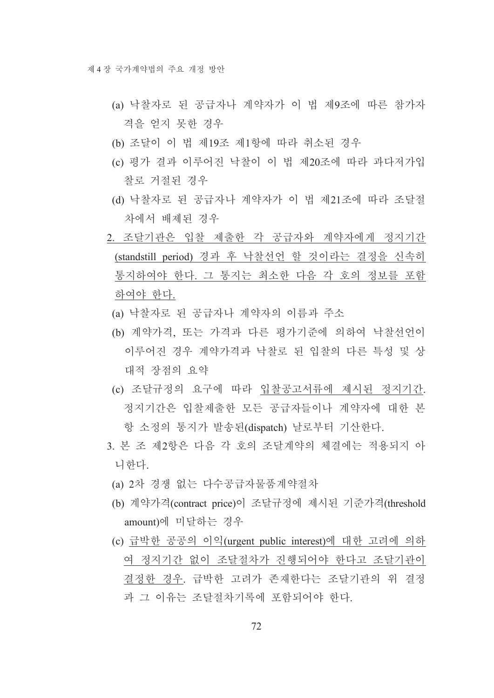- (a) 낙찰자로 된 공급자나 계약자가 이 법 제9조에 따른 참가자 격을 얻지 못한 경우
- (b) 조달이 이 법 제19조 제1항에 따라 취소된 경우
- (c) 평가 결과 이루어진 낙찰이 이 법 제20조에 따라 과다저가입 찰로 거절되 경우
- (d) 낙찰자로 된 공급자나 계약자가 이 법 제21조에 따라 조달절 차에서 배제된 경우
- 2. 조달기관은 입찰 제출한 각 공급자와 계약자에게 정지기간 (standstill period) 경과 후 낙찰선언 할 것이라는 결정을 신속히 통지하여야 한다. 그 통지는 최소한 다음 각 호의 정보를 포함 하여야 한다.
	- (a) 낙찰자로 된 공급자나 계약자의 이름과 주소
- (b) 계약가격, 또는 가격과 다른 평가기주에 의하여 낙찰선언이 이루어진 경우 계약가격과 낙찰로 된 입찰의 다른 특성 및 상 대적 장점의 요약
- (c) 조달규정의 요구에 따라 입찰공고서류에 제시된 정지기간. 정지기간은 입찰제출한 모든 공급자들이나 계약자에 대한 본 항 소정의 통지가 발송된(dispatch) 날로부터 기산한다.
- 3. 본 조 제2항은 다음 각 호의 조달계약의 체결에는 적용되지 아 니한다.
- (a) 2차 경쟁 없는 다수공급자물품계약절차
- (b) 계약가격(contract price)이 조달규정에 제시된 기준가격(threshold amount)에 미달하는 경우
- (c) 급박한 공공의 이익(urgent public interest)에 대한 고려에 의하 여 정지기간 없이 조달절차가 진행되어야 한다고 조달기관이 결정한 경우. 급박한 고려가 존재한다는 조달기관의 위 결정 과 그 이유는 조달절차기록에 포함되어야 한다.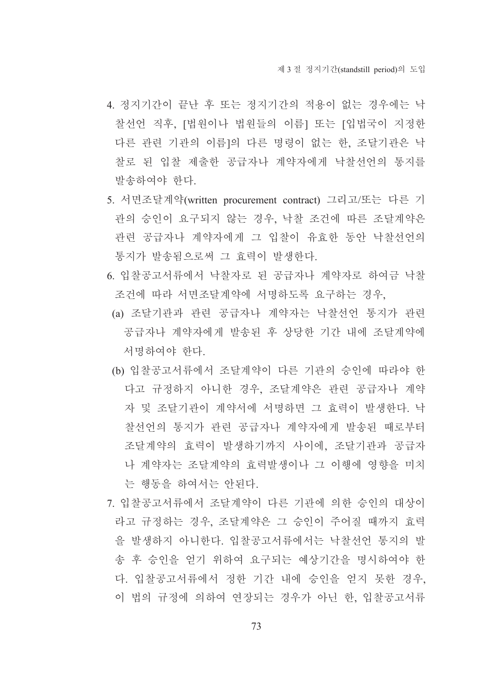- 4. 정지기간이 끝난 후 또는 정지기간의 적용이 없는 경우에는 낙 찰선언 직후, [법원이나 법원들의 이름] 또는 [입법국이 지정한 다른 관련 기관의 이름]의 다른 명령이 없는 한, 조달기관은 낙 찰로 된 입찰 제출한 공급자나 계약자에게 낙찰선언의 통지를 발송하여야 한다.
- 5. 서면조달계약(written procurement contract) 그리고/또는 다른 기 관의 승인이 요구되지 않는 경우, 낙찰 조건에 따른 조달계약은 관련 공급자나 계약자에게 그 입찰이 유효한 동안 낙찰선언의 통지가 발송됨으로써 그 효력이 발생한다.
- 6. 입찰공고서류에서 낙찰자로 된 공급자나 계약자로 하여금 낙찰 조건에 따라 서면조달계약에 서명하도록 요구하는 경우.
- (a) 조달기관과 관련 공급자나 계약자는 낙찰선언 통지가 관련 공급자나 계약자에게 발송된 후 상당한 기간 내에 조달계약에 서명하여야 한다.
- (b) 입찰공고서류에서 조달계약이 다른 기관의 승인에 따라야 한 다고 규정하지 아니한 경우. 조달계약은 관련 공급자나 계약 자 및 조달기관이 계약서에 서명하면 그 효력이 발생한다. 낙 찰선언의 통지가 관련 공급자나 계약자에게 발송된 때로부터 조달계약의 효력이 발생하기까지 사이에, 조달기관과 공급자 나 계약자는 조달계약의 효력발생이나 그 이행에 영향을 미치 는 행동을 하여서는 안된다.
- 7. 입찰공고서류에서 조달계약이 다른 기관에 의한 승인의 대상이 라고 규정하는 경우, 조달계약은 그 승인이 주어질 때까지 효력 을 발생하지 아니한다. 입찰공고서류에서는 낙찰서어 통지의 발 송 후 승인을 얻기 위하여 요구되는 예상기간을 명시하여야 한 다. 입찰공고서류에서 정한 기간 내에 승인을 얻지 못한 경우. 이 법의 규정에 의하여 연장되는 경우가 아닌 한, 입찰공고서류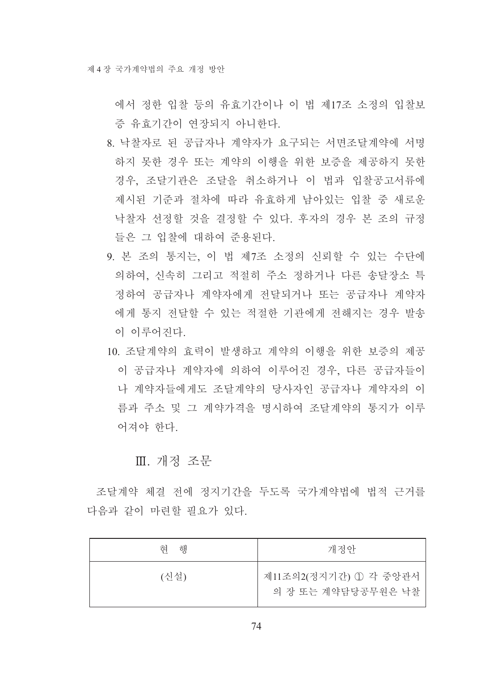에서 정한 입찰 등의 유효기간이나 이 법 제17조 소정의 입찰보 증 유효기간이 여장되지 아니하다.

- 8. 낙찰자로 된 공급자나 계약자가 요구되는 서면조달계약에 서명 하지 못한 경우 또는 계약의 이행을 위한 보증을 제공하지 못한 경우, 조달기관은 조달을 취소하거나 이 법과 입찰공고서류에 제시된 기준과 절차에 따라 유효하게 남아있는 입찰 중 새로운 낙찰자 선정할 것을 결정할 수 있다. 후자의 경우 본 조의 규정 들은 그 입찰에 대하여 준용된다.
- 9. 본 조의 통지는, 이 법 제7조 소정의 신뢰할 수 있는 수단에 의하여, 신속히 그리고 적절히 주소 정하거나 다른 송달장소 특 정하여 공급자나 계약자에게 전달되거나 또는 공급자나 계약자 에게 통지 전달할 수 있는 적절한 기관에게 전해지는 경우 발송 이 이루어지다.
- 10 조달계약의 효력이 발생하고 계약의 이행을 위한 보증의 제공 이 공급자나 계약자에 의하여 이루어진 경우, 다른 공급자들이 나 계약자들에게도 조달계약의 당사자인 공급자나 계약자의 이 름과 주소 및 그 계약가격을 명시하여 조달계약의 통지가 이루 어져야 한다.

## Ⅲ. 개정 조문

조달계약 체결 전에 정지기간을 두도록 국가계약법에 법적 근거를 다음과 같이 마련할 필요가 있다.

| 해<br>혀 | 개정안                                         |
|--------|---------------------------------------------|
| (신설)   | 제11조의2(정지기간) ① 각 중앙관서<br>의 장 또는 계약담당공무원은 낙찰 |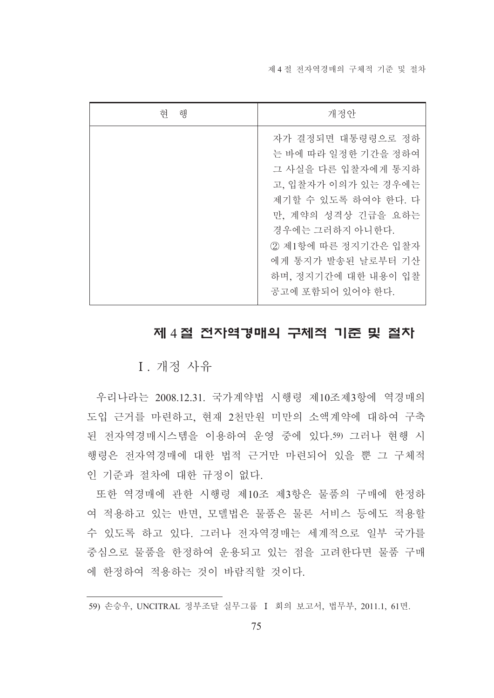제 4 절 전자역경매의 구체적 기주 및 절차

| 혀<br>행 | 개정안                                                                                                                                                                                                                                           |
|--------|-----------------------------------------------------------------------------------------------------------------------------------------------------------------------------------------------------------------------------------------------|
|        | 자가 결정되면 대통령령으로 정하<br>는 바에 따라 일정한 기간을 정하여<br>그 사실을 다른 입찰자에게 통지하<br>고, 입찰자가 이의가 있는 경우에는<br>제기할 수 있도록 하여야 한다. 다<br>만, 계약의 성격상 긴급을 요하는<br>경우에는 그러하지 아니한다.<br>2 제1항에 따른 정지기간은 입찰자<br>에게 통지가 발송된 날로부터 기산<br>하며, 정지기간에 대한 내용이 입찰<br>공고에 포함되어 있어야 한다. |

# 제 4절 전자역경매의 구체적 기준 및 절차

# I. 개정 사유

우리나라는 2008.12.31. 국가계약법 시행령 제10조제3항에 역경매의 도입 근거를 마련하고, 현재 2천만원 미만의 소액계약에 대하여 구축 된 전자역경매시스템을 이용하여 운영 중에 있다.59) 그러나 현행 시 행령은 전자역경매에 대한 법적 근거만 마련되어 있을 뿐 그 구체적 인 기준과 절차에 대한 규정이 없다.

또한 역경매에 관한 시행령 제10조 제3항은 물품의 구매에 한정하 여 적용하고 있는 반면, 모델법은 물품은 물론 서비스 등에도 적용할 수 있도록 하고 있다. 그러나 전자역경매는 세계적으로 일부 국가를 중심으로 물품을 한정하여 운용되고 있는 점을 고려한다면 물품 구매 에 한정하여 적용하는 것이 바람직할 것이다.

<sup>59)</sup> 손승우, UNCITRAL 정부조달 실무그룹 I 회의 보고서, 법무부, 2011.1, 61면.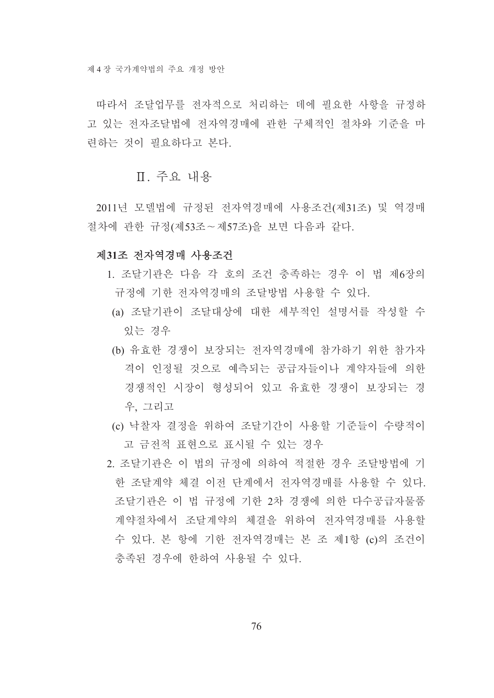따라서 조달업무를 전자적으로 처리하는 데에 필요한 사항을 규정하 고 있는 전자조달법에 전자역경매에 관한 구체적인 절차와 기주을 마 려하는 것이 필요하다고 본다.

### Ⅱ 주요 내용

2011년 모델법에 규정된 전자역경매에 사용조건(제31조) 및 역경매 절차에 관한 규정(제53조~제57조)을 보면 다음과 같다.

### 제31조 전자역경매 사용조건

- 1. 조달기관은 다음 각 호의 조건 충족하는 경우 이 법 제6장의 규정에 기한 전자역경매의 조달방법 사용할 수 있다.
- (a) 조달기관이 조달대상에 대한 세부적인 설명서를 작성할 수 있는 경우
- (b) 유효한 경쟁이 보장되는 전자역경매에 참가하기 위한 참가자 격이 인정될 것으로 예측되는 공급자들이나 계약자들에 의한 경쟁적인 시장이 형성되어 있고 유효한 경쟁이 보장되는 경 우. 그리고
- (c) 낙찰자 결정을 위하여 조달기간이 사용할 기준들이 수량적이 고 금전적 표현으로 표시될 수 있는 경우
- 2. 조달기관은 이 법의 규정에 의하여 적절한 경우 조달방법에 기 한 조달계약 체결 이전 단계에서 전자역경매를 사용할 수 있다. 조달기관은 이 법 규정에 기한 2차 경쟁에 의한 다수공급자물품 계약절차에서 조달계약의 체결을 위하여 전자역경매를 사용할 수 있다. 본 항에 기한 전자역경매는 본 조 제1항 (c)의 조건이 충족되 경우에 하하여 사용될 수 있다.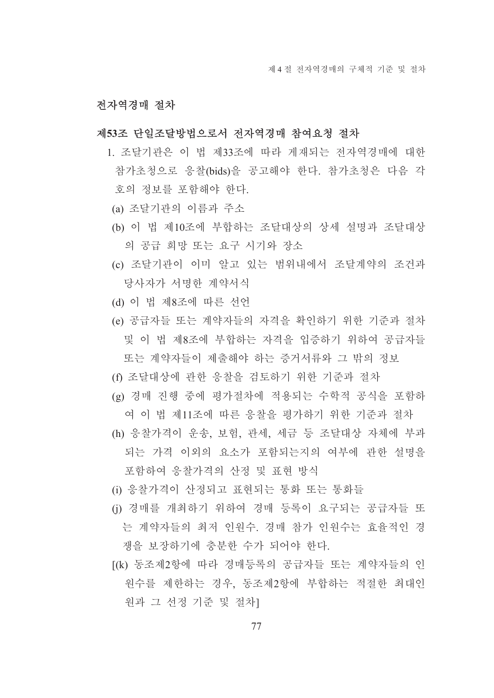### 저자역경매 절차

#### 제53조 단일조달방법으로서 전자역경매 참여요청 절차

- 1. 조달기관은 이 법 제33조에 따라 게재되는 전자역경매에 대한 참가초청으로 응찰(bids)을 공고해야 한다. 참가초청은 다음 각 호의 정보를 포함해야 한다.
	- (a) 조달기관의 이름과 주소
	- (b) 이 법 제10조에 부합하는 조달대상의 상세 설명과 조달대상 의 공급 희망 또는 요구 시기와 장소
- (c) 조달기관이 이미 알고 있는 범위내에서 조달계약의 조건과 당사자가 서명한 계약서식
- (d) 이 법 제8조에 따른 선언
- (e) 공급자들 또는 계약자들의 자격을 확인하기 위한 기준과 절차 및 이 법 제8조에 부합하는 자격을 입증하기 위하여 공급자들 또는 계약자들이 제출해야 하는 증거서류와 그 밖의 정보
- (f) 조달대상에 관한 응찰을 검토하기 위한 기준과 절차
- (g) 경매 진행 중에 평가절차에 적용되는 수학적 공식을 포함하 여 이 법 제11조에 따른 응찰을 평가하기 위한 기준과 절차
- (h) 응찰가격이 운송, 보험, 관세, 세금 등 조달대상 자체에 부과 되는 가격 이외의 요소가 포함되는지의 여부에 관한 설명을 포함하여 응찰가격의 산정 및 표현 방식
- (i) 응찰가격이 산정되고 표현되는 통화 또는 통화들
- (i) 경매를 개최하기 위하여 경매 등록이 요구되는 공급자들 또 는 계약자들의 최저 인원수. 경매 참가 인원수는 효율적인 경 쟁을 보장하기에 충분한 수가 되어야 한다.
- [(k) 동조제2항에 따라 경매등록의 공급자들 또는 계약자들의 인 원수를 제한하는 경우, 동조제2항에 부합하는 적절한 최대인 원과 그 선정 기준 및 절차1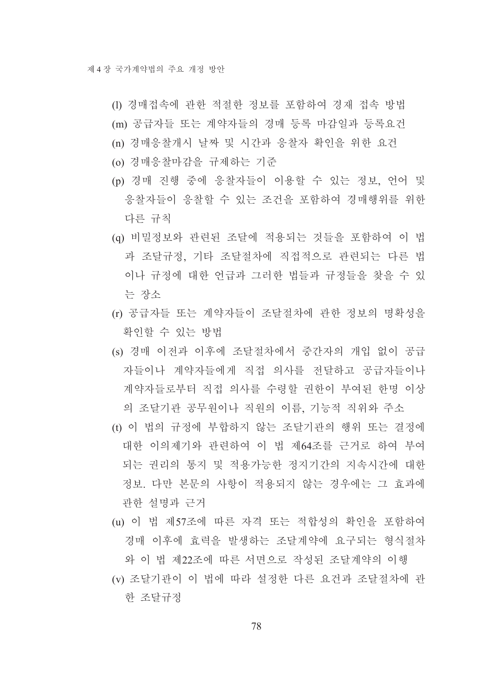- (1) 경매접속에 관한 적절한 정보를 포함하여 경재 접속 방법
- (m) 공급자들 또는 계약자들의 경매 등록 마감일과 등록요건
- (n) 경매응찰개시 날짜 및 시간과 응찰자 확인을 위한 요건
- (o) 경매응찰마감을 규제하는 기준
- (p) 경매 진행 중에 응찰자들이 이용할 수 있는 정보, 언어 및 응찰자들이 응찰할 수 있는 조건을 포함하여 경매행위를 위한 다른 규칙
- (q) 비밀정보와 관련된 조달에 적용되는 것들을 포함하여 이 법 과 조달규정, 기타 조달절차에 직접적으로 관련되는 다른 법 이나 규정에 대한 언급과 그러한 법들과 규정들을 찾을 수 있 는 장소
- (r) 공급자들 또는 계약자들이 조달절차에 관한 정보의 명확성을 확인할 수 있는 방법
- (s) 경매 이전과 이후에 조달절차에서 중간자의 개입 없이 공급 자들이나 계약자들에게 직접 의사를 전달하고 공급자들이나 계약자들로부터 직접 의사를 수령할 권한이 부여된 한명 이상 의 조달기관 공무원이나 직원의 이름, 기능적 직위와 주소
- (t) 이 법의 규정에 부합하지 않는 조달기관의 행위 또는 결정에 대한 이의제기와 관련하여 이 법 제64조를 근거로 하여 부여 되는 권리의 통지 및 적용가능한 정지기간의 지속시간에 대한 정보. 다만 본문의 사항이 적용되지 않는 경우에는 그 효과에 관한 설명과 근거
- (u) 이 법 제57조에 따른 자격 또는 적합성의 확인을 포함하여 경매 이후에 효력을 발생하는 조달계약에 요구되는 형식절차

와 이 법 제22조에 따른 서면으로 작성된 조달계약의 이행 (v) 조달기과이 이 법에 따라 설정하 다른 요거과 조달절차에 과 한 조달규정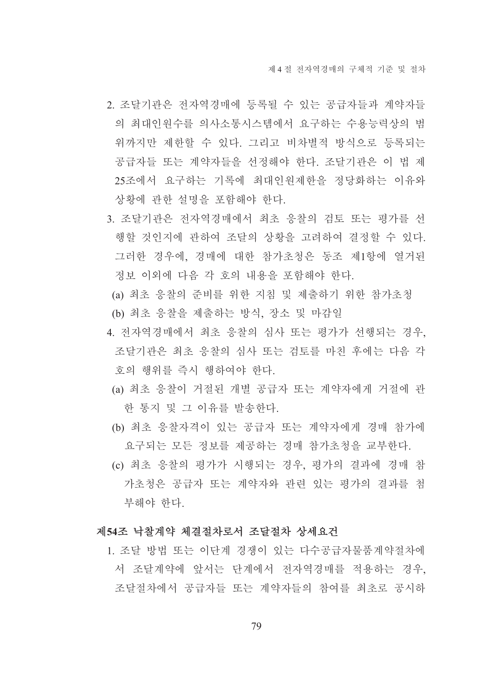- 2. 조달기관은 전자역경매에 등록될 수 있는 공급자들과 계약자들 의 최대인워수를 의사소통시스템에서 요구하는 수용능력상의 범 위까지만 제한할 수 있다. 그리고 비차별적 방식으로 등록되는 공급자들 또는 계약자들을 선정해야 한다. 조달기관은 이 법 제 25조에서 요구하는 기록에 최대인원제한을 정당화하는 이유와 상황에 관한 설명을 포함해야 한다.
- 3. 조달기관은 전자역경매에서 최초 응찰의 검토 또는 평가를 선 행할 것인지에 관하여 조달의 상황을 고려하여 결정할 수 있다. 그러한 경우에, 경매에 대한 참가초청은 동조 제1항에 열거된 정보 이외에 다음 각 호의 내용을 포함해야 한다.
- (a) 최초 응찰의 준비를 위한 지침 및 제출하기 위한 참가초청
- (b) 최초 응찰을 제출하는 방식, 장소 및 마감일
- 4. 전자역경매에서 최초 응찰의 심사 또는 평가가 선행되는 경우, 조달기관은 최초 응찰의 심사 또는 검토를 마친 후에는 다음 각 호의 행위를 즉시 행하여야 한다.
	- (a) 최초 응찰이 거절된 개별 공급자 또는 계약자에게 거절에 과 한 통지 및 그 이유를 발송한다.
	- (b) 최초 응찰자격이 있는 공급자 또는 계약자에게 경매 참가에 요구되는 모든 정보를 제공하는 경매 참가초청을 교부한다.
	- (c) 최초 응찰의 평가가 시행되는 경우, 평가의 결과에 경매 참 가초청은 공급자 또는 계약자와 관련 있는 평가의 결과를 첨 부해야 한다.

### 제54조 낙찰계약 체결절차로서 조달절차 상세요건

1. 조달 방법 또는 이단계 경쟁이 있는 다수공급자물품계약절차에 서 조달계약에 앞서는 단계에서 전자역경매를 적용하는 경우, 조달절차에서 공급자들 또는 계약자들의 참여를 최초로 공시하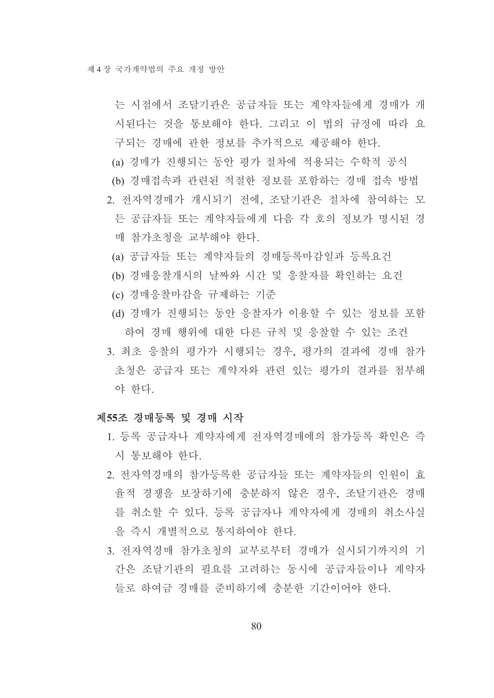는 시점에서 조달기관은 공급자들 또는 계약자들에게 경매가 개 시된다는 것을 통보해야 한다. 그리고 이 법의 규정에 따라 요 구되는 경매에 관한 정보를 추가적으로 제공해야 한다.

- (a) 경매가 진행되는 동안 평가 절차에 적용되는 수학적 공식
- (b) 경매접속과 관련된 적절한 정보를 포함하는 경매 접속 방법
- 2. 전자역경매가 개시되기 전에, 조달기관은 절차에 참여하는 모 든 공급자들 또는 계약자들에게 다음 각 호의 정보가 명시된 경 매 참가초청을 교부해야 한다.
- (a) 공급자들 또는 계약자들의 경매등록마감일과 등록요건
- (b) 경매응찰개시의 날짜와 시간 및 응찰자를 확인하는 요건
- (c) 경매응찰마감을 규제하는 기준
- (d) 경매가 진행되는 동안 응찰자가 이용할 수 있는 정보를 포함 하여 경매 행위에 대한 다른 규칙 및 응찰할 수 있는 조건
- 3. 최초 응찰의 평가가 시행되는 경우, 평가의 결과에 경매 참가 초청은 공급자 또는 계약자와 관련 있는 평가의 결과를 첨부해 야 한다.

#### 제55조 경매등록 및 경매 시작

- 1. 등록 공급자나 계약자에게 전자역경매에의 참가등록 확인은 즉 시 통보해야 한다.
- 2. 전자역경매의 참가등록한 공급자들 또는 계약자들의 인원이 효 율적 경쟁을 보장하기에 충분하지 않은 경우, 조달기관은 경매 를 취소할 수 있다. 등록 공급자나 계약자에게 경매의 취소사실 을 즉시 개별적으로 통지하여야 하다.
- 3. 전자역경매 참가초청의 교부로부터 경매가 실시되기까지의 기 간은 조달기관의 필요를 고려하는 동시에 공급자들이나 계약자 들로 하여금 경매를 주비하기에 충분한 기간이어야 하다.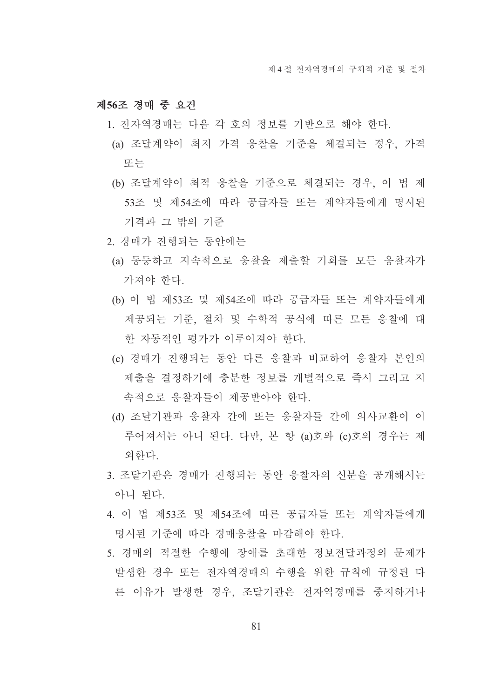### 제56조 경매 중 요건

- 1. 전자역경매는 다음 각 호의 정보를 기반으로 해야 한다.
- (a) 조달계약이 최저 가격 응찰을 기준을 체결되는 경우, 가격 또는
- (b) 조달계약이 최적 응찰을 기준으로 체결되는 경우, 이 법 제 53조 및 제54조에 따라 공급자들 또는 계약자들에게 명시된 기격과 그 밖의 기준
- 2. 경매가 진행되는 동아에는
- (a) 동등하고 지속적으로 응찰을 제출할 기회를 모든 응찰자가 가져야 한다.
- (b) 이 법 제53조 및 제54조에 따라 공급자들 또는 계약자들에게 제공되는 기준, 절차 및 수학적 공식에 따른 모든 응찰에 대 한 자동적인 평가가 이루어져야 한다.
- (c) 경매가 진행되는 동아 다른 응찰과 비교하여 응찰자 본인의 제출을 결정하기에 충분한 정보를 개별적으로 즉시 그리고 지 속적으로 응찰자들이 제공받아야 한다.
- (d) 조달기관과 응찰자 간에 또는 응찰자들 간에 의사교환이 이 루어져서는 아니 된다. 다만, 본 항 (a)호와 (c)호의 경우는 제 외하다
- 3. 조달기관은 경매가 진행되는 동안 응찰자의 신분을 공개해서는 아니 된다.
- 4 이 법 제53조 및 제54조에 따른 공급자들 또는 계약자들에게 명시된 기준에 따라 경매응찰을 마감해야 한다.
- 5. 경매의 적절한 수행에 장애를 초래한 정보전달과정의 문제가 발생한 경우 또는 전자역경매의 수행을 위한 규칙에 규정된 다 른 이유가 발생한 경우, 조달기관은 전자역경매를 중지하거나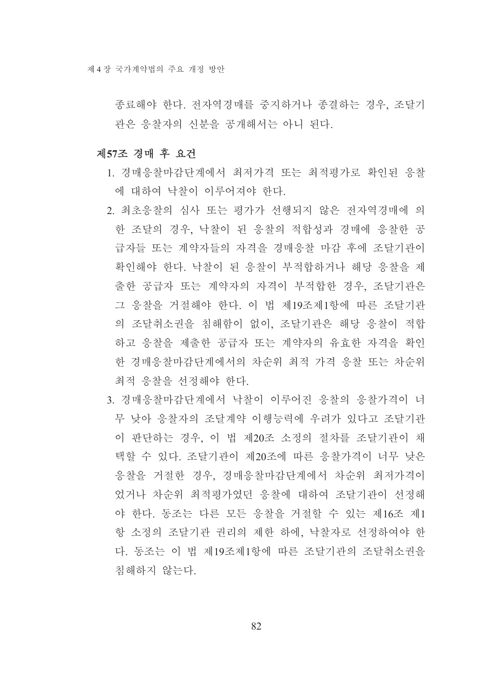종료해야 한다. 전자역경매를 중지하거나 종결하는 경우, 조달기 관은 응찰자의 신부을 공개해서는 아니 된다.

### 제57조 경매 후 요건

- 1. 경매응찰마감단계에서 최저가격 또는 최적평가로 확인된 응찰 에 대하여 낙찰이 이루어져야 한다.
- 2. 최초응찰의 심사 또는 평가가 선행되지 않은 전자역경매에 의 한 조달의 경우, 낙찰이 된 응찰의 적합성과 경매에 응찰한 공 급자들 또는 계약자들의 자격을 경매응찰 마감 후에 조달기관이 확인해야 한다. 낙찰이 된 응찰이 부적합하거나 해당 응찰을 제 출한 공급자 또는 계약자의 자격이 부적합한 경우, 조달기관은 그 응찰을 거절해야 한다. 이 법 제19조제1항에 따른 조달기관 의 조달취소권을 침해함이 없이, 조달기관은 해당 응찰이 적합 하고 응찰을 제출한 공급자 또는 계약자의 유효한 자격을 확인 한 경매응찰마감단계에서의 차순위 최적 가격 응찰 또는 차순위 최적 응찰을 선정해야 한다.
- 3. 경매응찰마감단계에서 낙찰이 이루어진 응찰의 응찰가격이 너 무 낮아 응찰자의 조달계약 이행능력에 우려가 있다고 조달기관 이 판단하는 경우, 이 법 제20조 소정의 절차를 조달기관이 채 택할 수 있다. 조달기관이 제20조에 따른 응찰가격이 너무 낮은 응찰을 거절한 경우, 경매응찰마감단계에서 차순위 최저가격이 었거나 차순위 최적평가였던 응찰에 대하여 조달기관이 선정해 야 한다. 동조는 다른 모든 응찰을 거절할 수 있는 제16조 제1 항 소정의 조달기관 권리의 제한 하에, 낙찰자로 선정하여야 한 다. 동조는 이 법 제19조제1항에 따른 조달기관의 조달취소권을 침해하지 않는다.

82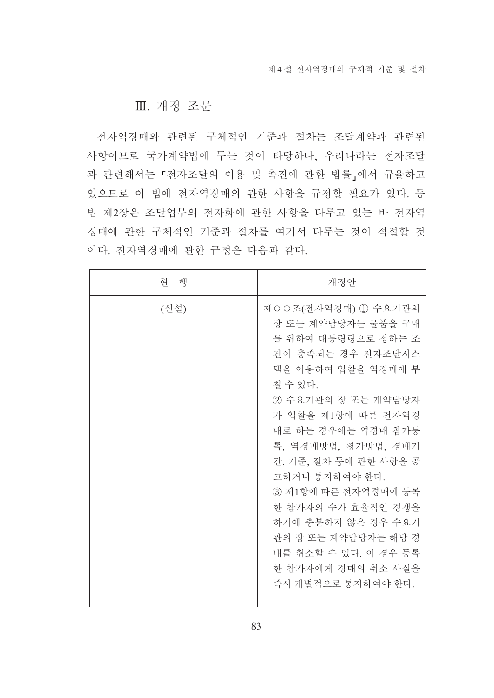### Ⅲ. 개정 조문

전자역경매와 관련된 구체적인 기준과 절차는 조달계약과 관련된 사항이므로 국가계약법에 두는 것이 타당하나, 우리나라는 전자조달 과 관련해서는 「전자조달의 이용 및 촉진에 관한 법률」에서 규율하고 있으므로 이 법에 전자역경매의 관한 사항을 규정할 필요가 있다. 동 법 제2장은 조달업무의 전자화에 관한 사항을 다루고 있는 바 전자역 경매에 관한 구체적인 기준과 절차를 여기서 다루는 것이 적절할 것 이다. 전자역경매에 관한 규정은 다음과 같다.

| 혀<br>해 | 개정안                                                                                                                                                                                                                                                                                                                                                                                                                      |
|--------|--------------------------------------------------------------------------------------------------------------------------------------------------------------------------------------------------------------------------------------------------------------------------------------------------------------------------------------------------------------------------------------------------------------------------|
| (신설)   | 제○○조(전자역경매) ① 수요기관의<br>장 또는 계약담당자는 물품을 구매<br>를 위하여 대통령령으로 정하는 조<br>건이 충족되는 경우 전자조달시스<br>템을 이용하여 입찰을 역경매에 부<br>칠 수 있다.<br>2 수요기관의 장 또는 계약담당자<br>가 입찰을 제1항에 따른 전자역경<br>매로 하는 경우에는 역경매 참가등<br>록, 역경매방법, 평가방법, 경매기<br>간, 기준, 절차 등에 관한 사항을 공<br>고하거나 통지하여야 한다.<br>3) 제1항에 따른 전자역경매에 등록<br>한 참가자의 수가 효율적인 경쟁을<br>하기에 충분하지 않은 경우 수요기<br>관의 장 또는 계약담당자는 해당 경<br>매를 취소할 수 있다. 이 경우 등록<br>한 참가자에게 경매의 취소 사실을<br>즉시 개별적으로 통지하여야 한다. |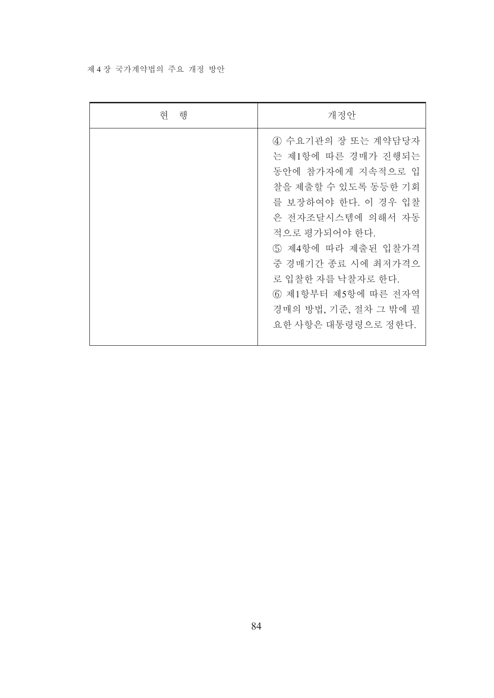### 제 4 장 국가계약법의 주요 개정 방안

| 현<br>행 | 개정안                                                                                                                                                                                                                                                                                         |
|--------|---------------------------------------------------------------------------------------------------------------------------------------------------------------------------------------------------------------------------------------------------------------------------------------------|
|        | 4) 수요기관의 장 또는 계약담당자<br>는 제1항에 따른 경매가 진행되는<br>동안에 참가자에게 지속적으로 입<br>찰을 제출할 수 있도록 동등한 기회<br>를 보장하여야 한다. 이 경우 입찰<br>은 전자조달시스템에 의해서 자동<br>적으로 평가되어야 한다.<br>5) 제4항에 따라 제출된 입찰가격<br>중 경매기간 종료 시에 최저가격으<br>로 입찰한 자를 낙찰자로 한다.<br>6) 제1항부터 제5항에 따른 전자역<br>경매의 방법, 기준, 절차 그 밖에 필<br>요한 사항은 대통령령으로 정한다. |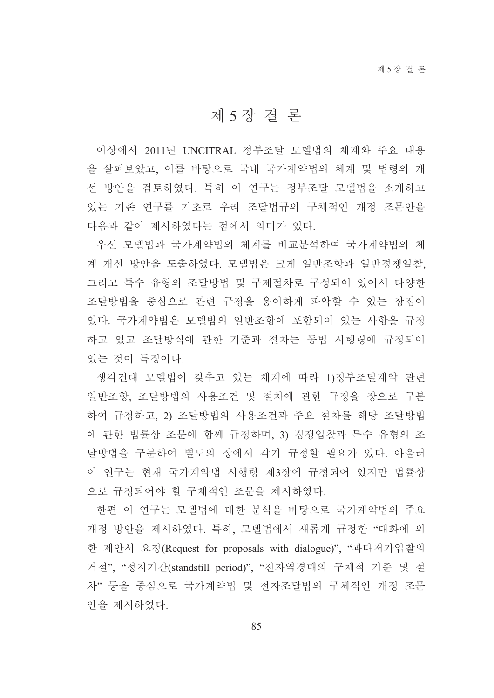## 제 5 장 결 론

이상에서 2011년 UNCITRAL 정부조달 모델법의 체계와 주요 내용 을 살펴보았고. 이를 바탕으로 국내 국가계약법의 체계 및 법령의 개 선 방안을 검토하였다. 특히 이 연구는 정부조달 모델법을 소개하고 있는 기존 연구를 기초로 우리 조달법규의 구체적인 개정 조문안을 다음과 같이 제시하였다는 점에서 의미가 있다.

우선 모델법과 국가계약법의 체계를 비교부석하여 국가계약법의 체 계 개선 방안을 도출하였다. 모델법은 크게 일반조항과 일반경쟁일찰, 그리고 특수 유형의 조달방법 및 구제절차로 구성되어 있어서 다양한 조달방법을 중심으로 관련 규정을 용이하게 파악할 수 있는 장점이 있다. 국가계약법은 모델법의 일반조항에 포함되어 있는 사항을 규정 하고 있고 조달방식에 관한 기준과 절차는 동법 시행령에 규정되어 있는 것이 특징이다.

생각건대 모델법이 갖추고 있는 체계에 따라 1)정부조달계약 관련 일반조항, 조달방법의 사용조건 및 절차에 관한 규정을 장으로 구분 하여 규정하고, 2) 조달방법의 사용조건과 주요 절차를 해당 조달방법 에 관한 법률상 조문에 함께 규정하며, 3) 경쟁입찰과 특수 유형의 조 달방법을 구분하여 별도의 장에서 각기 규정할 필요가 있다. 아울러 이 연구는 현재 국가계약법 시행령 제3장에 규정되어 있지만 법률상 으로 규정되어야 할 구체적인 조문을 제시하였다.

한편 이 연구는 모델법에 대한 분석을 바탕으로 국가계약법의 주요 개정 방안을 제시하였다. 특히, 모델법에서 새롭게 규정한 "대화에 의 한 제안서 요청(Request for proposals with dialogue)". "과다저가입찰의 거절", "정지기간(standstill period)", "전자역경매의 구체적 기준 및 절 차" 등을 중심으로 국가계약법 및 전자조달법의 구체적인 개정 조문 안을 제시하였다.

85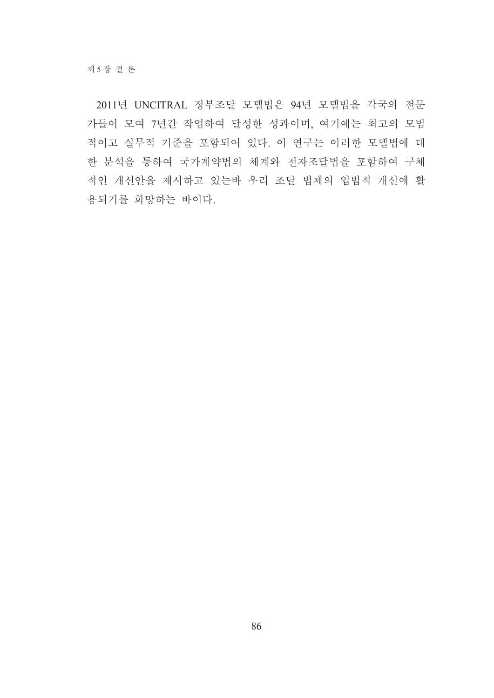2011년 UNCITRAL 정부조달 모델법은 94년 모델법을 각국의 전문 가들이 모여 7년간 작업하여 달성한 성과이며, 여기에는 최고의 모범 적이고 실무적 기준을 포함되어 있다. 이 연구는 이러한 모델법에 대 한 분석을 통하여 국가계약법의 체계와 전자조달법을 포함하여 구체 적인 개선안을 제시하고 있는바 우리 조달 법제의 입법적 개선에 활 용되기를 희망하는 바이다.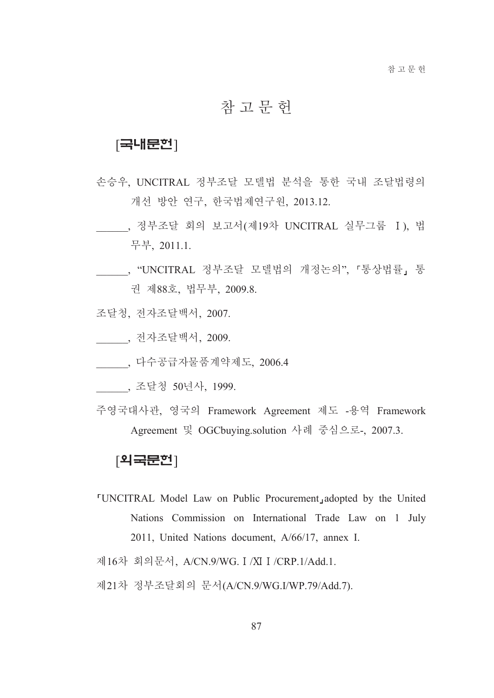# 참고문헌

### $[$ 국내문헌 $]$

- 손승우, UNCITRAL 정부조달 모델법 분석을 통한 국내 조달법령의 개선 방안 연구, 한국법제연구원, 2013.12.
- \_\_\_\_\_\_, 정부조달 회의 보고서(제19차 UNCITRAL 실무그룹 I), 법 무부, 2011.1.
- , "UNCITRAL 정부조달 모델법의 개정논의", 「통상법률」 통 권 제88호, 법무부, 2009.8.
- 조달청, 전자조달백서, 2007.
- \_\_\_\_\_, 전자조달백서, 2009.
- . 다수공급자물품계약제도, 2006.4
- , 조달청 50년사, 1999.
- 주영국대사관, 영국의 Framework Agreement 제도 -용역 Framework Agreement 및 OGCbuying.solution 사례 중심으로-, 2007.3.

### [외국문헌]

- "UNCITRAL Model Law on Public Procurement, adopted by the United Nations Commission on International Trade Law on 1 July 2011, United Nations document, A/66/17, annex I.
- 제16차 회의문서, A/CN.9/WG. I /XI I /CRP.1/Add.1.
- 제21차 정부조달회의 문서(A/CN.9/WG.I/WP.79/Add.7).